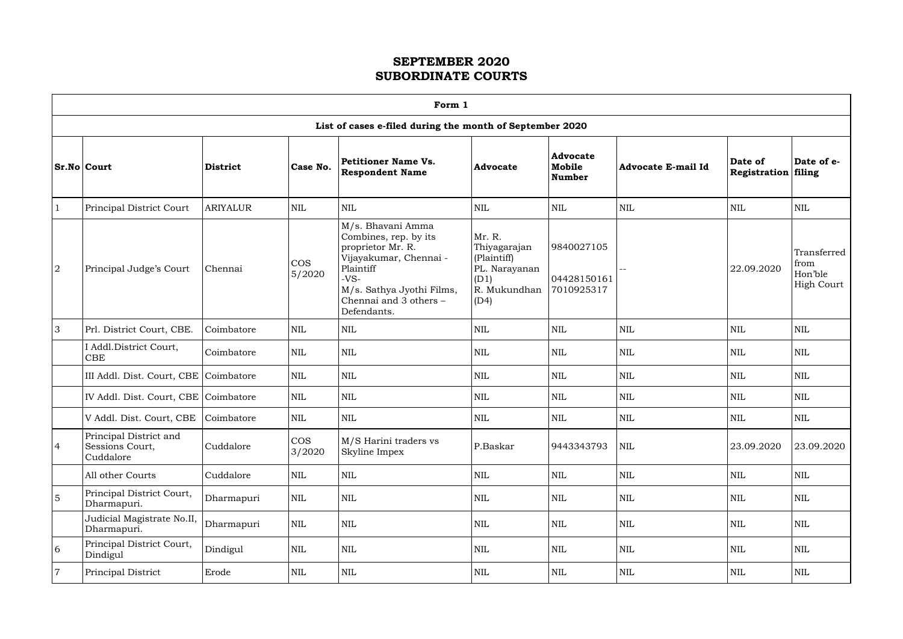| Form |
|------|
|------|

 $\Gamma$ 

|                |                                                        |                 |                      | Form 1                                                                                                                                                                                 |                                                                                        |                                            |                    |                                |                                                     |
|----------------|--------------------------------------------------------|-----------------|----------------------|----------------------------------------------------------------------------------------------------------------------------------------------------------------------------------------|----------------------------------------------------------------------------------------|--------------------------------------------|--------------------|--------------------------------|-----------------------------------------------------|
|                |                                                        |                 |                      | List of cases e-filed during the month of September 2020                                                                                                                               |                                                                                        |                                            |                    |                                |                                                     |
|                | Sr.No Court                                            | <b>District</b> | Case No.             | <b>Petitioner Name Vs.</b><br><b>Respondent Name</b>                                                                                                                                   | <b>Advocate</b>                                                                        | <b>Advocate</b><br>Mobile<br><b>Number</b> | Advocate E-mail Id | Date of<br>Registration filing | Date of e-                                          |
|                | Principal District Court                               | <b>ARIYALUR</b> | <b>NIL</b>           | $\mbox{NIL}$                                                                                                                                                                           | <b>NIL</b>                                                                             | <b>NIL</b>                                 | <b>NIL</b>         | <b>NIL</b>                     | <b>NIL</b>                                          |
| $\sqrt{2}$     | Principal Judge's Court                                | Chennai         | <b>COS</b><br>5/2020 | M/s. Bhavani Amma<br>Combines, rep. by its<br>proprietor Mr. R.<br>Vijayakumar, Chennai -<br>Plaintiff<br>$-VS-$<br>M/s. Sathya Jyothi Films,<br>Chennai and 3 others -<br>Defendants. | Mr. R.<br>Thiyagarajan<br>(Plaintiff)<br>PL. Narayanan<br>(D1)<br>R. Mukundhan<br>(D4) | 9840027105<br>04428150161<br>7010925317    |                    | 22.09.2020                     | Transferred<br>from<br>Hon'ble<br><b>High Court</b> |
| 3              | Prl. District Court, CBE.                              | Coimbatore      | <b>NIL</b>           | <b>NIL</b>                                                                                                                                                                             | <b>NIL</b>                                                                             | <b>NIL</b>                                 | <b>NIL</b>         | <b>NIL</b>                     | <b>NIL</b>                                          |
|                | I Addl.District Court,<br>CBE                          | Coimbatore      | <b>NIL</b>           | <b>NIL</b>                                                                                                                                                                             | <b>NIL</b>                                                                             | <b>NIL</b>                                 | <b>NIL</b>         | <b>NIL</b>                     | $\mbox{NIL}$                                        |
|                | III Addl. Dist. Court, CBE   Coimbatore                |                 | NIL                  | $\mbox{NIL}$                                                                                                                                                                           | $\mbox{NIL}$                                                                           | <b>NIL</b>                                 | <b>NIL</b>         | <b>NIL</b>                     | <b>NIL</b>                                          |
|                | IV Addl. Dist. Court, CBE Coimbatore                   |                 | <b>NIL</b>           | <b>NIL</b>                                                                                                                                                                             | <b>NIL</b>                                                                             | <b>NIL</b>                                 | <b>NIL</b>         | <b>NIL</b>                     | NIL                                                 |
|                | V Addl. Dist. Court, CBE                               | Coimbatore      | <b>NIL</b>           | <b>NIL</b>                                                                                                                                                                             | <b>NIL</b>                                                                             | <b>NIL</b>                                 | <b>NIL</b>         | <b>NIL</b>                     | $\mbox{NIL}$                                        |
| $\overline{4}$ | Principal District and<br>Sessions Court,<br>Cuddalore | Cuddalore       | <b>COS</b><br>3/2020 | M/S Harini traders vs<br>Skyline Impex                                                                                                                                                 | P.Baskar                                                                               | 9443343793                                 | NIL                | 23.09.2020                     | 23.09.2020                                          |
|                | All other Courts                                       | Cuddalore       | <b>NIL</b>           | <b>NIL</b>                                                                                                                                                                             | <b>NIL</b>                                                                             | $\mbox{NIL}$                               | <b>NIL</b>         | $\mbox{NIL}$                   | <b>NIL</b>                                          |
| $\overline{5}$ | Principal District Court,<br>Dharmapuri.               | Dharmapuri      | NIL                  | <b>NIL</b>                                                                                                                                                                             | <b>NIL</b>                                                                             | <b>NIL</b>                                 | <b>NIL</b>         | NIL                            | <b>NIL</b>                                          |
|                | Judicial Magistrate No.II,<br>Dharmapuri.              | Dharmapuri      | $\mbox{NIL}$         | <b>NIL</b>                                                                                                                                                                             | <b>NIL</b>                                                                             | $\mbox{NIL}$                               | <b>NIL</b>         | <b>NIL</b>                     | <b>NIL</b>                                          |
| 6              | Principal District Court,<br>Dindigul                  | Dindigul        | NIL                  | <b>NIL</b>                                                                                                                                                                             | $\mbox{NIL}$                                                                           | $\mbox{NIL}$                               | <b>NIL</b>         | $\mbox{NIL}$                   | $\mbox{NIL}$                                        |
| $\overline{7}$ | Principal District                                     | Erode           | NIL                  | <b>NIL</b>                                                                                                                                                                             | NIL                                                                                    | $\mbox{NIL}$                               | <b>NIL</b>         | <b>NIL</b>                     | $\mbox{NIL}$                                        |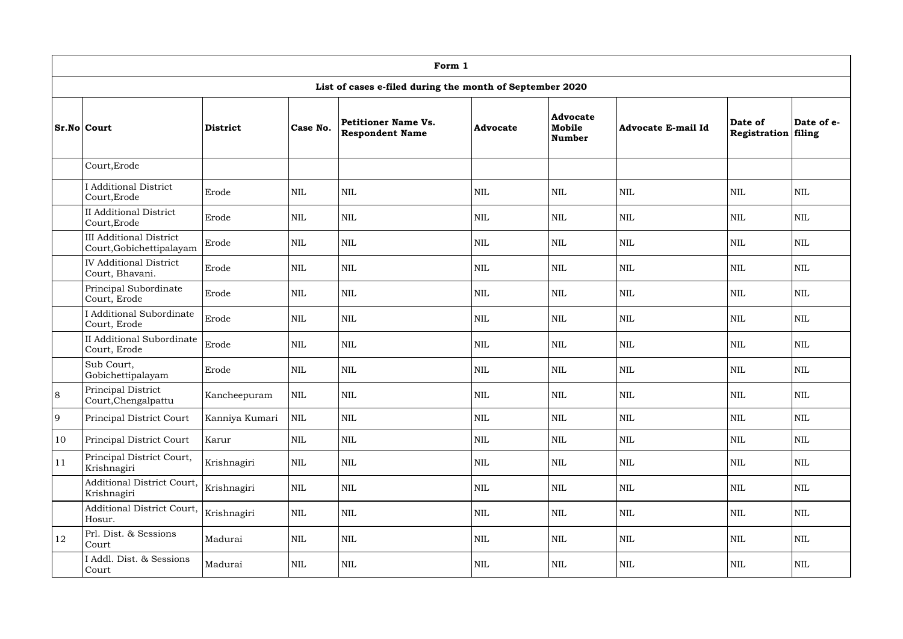|    |                                                            |                 |              | Form 1                                               |                 |                              |                    |                         |                      |  |  |  |  |  |
|----|------------------------------------------------------------|-----------------|--------------|------------------------------------------------------|-----------------|------------------------------|--------------------|-------------------------|----------------------|--|--|--|--|--|
|    | List of cases e-filed during the month of September 2020   |                 |              |                                                      |                 |                              |                    |                         |                      |  |  |  |  |  |
|    | $Sr.No $ Court                                             | <b>District</b> | Case No.     | <b>Petitioner Name Vs.</b><br><b>Respondent Name</b> | <b>Advocate</b> | Advocate<br>Mobile<br>Number | Advocate E-mail Id | Date of<br>Registration | Date of e-<br>filing |  |  |  |  |  |
|    | Court, Erode                                               |                 |              |                                                      |                 |                              |                    |                         |                      |  |  |  |  |  |
|    | <b>I</b> Additional District<br>Court, Erode               | Erode           | NIL          | $\mbox{NIL}$                                         | <b>NIL</b>      | <b>NIL</b>                   | $\mbox{NIL}$       | <b>NIL</b>              | <b>NIL</b>           |  |  |  |  |  |
|    | <b>II</b> Additional District<br>Court, Erode              | Erode           | <b>NIL</b>   | $\mbox{NIL}$                                         | <b>NIL</b>      | <b>NIL</b>                   | $\mbox{NIL}$       | $\mbox{NIL}$            | <b>NIL</b>           |  |  |  |  |  |
|    | <b>III Additional District</b><br>Court, Gobichettipalayam | Erode           | <b>NIL</b>   | <b>NIL</b>                                           | <b>NIL</b>      | <b>NIL</b>                   | $\mbox{NIL}$       | <b>NIL</b>              | <b>NIL</b>           |  |  |  |  |  |
|    | <b>IV Additional District</b><br>Court, Bhavani.           | Erode           | <b>NIL</b>   | $\mbox{NIL}$                                         | <b>NIL</b>      | <b>NIL</b>                   | $\mbox{NIL}$       | $\mbox{NIL}$            | <b>NIL</b>           |  |  |  |  |  |
|    | Principal Subordinate<br>Court, Erode                      | Erode           | $\mbox{NIL}$ | $\textsc{nil}$                                       | <b>NIL</b>      | <b>NIL</b>                   | $\mbox{NIL}$       | $\mbox{NIL}$            | <b>NIL</b>           |  |  |  |  |  |
|    | <b>I</b> Additional Subordinate<br>Court, Erode            | Erode           | $\mbox{NIL}$ | $\mbox{NIL}$                                         | $\mbox{NIL}$    | <b>NIL</b>                   | $\mbox{NIL}$       | <b>NIL</b>              | <b>NIL</b>           |  |  |  |  |  |
|    | <b>II Additional Subordinate</b><br>Court, Erode           | Erode           | $\mbox{NIL}$ | $\mbox{NIL}$                                         | <b>NIL</b>      | <b>NIL</b>                   | $\mbox{NIL}$       | <b>NIL</b>              | <b>NIL</b>           |  |  |  |  |  |
|    | Sub Court,<br>Gobichettipalayam                            | Erode           | $\mbox{NIL}$ | $\mbox{NIL}$                                         | <b>NIL</b>      | <b>NIL</b>                   | $\mbox{NIL}$       | <b>NIL</b>              | <b>NIL</b>           |  |  |  |  |  |
| 8  | Principal District<br>Court, Chengalpattu                  | Kancheepuram    | $\mbox{NIL}$ | $\mbox{NIL}$                                         | $\mbox{NIL}$    | <b>NIL</b>                   | $\mbox{NIL}$       | $\mbox{NIL}$            | $\mbox{NIL}$         |  |  |  |  |  |
| 9  | Principal District Court                                   | Kanniya Kumari  | NIL          | NIL                                                  | <b>NIL</b>      | <b>NIL</b>                   | $\mbox{NIL}$       | $\mbox{NIL}$            | <b>NIL</b>           |  |  |  |  |  |
| 10 | Principal District Court                                   | Karur           | <b>NIL</b>   | NIL                                                  | $\mbox{NIL}$    | <b>NIL</b>                   | $\mbox{NIL}$       | $\mbox{NIL}$            | <b>NIL</b>           |  |  |  |  |  |
| 11 | Principal District Court,<br>Krishnagiri                   | Krishnagiri     | $\mbox{NIL}$ | NIL                                                  | $\mbox{NIL}$    | NIL                          | <b>NIL</b>         | $\mbox{NIL}$            | <b>NIL</b>           |  |  |  |  |  |
|    | Additional District Court,<br>Krishnagiri                  | Krishnagiri     | $\mbox{NIL}$ | $\mbox{NIL}$                                         | <b>NIL</b>      | NIL                          | $\mbox{NIL}$       | <b>NIL</b>              | <b>NIL</b>           |  |  |  |  |  |
|    | Additional District Court,<br>Hosur.                       | Krishnagiri     | $\mbox{NIL}$ | $\mbox{NIL}$                                         | <b>NIL</b>      | NIL                          | <b>NIL</b>         | $\mbox{NIL}$            | <b>NIL</b>           |  |  |  |  |  |
| 12 | Prl. Dist. & Sessions<br>Court                             | Madurai         | $\mbox{NIL}$ | NIL                                                  | $\mbox{NIL}$    | NIL                          | $\mbox{NIL}$       | $\mbox{NIL}$            | <b>NIL</b>           |  |  |  |  |  |
|    | I Addl. Dist. & Sessions<br>Court                          | Madurai         | NIL          | $\mbox{NIL}$                                         | NIL             | NIL                          | $\mbox{NIL}$       | NIL                     | <b>NIL</b>           |  |  |  |  |  |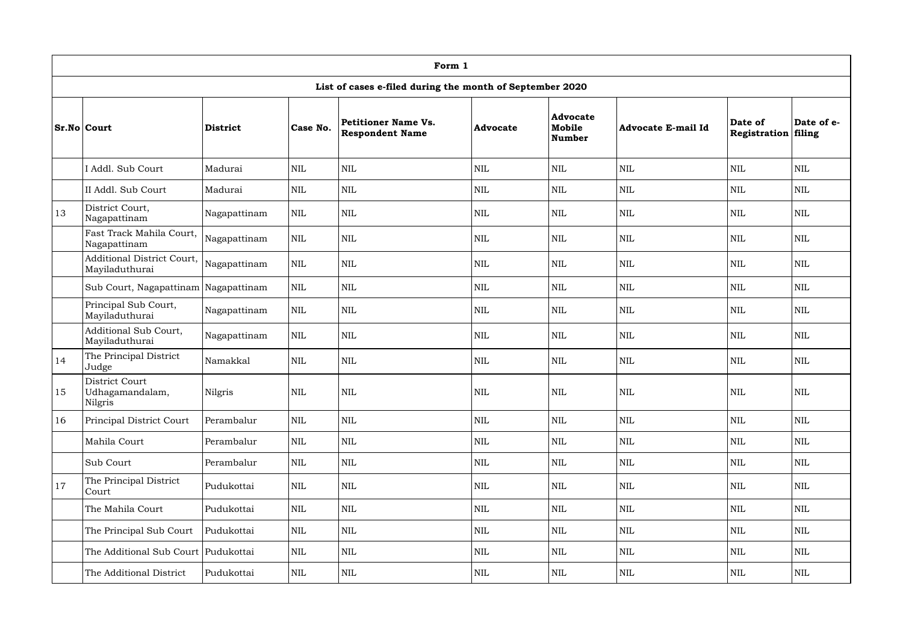|    | Form 1                                                   |                 |              |                                                      |                 |                                            |                           |                         |                      |  |  |  |  |  |
|----|----------------------------------------------------------|-----------------|--------------|------------------------------------------------------|-----------------|--------------------------------------------|---------------------------|-------------------------|----------------------|--|--|--|--|--|
|    | List of cases e-filed during the month of September 2020 |                 |              |                                                      |                 |                                            |                           |                         |                      |  |  |  |  |  |
|    | <b>Sr.No Court</b>                                       | <b>District</b> | Case No.     | <b>Petitioner Name Vs.</b><br><b>Respondent Name</b> | <b>Advocate</b> | <b>Advocate</b><br>Mobile<br><b>Number</b> | <b>Advocate E-mail Id</b> | Date of<br>Registration | Date of e-<br>filing |  |  |  |  |  |
|    | I Addl. Sub Court                                        | Madurai         | <b>NIL</b>   | NIL                                                  | <b>NIL</b>      | <b>NIL</b>                                 | <b>NIL</b>                | <b>NIL</b>              | <b>NIL</b>           |  |  |  |  |  |
|    | II Addl. Sub Court                                       | Madurai         | $\text{NIL}$ | $\mbox{NIL}$                                         | <b>NIL</b>      | <b>NIL</b>                                 | $\mbox{NIL}$              | $\mbox{NIL}$            | <b>NIL</b>           |  |  |  |  |  |
| 13 | District Court,<br>Nagapattinam                          | Nagapattinam    | <b>NIL</b>   | $\mbox{NIL}$                                         | <b>NIL</b>      | <b>NIL</b>                                 | <b>NIL</b>                | <b>NIL</b>              | <b>NIL</b>           |  |  |  |  |  |
|    | Fast Track Mahila Court,<br>Nagapattinam                 | Nagapattinam    | <b>NIL</b>   | <b>NIL</b>                                           | <b>NIL</b>      | <b>NIL</b>                                 | <b>NIL</b>                | <b>NIL</b>              | <b>NIL</b>           |  |  |  |  |  |
|    | Additional District Court,<br>Mayiladuthurai             | Nagapattinam    | <b>NIL</b>   | <b>NIL</b>                                           | <b>NIL</b>      | <b>NIL</b>                                 | $\mbox{NIL}$              | $\mbox{NIL}$            | <b>NIL</b>           |  |  |  |  |  |
|    | Sub Court, Nagapattinam Nagapattinam                     |                 | <b>NIL</b>   | $\mbox{NIL}$                                         | <b>NIL</b>      | <b>NIL</b>                                 | $\mbox{NIL}$              | $\mbox{NIL}$            | <b>NIL</b>           |  |  |  |  |  |
|    | Principal Sub Court,<br>Mayiladuthurai                   | Nagapattinam    | $\text{NIL}$ | $\mbox{NIL}$                                         | <b>NIL</b>      | <b>NIL</b>                                 | $\mbox{NIL}$              | $\mbox{NIL}$            | <b>NIL</b>           |  |  |  |  |  |
|    | Additional Sub Court,<br>Mayiladuthurai                  | Nagapattinam    | <b>NIL</b>   | $\mbox{NIL}$                                         | <b>NIL</b>      | <b>NIL</b>                                 | <b>NIL</b>                | $\mbox{NIL}$            | <b>NIL</b>           |  |  |  |  |  |
| 14 | The Principal District<br>Judge                          | Namakkal        | <b>NIL</b>   | <b>NIL</b>                                           | <b>NIL</b>      | <b>NIL</b>                                 | $\mbox{NIL}$              | <b>NIL</b>              | <b>NIL</b>           |  |  |  |  |  |
| 15 | District Court<br>Udhagamandalam,<br>Nilgris             | Nilgris         | $\mbox{NIL}$ | NIL                                                  | NIL             | <b>NIL</b>                                 | <b>NIL</b>                | $\mbox{NIL}$            | <b>NIL</b>           |  |  |  |  |  |
| 16 | Principal District Court                                 | Perambalur      | $\mbox{NIL}$ | <b>NIL</b>                                           | NIL             | NIL                                        | $\mbox{NIL}$              | $\mbox{NIL}$            | <b>NIL</b>           |  |  |  |  |  |
|    | Mahila Court                                             | Perambalur      | $\mbox{NIL}$ | $\mbox{NIL}$                                         | <b>NIL</b>      | $\mbox{NIL}$                               | $\mbox{NIL}$              | $\mbox{NIL}$            | <b>NIL</b>           |  |  |  |  |  |
|    | Sub Court                                                | Perambalur      | NIL          | $\mbox{NIL}$                                         | <b>NIL</b>      | <b>NIL</b>                                 | $\mbox{NIL}$              | $\mbox{NIL}$            | <b>NIL</b>           |  |  |  |  |  |
| 17 | The Principal District<br>Court                          | Pudukottai      | $\mbox{NIL}$ | $\mbox{NIL}$                                         | <b>NIL</b>      | <b>NIL</b>                                 | $\mbox{NIL}$              | $\mbox{NIL}$            | <b>NIL</b>           |  |  |  |  |  |
|    | The Mahila Court                                         | Pudukottai      | $\mbox{NIL}$ | $\mbox{NIL}$                                         | <b>NIL</b>      | NIL                                        | $\mbox{NIL}$              | $\mbox{NIL}$            | <b>NIL</b>           |  |  |  |  |  |
|    | The Principal Sub Court                                  | Pudukottai      | $\mbox{NIL}$ | $\mbox{NIL}$                                         | $\mbox{NIL}$    | NIL                                        | $\mbox{NIL}$              | $\mbox{NIL}$            | <b>NIL</b>           |  |  |  |  |  |
|    | The Additional Sub Court Pudukottai                      |                 | $\text{NIL}$ | $\mbox{NIL}$                                         | <b>NIL</b>      | <b>NIL</b>                                 | $\mbox{NIL}$              | $\mbox{NIL}$            | <b>NIL</b>           |  |  |  |  |  |
|    | The Additional District                                  | Pudukottai      | $\mbox{NIL}$ | $\mbox{NIL}$                                         | <b>NIL</b>      | <b>NIL</b>                                 | $\mbox{NIL}$              | $\mbox{NIL}$            | <b>NIL</b>           |  |  |  |  |  |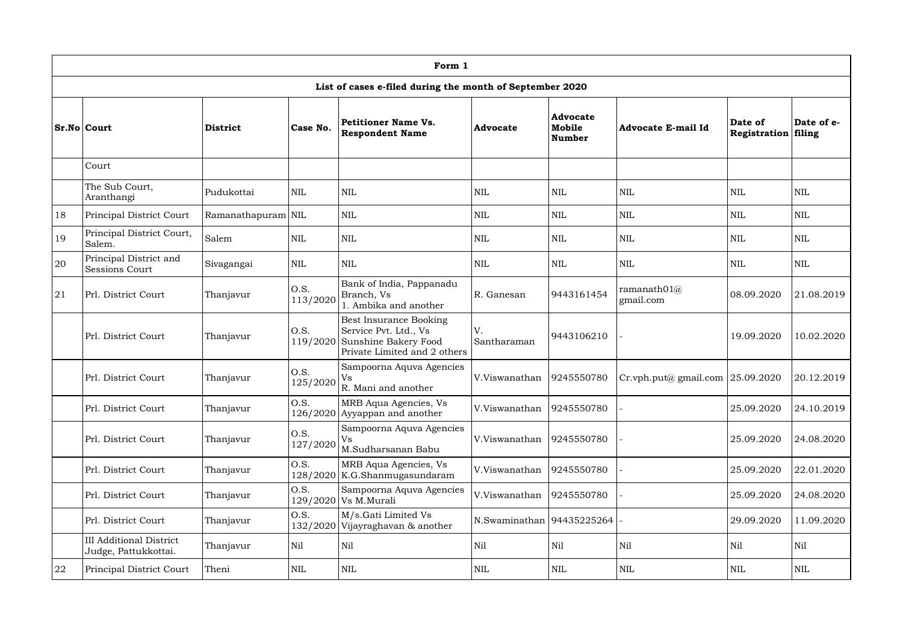|    | Form 1                                                   |                    |                  |                                                                                                                  |                             |                                     |                                         |                                       |            |  |  |  |  |
|----|----------------------------------------------------------|--------------------|------------------|------------------------------------------------------------------------------------------------------------------|-----------------------------|-------------------------------------|-----------------------------------------|---------------------------------------|------------|--|--|--|--|
|    | List of cases e-filed during the month of September 2020 |                    |                  |                                                                                                                  |                             |                                     |                                         |                                       |            |  |  |  |  |
|    | Sr.No Court                                              | <b>District</b>    | Case No.         | <b>Petitioner Name Vs.</b><br><b>Respondent Name</b>                                                             | <b>Advocate</b>             | <b>Advocate</b><br>Mobile<br>Number | <b>Advocate E-mail Id</b>               | Date of<br><b>Registration filing</b> | Date of e- |  |  |  |  |
|    | Court                                                    |                    |                  |                                                                                                                  |                             |                                     |                                         |                                       |            |  |  |  |  |
|    | The Sub Court,<br>Aranthangi                             | Pudukottai         | <b>NIL</b>       | <b>NIL</b>                                                                                                       | <b>NIL</b>                  | <b>NIL</b>                          | <b>NIL</b>                              | <b>NIL</b>                            | <b>NIL</b> |  |  |  |  |
| 18 | Principal District Court                                 | Ramanathapuram NIL |                  | $\mbox{NIL}$                                                                                                     | <b>NIL</b>                  | <b>NIL</b>                          | <b>NIL</b>                              | $\mbox{NIL}$                          | <b>NIL</b> |  |  |  |  |
| 19 | Principal District Court,<br>Salem.                      | Salem              | <b>NIL</b>       | <b>NIL</b>                                                                                                       | <b>NIL</b>                  | <b>NIL</b>                          | <b>NIL</b>                              | <b>NIL</b>                            | <b>NIL</b> |  |  |  |  |
| 20 | Principal District and<br><b>Sessions Court</b>          | Sivagangai         | $\mbox{NIL}$     | <b>NIL</b>                                                                                                       | <b>NIL</b>                  | <b>NIL</b>                          | <b>NIL</b>                              | NIL                                   | <b>NIL</b> |  |  |  |  |
| 21 | Prl. District Court                                      | Thanjavur          | O.S.<br>113/2020 | Bank of India, Pappanadu<br>Branch, Vs<br>1. Ambika and another                                                  | R. Ganesan                  | 9443161454                          | ramanath $01\mathcal{(a)}$<br>gmail.com | 08.09.2020                            | 21.08.2019 |  |  |  |  |
|    | Prl. District Court                                      | Thanjavur          | O.S.             | Best Insurance Booking<br>Service Pvt. Ltd., Vs<br>119/2020 Sunshine Bakery Food<br>Private Limited and 2 others | V.<br>Santharaman           | 9443106210                          |                                         | 19.09.2020                            | 10.02.2020 |  |  |  |  |
|    | Prl. District Court                                      | Thanjavur          | 0.S.<br>125/2020 | Sampoorna Aquva Agencies<br>Vs<br>R. Mani and another                                                            | V.Viswanathan               | 9245550780                          | Cr.vph.put@ gmail.com $ 25.09.2020$     |                                       | 20.12.2019 |  |  |  |  |
|    | Prl. District Court                                      | Thanjavur          | O.S.             | MRB Aqua Agencies, Vs<br>$126/2020$ Ayyappan and another                                                         | V.Viswanathan               | 9245550780                          |                                         | 25.09.2020                            | 24.10.2019 |  |  |  |  |
|    | Prl. District Court                                      | Thanjavur          | O.S.<br>127/2020 | Sampoorna Aquva Agencies<br>Vs<br>M.Sudharsanan Babu                                                             | V.Viswanathan               | 9245550780                          |                                         | 25.09.2020                            | 24.08.2020 |  |  |  |  |
|    | Prl. District Court                                      | Thanjavur          | O.S.             | MRB Aqua Agencies, Vs<br>128/2020 K.G.Shanmugasundaram                                                           | V.Viswanathan               | 9245550780                          |                                         | 25.09.2020                            | 22.01.2020 |  |  |  |  |
|    | Prl. District Court                                      | Thanjavur          | O.S.             | Sampoorna Aquva Agencies<br>129/2020 Vs M.Murali                                                                 | V.Viswanathan               | 9245550780                          |                                         | 25.09.2020                            | 24.08.2020 |  |  |  |  |
|    | Prl. District Court                                      | Thanjavur          | O.S.             | M/s.Gati Limited Vs<br>132/2020 Vijayraghavan & another                                                          | N.Swaminathan   94435225264 |                                     |                                         | 29.09.2020                            | 11.09.2020 |  |  |  |  |
|    | <b>III Additional District</b><br>Judge, Pattukkottai.   | Thanjavur          | Nil              | Nil                                                                                                              | Nil                         | Nil                                 | Nil                                     | Nil                                   | Nil        |  |  |  |  |
| 22 | Principal District Court                                 | Theni              | <b>NIL</b>       | $\mbox{NIL}$                                                                                                     | NIL                         | <b>NIL</b>                          | $\mbox{NIL}$                            | <b>NIL</b>                            | <b>NIL</b> |  |  |  |  |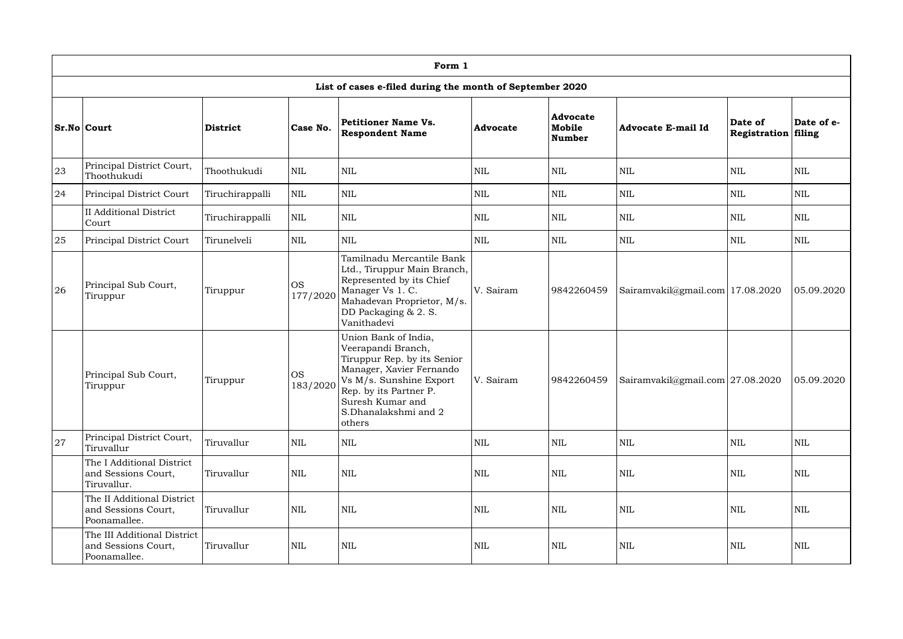|    | Form 1                                                             |                 |                       |                                                                                                                                                                                                                  |            |                                            |                                    |                         |                      |  |  |  |  |
|----|--------------------------------------------------------------------|-----------------|-----------------------|------------------------------------------------------------------------------------------------------------------------------------------------------------------------------------------------------------------|------------|--------------------------------------------|------------------------------------|-------------------------|----------------------|--|--|--|--|
|    |                                                                    |                 |                       | List of cases e-filed during the month of September 2020                                                                                                                                                         |            |                                            |                                    |                         |                      |  |  |  |  |
|    | <b>Sr.No Court</b>                                                 | <b>District</b> | Case No.              | Petitioner Name Vs.<br><b>Respondent Name</b>                                                                                                                                                                    | Advocate   | <b>Advocate</b><br>Mobile<br><b>Number</b> | <b>Advocate E-mail Id</b>          | Date of<br>Registration | Date of e-<br>filing |  |  |  |  |
| 23 | Principal District Court,<br>Thoothukudi                           | Thoothukudi     | <b>NIL</b>            | <b>NIL</b>                                                                                                                                                                                                       | <b>NIL</b> | <b>NIL</b>                                 | $\mbox{NIL}$                       | <b>NIL</b>              | <b>NIL</b>           |  |  |  |  |
| 24 | Principal District Court                                           | Tiruchirappalli | $\mbox{NIL}$          | <b>NIL</b>                                                                                                                                                                                                       | <b>NIL</b> | <b>NIL</b>                                 | $\mbox{NIL}$                       | NIL                     | <b>NIL</b>           |  |  |  |  |
|    | <b>II</b> Additional District<br>Court                             | Tiruchirappalli | $\mbox{NIL}$          | <b>NIL</b>                                                                                                                                                                                                       | <b>NIL</b> | <b>NIL</b>                                 | <b>NIL</b>                         | <b>NIL</b>              | <b>NIL</b>           |  |  |  |  |
| 25 | Principal District Court                                           | Tirunelveli     | $\mbox{NIL}$          | <b>NIL</b>                                                                                                                                                                                                       | <b>NIL</b> | <b>NIL</b>                                 | <b>NIL</b>                         | <b>NIL</b>              | <b>NIL</b>           |  |  |  |  |
| 26 | Principal Sub Court,<br>Tiruppur                                   | Tiruppur        | <b>OS</b><br>177/2020 | Tamilnadu Mercantile Bank<br>Ltd., Tiruppur Main Branch,<br>Represented by its Chief<br>Manager Vs 1. C.<br>Mahadevan Proprietor, M/s.<br>DD Packaging & 2. S.<br>Vanithadevi                                    | V. Sairam  | 9842260459                                 | Sairamvakil@gmail.com   17.08.2020 |                         | 05.09.2020           |  |  |  |  |
|    | Principal Sub Court,<br>Tiruppur                                   | Tiruppur        | <b>OS</b><br>183/2020 | Union Bank of India,<br>Veerapandi Branch,<br>Tiruppur Rep. by its Senior<br>Manager, Xavier Fernando<br>Vs M/s. Sunshine Export<br>Rep. by its Partner P.<br>Suresh Kumar and<br>S.Dhanalakshmi and 2<br>others | V. Sairam  | 9842260459                                 | Sairamvakil@gmail.com 27.08.2020   |                         | 05.09.2020           |  |  |  |  |
| 27 | Principal District Court,<br>Tiruvallur                            | Tiruvallur      | <b>NIL</b>            | <b>NIL</b>                                                                                                                                                                                                       | <b>NIL</b> | <b>NIL</b>                                 | <b>NIL</b>                         | <b>NIL</b>              | NIL                  |  |  |  |  |
|    | The I Additional District<br>and Sessions Court,<br>Tiruvallur.    | Tiruvallur      | $\text{NIL}$          | <b>NIL</b>                                                                                                                                                                                                       | <b>NIL</b> | <b>NIL</b>                                 | <b>NIL</b>                         | <b>NIL</b>              | NIL                  |  |  |  |  |
|    | The II Additional District<br>and Sessions Court,<br>Poonamallee.  | Tiruvallur      | $\mbox{NIL}$          | <b>NIL</b>                                                                                                                                                                                                       | <b>NIL</b> | <b>NIL</b>                                 | <b>NIL</b>                         | <b>NIL</b>              | NIL                  |  |  |  |  |
|    | The III Additional District<br>and Sessions Court,<br>Poonamallee. | Tiruvallur      | $\mbox{NIL}$          | <b>NIL</b>                                                                                                                                                                                                       | <b>NIL</b> | <b>NIL</b>                                 | <b>NIL</b>                         | <b>NIL</b>              | NIL                  |  |  |  |  |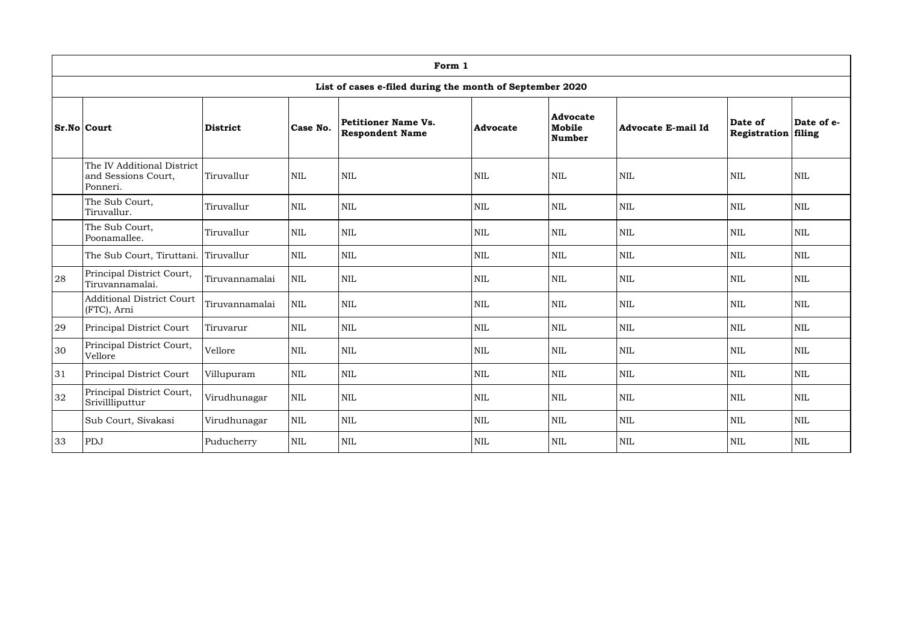|                                                                                                                                                                                                                         | Form 1                                                        |                |              |            |            |              |              |              |                      |  |  |  |  |
|-------------------------------------------------------------------------------------------------------------------------------------------------------------------------------------------------------------------------|---------------------------------------------------------------|----------------|--------------|------------|------------|--------------|--------------|--------------|----------------------|--|--|--|--|
|                                                                                                                                                                                                                         | List of cases e-filed during the month of September 2020      |                |              |            |            |              |              |              |                      |  |  |  |  |
| <b>Advocate</b><br>Petitioner Name Vs.<br>Date of<br>Case No.<br>Mobile<br>$Sr.No $ Court<br><b>District</b><br><b>Advocate E-mail Id</b><br><b>Advocate</b><br><b>Respondent Name</b><br>Registration<br><b>Number</b> |                                                               |                |              |            |            |              |              |              | Date of e-<br>filing |  |  |  |  |
|                                                                                                                                                                                                                         | The IV Additional District<br>and Sessions Court,<br>Ponneri. | Tiruvallur     | $\mbox{NIL}$ | <b>NIL</b> | <b>NIL</b> | <b>NIL</b>   | $\mbox{NIL}$ | <b>NIL</b>   | <b>NIL</b>           |  |  |  |  |
|                                                                                                                                                                                                                         | The Sub Court,<br>Tiruvallur.                                 | Tiruvallur     | $\mbox{NIL}$ | <b>NIL</b> | <b>NIL</b> | <b>NIL</b>   | $\mbox{NIL}$ | <b>NIL</b>   | <b>NIL</b>           |  |  |  |  |
|                                                                                                                                                                                                                         | The Sub Court,<br>Poonamallee.                                | Tiruvallur     | $\text{NIL}$ | <b>NIL</b> | <b>NIL</b> | <b>NIL</b>   | $\mbox{NIL}$ | NIL          | <b>NIL</b>           |  |  |  |  |
|                                                                                                                                                                                                                         | The Sub Court, Tiruttani.                                     | Tiruvallur     | <b>NIL</b>   | <b>NIL</b> | <b>NIL</b> | <b>NIL</b>   | $\mbox{NIL}$ | <b>NIL</b>   | <b>NIL</b>           |  |  |  |  |
| 28                                                                                                                                                                                                                      | Principal District Court,<br>Tiruvannamalai.                  | Tiruvannamalai | <b>NIL</b>   | <b>NIL</b> | <b>NIL</b> | <b>NIL</b>   | $\mbox{NIL}$ | <b>NIL</b>   | <b>NIL</b>           |  |  |  |  |
|                                                                                                                                                                                                                         | <b>Additional District Court</b><br>(FTC), Arni               | Tiruvannamalai | $\mbox{NIL}$ | <b>NIL</b> | <b>NIL</b> | $\mbox{NIL}$ | $\mbox{NIL}$ | <b>NIL</b>   | <b>NIL</b>           |  |  |  |  |
| 29                                                                                                                                                                                                                      | Principal District Court                                      | Tiruvarur      | $\mbox{NIL}$ | <b>NIL</b> | <b>NIL</b> | $\mbox{NIL}$ | $\mbox{NIL}$ | <b>NIL</b>   | <b>NIL</b>           |  |  |  |  |
| 30                                                                                                                                                                                                                      | Principal District Court,<br>Vellore                          | Vellore        | $\text{NIL}$ | <b>NIL</b> | <b>NIL</b> | <b>NIL</b>   | $\mbox{NIL}$ | NIL          | NIL                  |  |  |  |  |
| 31                                                                                                                                                                                                                      | Principal District Court                                      | Villupuram     | $\text{NIL}$ | <b>NIL</b> | <b>NIL</b> | NIL          | $\mbox{NIL}$ | NIL          | <b>NIL</b>           |  |  |  |  |
| 32                                                                                                                                                                                                                      | Principal District Court,<br>Srivillliputtur                  | Virudhunagar   | <b>NIL</b>   | NIL        | <b>NIL</b> | <b>NIL</b>   | <b>NIL</b>   | <b>NIL</b>   | <b>NIL</b>           |  |  |  |  |
|                                                                                                                                                                                                                         | Sub Court, Sivakasi                                           | Virudhunagar   | NIL          | <b>NIL</b> | <b>NIL</b> | NIL          | $\mbox{NIL}$ | $\mbox{NIL}$ | <b>NIL</b>           |  |  |  |  |
| 33                                                                                                                                                                                                                      | PDJ                                                           | Puducherry     | $\mbox{NIL}$ | NIL        | NIL        | NIL          | <b>NIL</b>   | NIL          | <b>NIL</b>           |  |  |  |  |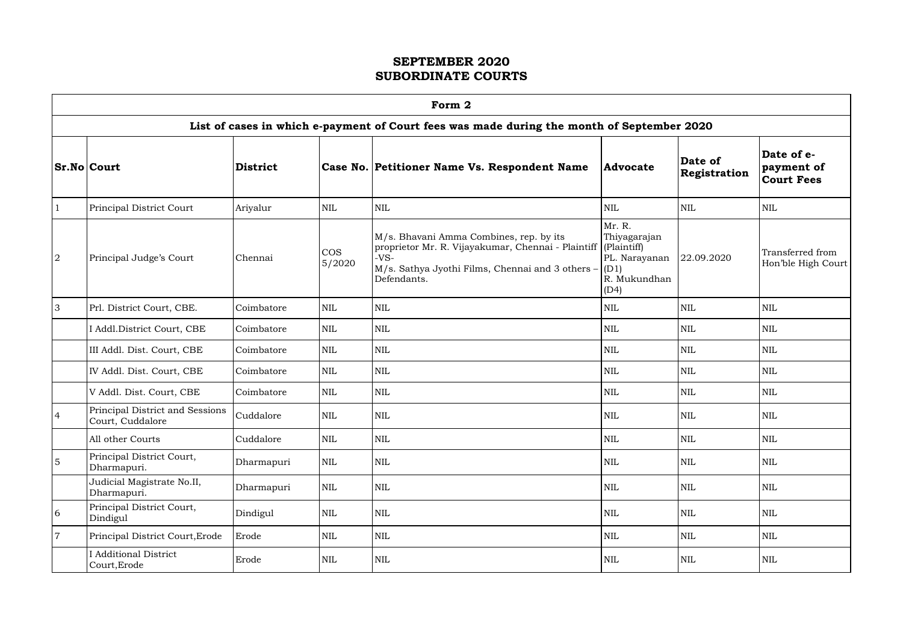|   |                                                                                            |                 |                      | Form 2                                                                                                                                                                                 |                                                                         |                         |                                               |  |  |  |  |  |  |
|---|--------------------------------------------------------------------------------------------|-----------------|----------------------|----------------------------------------------------------------------------------------------------------------------------------------------------------------------------------------|-------------------------------------------------------------------------|-------------------------|-----------------------------------------------|--|--|--|--|--|--|
|   | List of cases in which e-payment of Court fees was made during the month of September 2020 |                 |                      |                                                                                                                                                                                        |                                                                         |                         |                                               |  |  |  |  |  |  |
|   | <b>Sr.No Court</b>                                                                         | <b>District</b> |                      | Case No. Petitioner Name Vs. Respondent Name                                                                                                                                           | <b>Advocate</b>                                                         | Date of<br>Registration | Date of e-<br>payment of<br><b>Court Fees</b> |  |  |  |  |  |  |
|   | Principal District Court                                                                   | Ariyalur        | <b>NIL</b>           | <b>NIL</b>                                                                                                                                                                             | <b>NIL</b>                                                              | <b>NIL</b>              | $\mbox{NIL}$                                  |  |  |  |  |  |  |
| 2 | Principal Judge's Court                                                                    | Chennai         | <b>COS</b><br>5/2020 | M/s. Bhavani Amma Combines, rep. by its<br>proprietor Mr. R. Vijayakumar, Chennai - Plaintiff (Plaintiff)<br>$-VS-$<br>M/s. Sathya Jyothi Films, Chennai and 3 others -<br>Defendants. | Mr. R.<br>Thiyagarajan<br>PL. Narayanan<br>(D1)<br>R. Mukundhan<br>(D4) | 22.09.2020              | Transferred from<br>Hon'ble High Court        |  |  |  |  |  |  |
| 3 | Prl. District Court, CBE.                                                                  | Coimbatore      | <b>NIL</b>           | <b>NIL</b>                                                                                                                                                                             | <b>NIL</b>                                                              | <b>NIL</b>              | $\mbox{NIL}$                                  |  |  |  |  |  |  |
|   | I Addl. District Court, CBE                                                                | Coimbatore      | <b>NIL</b>           | <b>NIL</b>                                                                                                                                                                             | <b>NIL</b>                                                              | <b>NIL</b>              | <b>NIL</b>                                    |  |  |  |  |  |  |
|   | III Addl. Dist. Court, CBE                                                                 | Coimbatore      | <b>NIL</b>           | <b>NIL</b>                                                                                                                                                                             | <b>NIL</b>                                                              | $\text{NIL}$            | <b>NIL</b>                                    |  |  |  |  |  |  |
|   | IV Addl. Dist. Court, CBE                                                                  | Coimbatore      | <b>NIL</b>           | <b>NIL</b>                                                                                                                                                                             | <b>NIL</b>                                                              | <b>NIL</b>              | <b>NIL</b>                                    |  |  |  |  |  |  |
|   | V Addl. Dist. Court, CBE                                                                   | Coimbatore      | <b>NIL</b>           | <b>NIL</b>                                                                                                                                                                             | <b>NIL</b>                                                              | <b>NIL</b>              | <b>NIL</b>                                    |  |  |  |  |  |  |
| 4 | Principal District and Sessions<br>Court, Cuddalore                                        | Cuddalore       | <b>NIL</b>           | <b>NIL</b>                                                                                                                                                                             | <b>NIL</b>                                                              | <b>NIL</b>              | <b>NIL</b>                                    |  |  |  |  |  |  |
|   | All other Courts                                                                           | Cuddalore       | $\mbox{NIL}$         | <b>NIL</b>                                                                                                                                                                             | $\mbox{NIL}$                                                            | $\mbox{NIL}$            | <b>NIL</b>                                    |  |  |  |  |  |  |
| 5 | Principal District Court,<br>Dharmapuri.                                                   | Dharmapuri      | <b>NIL</b>           | <b>NIL</b>                                                                                                                                                                             | NIL                                                                     | $\mbox{NIL}$            | NIL                                           |  |  |  |  |  |  |
|   | Judicial Magistrate No.II,<br>Dharmapuri.                                                  | Dharmapuri      | <b>NIL</b>           | NIL                                                                                                                                                                                    | NIL                                                                     | $\mbox{NIL}$            | NIL                                           |  |  |  |  |  |  |
| 6 | Principal District Court,<br>Dindigul                                                      | Dindigul        | <b>NIL</b>           | <b>NIL</b>                                                                                                                                                                             | NIL                                                                     | $\mbox{NIL}$            | $\mbox{NIL}$                                  |  |  |  |  |  |  |
|   | Principal District Court, Erode                                                            | Erode           | <b>NIL</b>           | $\mbox{NIL}$                                                                                                                                                                           | <b>NIL</b>                                                              | $\mbox{NIL}$            | NIL                                           |  |  |  |  |  |  |
|   | <b>I</b> Additional District<br>Court, Erode                                               | Erode           | <b>NIL</b>           | <b>NIL</b>                                                                                                                                                                             | NIL                                                                     | $\mbox{NIL}$            | NIL                                           |  |  |  |  |  |  |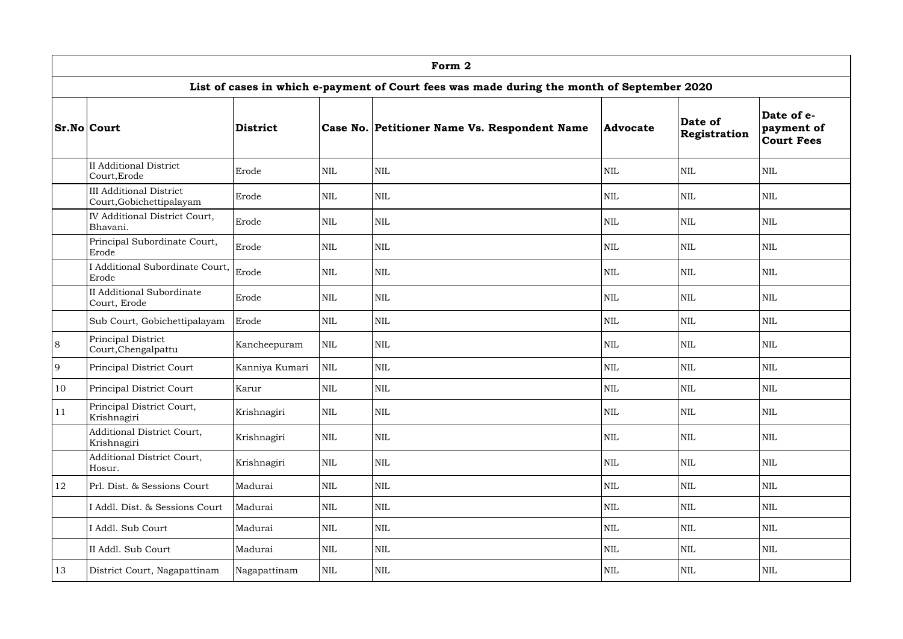|               |                                                                                            |                 |              | Form 2                                       |                 |                         |                                               |  |  |  |  |  |  |
|---------------|--------------------------------------------------------------------------------------------|-----------------|--------------|----------------------------------------------|-----------------|-------------------------|-----------------------------------------------|--|--|--|--|--|--|
|               | List of cases in which e-payment of Court fees was made during the month of September 2020 |                 |              |                                              |                 |                         |                                               |  |  |  |  |  |  |
|               | <b>Sr.No Court</b>                                                                         | <b>District</b> |              | Case No. Petitioner Name Vs. Respondent Name | <b>Advocate</b> | Date of<br>Registration | Date of e-<br>payment of<br><b>Court Fees</b> |  |  |  |  |  |  |
|               | <b>II Additional District</b><br>Court, Erode                                              | Erode           | $\mbox{NIL}$ | NIL                                          | <b>NIL</b>      | <b>NIL</b>              | <b>NIL</b>                                    |  |  |  |  |  |  |
|               | <b>III Additional District</b><br>Court, Gobichettipalayam                                 | Erode           | <b>NIL</b>   | NIL                                          | <b>NIL</b>      | <b>NIL</b>              | <b>NIL</b>                                    |  |  |  |  |  |  |
|               | <b>IV Additional District Court,</b><br>Bhavani.                                           | Erode           | $\mbox{NIL}$ | $\mbox{NIL}$                                 | $\text{NIL}$    | <b>NIL</b>              | <b>NIL</b>                                    |  |  |  |  |  |  |
|               | Principal Subordinate Court,<br>Erode                                                      | Erode           | $\mbox{NIL}$ | $\mbox{NIL}$                                 | $\text{NIL}$    | <b>NIL</b>              | <b>NIL</b>                                    |  |  |  |  |  |  |
|               | I Additional Subordinate Court,<br>Erode                                                   | Erode           | $\mbox{NIL}$ | $\mbox{NIL}$                                 | $\text{NIL}$    | <b>NIL</b>              | <b>NIL</b>                                    |  |  |  |  |  |  |
|               | <b>II Additional Subordinate</b><br>Court, Erode                                           | Erode           | $\mbox{NIL}$ | $\mbox{NIL}$                                 | $\text{NIL}$    | <b>NIL</b>              | <b>NIL</b>                                    |  |  |  |  |  |  |
|               | Sub Court, Gobichettipalayam                                                               | Erode           | $\mbox{NIL}$ | $\mbox{NIL}$                                 | <b>NIL</b>      | <b>NIL</b>              | <b>NIL</b>                                    |  |  |  |  |  |  |
| 8             | Principal District<br>Court, Chengalpattu                                                  | Kancheepuram    | $\mbox{NIL}$ | $\mbox{NIL}$                                 | $\text{NIL}$    | <b>NIL</b>              | <b>NIL</b>                                    |  |  |  |  |  |  |
| 9             | Principal District Court                                                                   | Kanniya Kumari  | $\mbox{NIL}$ | $\mbox{NIL}$                                 | $\text{NIL}$    | <b>NIL</b>              | <b>NIL</b>                                    |  |  |  |  |  |  |
| 10            | Principal District Court                                                                   | Karur           | $\mbox{NIL}$ | $\mbox{NIL}$                                 | <b>NIL</b>      | <b>NIL</b>              | <b>NIL</b>                                    |  |  |  |  |  |  |
| <sup>11</sup> | Principal District Court,<br>Krishnagiri                                                   | Krishnagiri     | $\mbox{NIL}$ | $\mbox{NIL}$                                 | $\mbox{NIL}$    | <b>NIL</b>              | <b>NIL</b>                                    |  |  |  |  |  |  |
|               | Additional District Court,<br>Krishnagiri                                                  | Krishnagiri     | $\mbox{NIL}$ | $\mbox{NIL}$                                 | $\mbox{NIL}$    | <b>NIL</b>              | <b>NIL</b>                                    |  |  |  |  |  |  |
|               | Additional District Court,<br>Hosur.                                                       | Krishnagiri     | $\mbox{NIL}$ | $\mbox{NIL}$                                 | $\mbox{NIL}$    | <b>NIL</b>              | <b>NIL</b>                                    |  |  |  |  |  |  |
| 12            | Prl. Dist. & Sessions Court                                                                | Madurai         | $\mbox{NIL}$ | $\mbox{NIL}$                                 | $\mbox{NIL}$    | $\mbox{NIL}$            | <b>NIL</b>                                    |  |  |  |  |  |  |
|               | Addl. Dist. & Sessions Court                                                               | Madurai         | $\mbox{NIL}$ | $\mbox{NIL}$                                 | $\mbox{NIL}$    | <b>NIL</b>              | <b>NIL</b>                                    |  |  |  |  |  |  |
|               | I Addl. Sub Court                                                                          | Madurai         | $\mbox{NIL}$ | $\mbox{NIL}$                                 | $\mbox{NIL}$    | <b>NIL</b>              | <b>NIL</b>                                    |  |  |  |  |  |  |
|               | II Addl. Sub Court                                                                         | Madurai         | $\mbox{NIL}$ | $\mbox{NIL}$                                 | $\text{NIL}$    | <b>NIL</b>              | $\mbox{NIL}$                                  |  |  |  |  |  |  |
| 13            | District Court, Nagapattinam                                                               | Nagapattinam    | $\mbox{NIL}$ | NIL                                          | $\mbox{NIL}$    | $\mbox{NIL}$            | <b>NIL</b>                                    |  |  |  |  |  |  |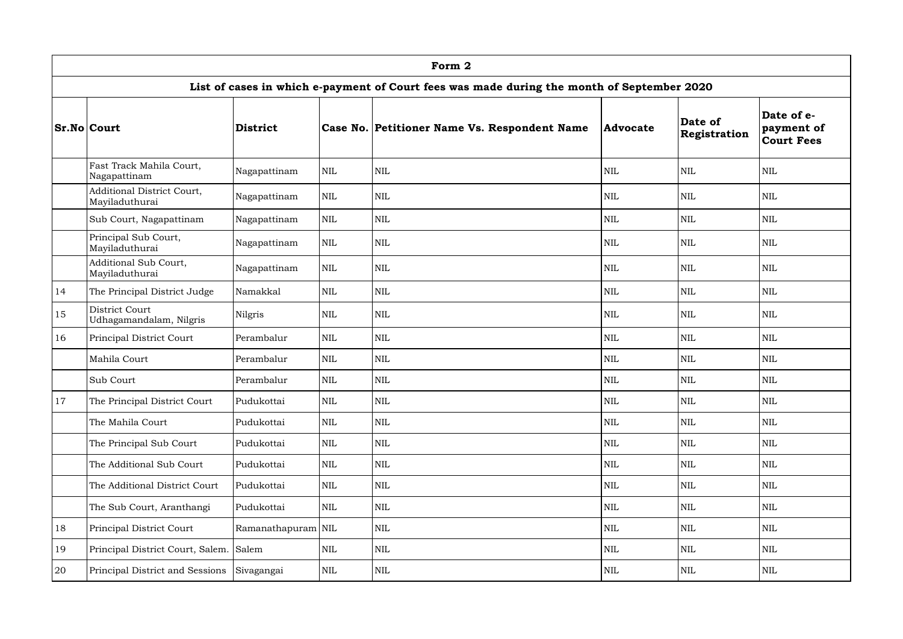|               |                                                                                            |                    |              | Form 2                                       |                 |                         |                                               |  |  |  |  |  |  |
|---------------|--------------------------------------------------------------------------------------------|--------------------|--------------|----------------------------------------------|-----------------|-------------------------|-----------------------------------------------|--|--|--|--|--|--|
|               | List of cases in which e-payment of Court fees was made during the month of September 2020 |                    |              |                                              |                 |                         |                                               |  |  |  |  |  |  |
|               | <b>Sr.No Court</b>                                                                         | District           |              | Case No. Petitioner Name Vs. Respondent Name | <b>Advocate</b> | Date of<br>Registration | Date of e-<br>payment of<br><b>Court Fees</b> |  |  |  |  |  |  |
|               | Fast Track Mahila Court,<br>Nagapattinam                                                   | Nagapattinam       | $\mbox{NIL}$ | <b>NIL</b>                                   | <b>NIL</b>      | <b>NIL</b>              | <b>NIL</b>                                    |  |  |  |  |  |  |
|               | Additional District Court,<br>Mayiladuthurai                                               | Nagapattinam       | $\mbox{NIL}$ | <b>NIL</b>                                   | <b>NIL</b>      | <b>NIL</b>              | <b>NIL</b>                                    |  |  |  |  |  |  |
|               | Sub Court, Nagapattinam                                                                    | Nagapattinam       | $\mbox{NIL}$ | <b>NIL</b>                                   | <b>NIL</b>      | <b>NIL</b>              | <b>NIL</b>                                    |  |  |  |  |  |  |
|               | Principal Sub Court,<br>Mayiladuthurai                                                     | Nagapattinam       | $\text{NIL}$ | <b>NIL</b>                                   | <b>NIL</b>      | <b>NIL</b>              | <b>NIL</b>                                    |  |  |  |  |  |  |
|               | Additional Sub Court,<br>Mayiladuthurai                                                    | Nagapattinam       | <b>NIL</b>   | <b>NIL</b>                                   | <b>NIL</b>      | <b>NIL</b>              | <b>NIL</b>                                    |  |  |  |  |  |  |
| 14            | The Principal District Judge                                                               | Namakkal           | <b>NIL</b>   | <b>NIL</b>                                   | <b>NIL</b>      | <b>NIL</b>              | <b>NIL</b>                                    |  |  |  |  |  |  |
| 15            | District Court<br>Udhagamandalam, Nilgris                                                  | Nilgris            | $\text{NIL}$ | <b>NIL</b>                                   | <b>NIL</b>      | <b>NIL</b>              | <b>NIL</b>                                    |  |  |  |  |  |  |
| 16            | Principal District Court                                                                   | Perambalur         | <b>NIL</b>   | <b>NIL</b>                                   | <b>NIL</b>      | <b>NIL</b>              | <b>NIL</b>                                    |  |  |  |  |  |  |
|               | Mahila Court                                                                               | Perambalur         | <b>NIL</b>   | <b>NIL</b>                                   | <b>NIL</b>      | <b>NIL</b>              | <b>NIL</b>                                    |  |  |  |  |  |  |
|               | Sub Court                                                                                  | Perambalur         | <b>NIL</b>   | <b>NIL</b>                                   | <b>NIL</b>      | <b>NIL</b>              | <b>NIL</b>                                    |  |  |  |  |  |  |
| <sup>17</sup> | The Principal District Court                                                               | Pudukottai         | $\mbox{NIL}$ | <b>NIL</b>                                   | $\mbox{NIL}$    | <b>NIL</b>              | $\mbox{NIL}$                                  |  |  |  |  |  |  |
|               | The Mahila Court                                                                           | Pudukottai         | $\mbox{NIL}$ | $\mbox{NIL}$                                 | <b>NIL</b>      | <b>NIL</b>              | <b>NIL</b>                                    |  |  |  |  |  |  |
|               | The Principal Sub Court                                                                    | Pudukottai         | $\mbox{NIL}$ | <b>NIL</b>                                   | $\mbox{NIL}$    | <b>NIL</b>              | <b>NIL</b>                                    |  |  |  |  |  |  |
|               | The Additional Sub Court                                                                   | Pudukottai         | $\mbox{NIL}$ | NIL                                          | <b>NIL</b>      | <b>NIL</b>              | <b>NIL</b>                                    |  |  |  |  |  |  |
|               | The Additional District Court                                                              | Pudukottai         | $\mbox{NIL}$ | $\mbox{NIL}$                                 | <b>NIL</b>      | <b>NIL</b>              | <b>NIL</b>                                    |  |  |  |  |  |  |
|               | The Sub Court, Aranthangi                                                                  | Pudukottai         | <b>NIL</b>   | <b>NIL</b>                                   | <b>NIL</b>      | <b>NIL</b>              | <b>NIL</b>                                    |  |  |  |  |  |  |
| 18            | Principal District Court                                                                   | Ramanathapuram NIL |              | NIL                                          | <b>NIL</b>      | <b>NIL</b>              | <b>NIL</b>                                    |  |  |  |  |  |  |
| 19            | Principal District Court, Salem. Salem                                                     |                    | $\mbox{NIL}$ | $\mbox{NIL}$                                 | $\mbox{NIL}$    | <b>NIL</b>              | <b>NIL</b>                                    |  |  |  |  |  |  |
| 20            | Principal District and Sessions                                                            | Sivagangai         | NIL          | <b>NIL</b>                                   | $\mbox{NIL}$    | NIL                     | <b>NIL</b>                                    |  |  |  |  |  |  |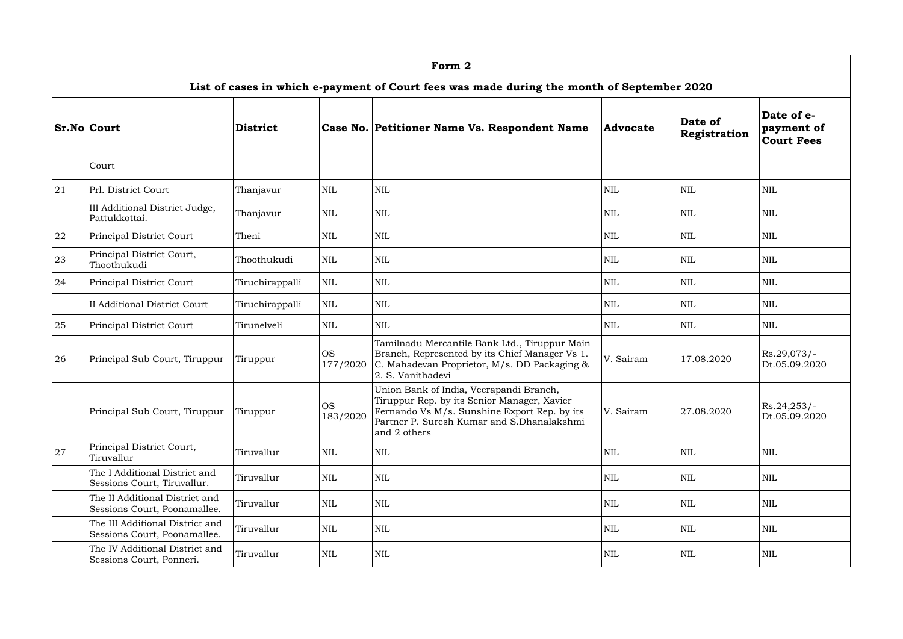|    |                                                                                            |                 |                       | Form 2                                                                                                                                                                                               |                 |                         |                                               |  |  |  |  |  |  |
|----|--------------------------------------------------------------------------------------------|-----------------|-----------------------|------------------------------------------------------------------------------------------------------------------------------------------------------------------------------------------------------|-----------------|-------------------------|-----------------------------------------------|--|--|--|--|--|--|
|    | List of cases in which e-payment of Court fees was made during the month of September 2020 |                 |                       |                                                                                                                                                                                                      |                 |                         |                                               |  |  |  |  |  |  |
|    | <b>Sr.No Court</b>                                                                         | <b>District</b> |                       | Case No. Petitioner Name Vs. Respondent Name                                                                                                                                                         | <b>Advocate</b> | Date of<br>Registration | Date of e-<br>payment of<br><b>Court Fees</b> |  |  |  |  |  |  |
|    | Court                                                                                      |                 |                       |                                                                                                                                                                                                      |                 |                         |                                               |  |  |  |  |  |  |
| 21 | Prl. District Court                                                                        | Thanjavur       | <b>NIL</b>            | <b>NIL</b>                                                                                                                                                                                           | $\mbox{NIL}$    | <b>NIL</b>              | <b>NIL</b>                                    |  |  |  |  |  |  |
|    | III Additional District Judge,<br>Pattukkottai.                                            | Thanjavur       | <b>NIL</b>            | <b>NIL</b>                                                                                                                                                                                           | <b>NIL</b>      | <b>NIL</b>              | <b>NIL</b>                                    |  |  |  |  |  |  |
| 22 | Principal District Court                                                                   | Theni           | <b>NIL</b>            | <b>NIL</b>                                                                                                                                                                                           | <b>NIL</b>      | <b>NIL</b>              | <b>NIL</b>                                    |  |  |  |  |  |  |
| 23 | Principal District Court,<br>Thoothukudi                                                   | Thoothukudi     | <b>NIL</b>            | <b>NIL</b>                                                                                                                                                                                           | <b>NIL</b>      | <b>NIL</b>              | <b>NIL</b>                                    |  |  |  |  |  |  |
| 24 | Principal District Court                                                                   | Tiruchirappalli | <b>NIL</b>            | <b>NIL</b>                                                                                                                                                                                           | <b>NIL</b>      | <b>NIL</b>              | <b>NIL</b>                                    |  |  |  |  |  |  |
|    | <b>II Additional District Court</b>                                                        | Tiruchirappalli | <b>NIL</b>            | <b>NIL</b>                                                                                                                                                                                           | <b>NIL</b>      | <b>NIL</b>              | <b>NIL</b>                                    |  |  |  |  |  |  |
| 25 | Principal District Court                                                                   | Tirunelveli     | <b>NIL</b>            | <b>NIL</b>                                                                                                                                                                                           | NIL             | <b>NIL</b>              | <b>NIL</b>                                    |  |  |  |  |  |  |
| 26 | Principal Sub Court, Tiruppur                                                              | Tiruppur        | <b>OS</b><br>177/2020 | Tamilnadu Mercantile Bank Ltd., Tiruppur Main<br>Branch, Represented by its Chief Manager Vs 1.<br>C. Mahadevan Proprietor, M/s. DD Packaging &<br>2. S. Vanithadevi                                 | V. Sairam       | 17.08.2020              | Rs.29,073/-<br>Dt.05.09.2020                  |  |  |  |  |  |  |
|    | Principal Sub Court, Tiruppur                                                              | Tiruppur        | <b>OS</b><br>183/2020 | Union Bank of India, Veerapandi Branch,<br>Tiruppur Rep. by its Senior Manager, Xavier<br>Fernando Vs M/s. Sunshine Export Rep. by its<br>Partner P. Suresh Kumar and S.Dhanalakshmi<br>and 2 others | V. Sairam       | 27.08.2020              | RS.24,253/<br>Dt.05.09.2020                   |  |  |  |  |  |  |
| 27 | Principal District Court,<br>Tiruvallur                                                    | Tiruvallur      | <b>NIL</b>            | <b>NIL</b>                                                                                                                                                                                           | $\mbox{NIL}$    | <b>NIL</b>              | <b>NIL</b>                                    |  |  |  |  |  |  |
|    | The I Additional District and<br>Sessions Court, Tiruvallur.                               | Tiruvallur      | <b>NIL</b>            | <b>NIL</b>                                                                                                                                                                                           | <b>NIL</b>      | <b>NIL</b>              | <b>NIL</b>                                    |  |  |  |  |  |  |
|    | The II Additional District and<br>Sessions Court, Poonamallee.                             | Tiruvallur      | <b>NIL</b>            | <b>NIL</b>                                                                                                                                                                                           | $\mbox{NIL}$    | <b>NIL</b>              | <b>NIL</b>                                    |  |  |  |  |  |  |
|    | The III Additional District and<br>Sessions Court, Poonamallee.                            | Tiruvallur      | <b>NIL</b>            | <b>NIL</b>                                                                                                                                                                                           | $\mbox{NIL}$    | <b>NIL</b>              | <b>NIL</b>                                    |  |  |  |  |  |  |
|    | The IV Additional District and<br>Sessions Court, Ponneri.                                 | Tiruvallur      | <b>NIL</b>            | <b>NIL</b>                                                                                                                                                                                           | NIL             | NIL                     | <b>NIL</b>                                    |  |  |  |  |  |  |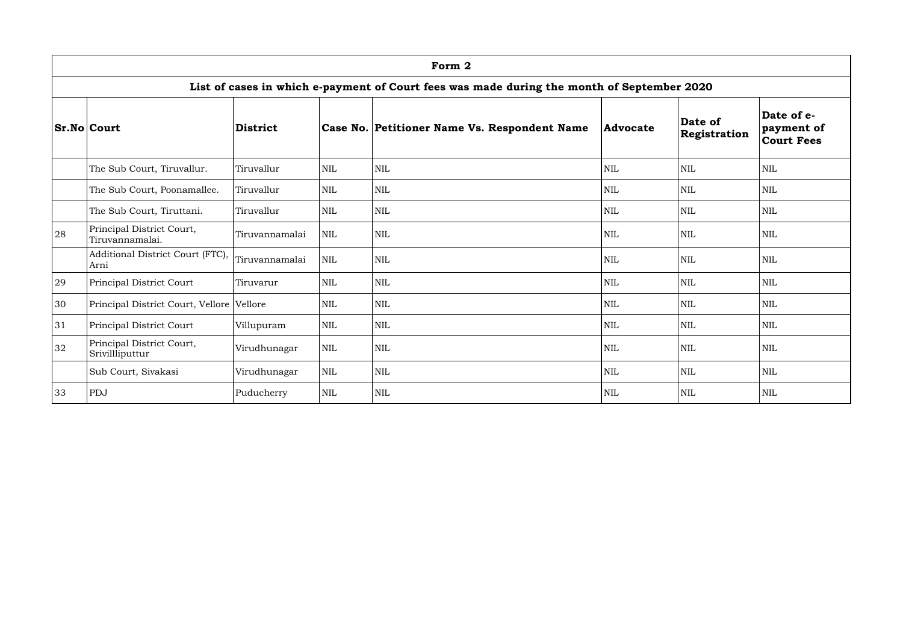|    | Form 2                                                                                     |                 |              |                                              |                 |                         |                                               |  |  |  |  |  |
|----|--------------------------------------------------------------------------------------------|-----------------|--------------|----------------------------------------------|-----------------|-------------------------|-----------------------------------------------|--|--|--|--|--|
|    | List of cases in which e-payment of Court fees was made during the month of September 2020 |                 |              |                                              |                 |                         |                                               |  |  |  |  |  |
|    | <b>Sr.No Court</b>                                                                         | <b>District</b> |              | Case No. Petitioner Name Vs. Respondent Name | <b>Advocate</b> | Date of<br>Registration | Date of e-<br>payment of<br><b>Court Fees</b> |  |  |  |  |  |
|    | The Sub Court, Tiruvallur.                                                                 | Tiruvallur      | $\mbox{NIL}$ | $\mbox{NIL}$                                 | $\mbox{NIL}$    | $\mbox{NIL}$            | <b>NIL</b>                                    |  |  |  |  |  |
|    | The Sub Court, Poonamallee.                                                                | Tiruvallur      | <b>NIL</b>   | NIL                                          | <b>NIL</b>      | <b>NIL</b>              | <b>NIL</b>                                    |  |  |  |  |  |
|    | The Sub Court, Tiruttani.                                                                  | Tiruvallur      | <b>NIL</b>   | NIL                                          | <b>NIL</b>      | <b>NIL</b>              | <b>NIL</b>                                    |  |  |  |  |  |
| 28 | Principal District Court,<br>Tiruvannamalai.                                               | Tiruvannamalai  | <b>NIL</b>   | NIL                                          | <b>NIL</b>      | <b>NIL</b>              | <b>NIL</b>                                    |  |  |  |  |  |
|    | Additional District Court (FTC),<br>Arni                                                   | Tiruvannamalai  | <b>NIL</b>   | NIL                                          | <b>NIL</b>      | <b>NIL</b>              | <b>NIL</b>                                    |  |  |  |  |  |
| 29 | Principal District Court                                                                   | Tiruvarur       | <b>NIL</b>   | NIL                                          | <b>NIL</b>      | <b>NIL</b>              | <b>NIL</b>                                    |  |  |  |  |  |
| 30 | Principal District Court, Vellore Vellore                                                  |                 | <b>NIL</b>   | $\mbox{NIL}$                                 | <b>NIL</b>      | $\text{NIL}$            | <b>NIL</b>                                    |  |  |  |  |  |
| 31 | Principal District Court                                                                   | Villupuram      | <b>NIL</b>   | $\mbox{NIL}$                                 | $\mbox{NIL}$    | <b>NIL</b>              | <b>NIL</b>                                    |  |  |  |  |  |
| 32 | Principal District Court,<br>Srivillliputtur                                               | Virudhunagar    | <b>NIL</b>   | $\mbox{NIL}$                                 | $\mbox{NIL}$    | $\mbox{NIL}$            | <b>NIL</b>                                    |  |  |  |  |  |
|    | Sub Court, Sivakasi                                                                        | Virudhunagar    | <b>NIL</b>   | $\mbox{NIL}$                                 | $\mbox{NIL}$    | <b>NIL</b>              | <b>NIL</b>                                    |  |  |  |  |  |
| 33 | PDJ                                                                                        | Puducherry      | $\mbox{NIL}$ | NIL                                          | <b>NIL</b>      | <b>NIL</b>              | <b>NIL</b>                                    |  |  |  |  |  |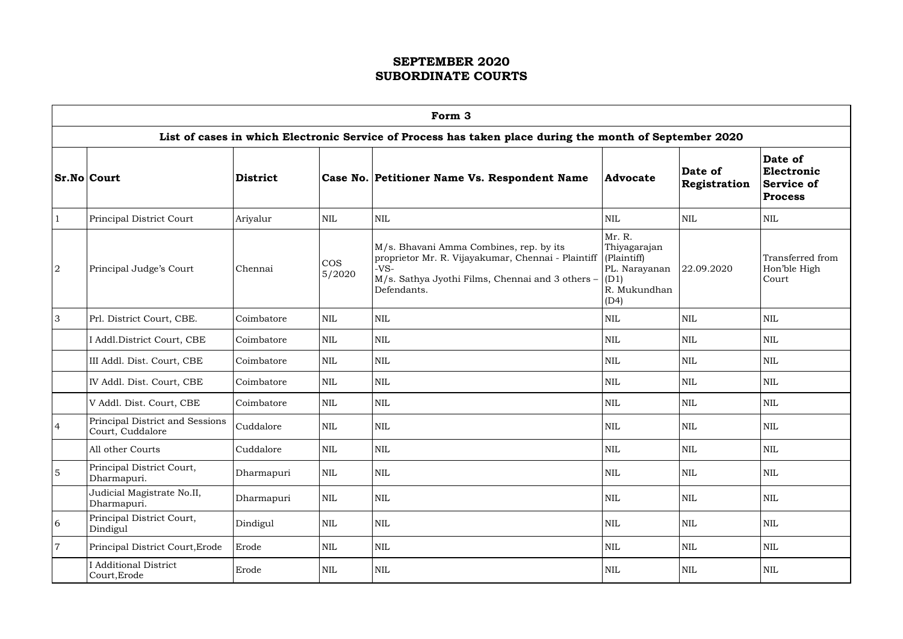|                 | Form 3                                              |            |                      |                                                                                                                                                                            |                                                                                        |                         |                                                              |  |  |  |  |  |
|-----------------|-----------------------------------------------------|------------|----------------------|----------------------------------------------------------------------------------------------------------------------------------------------------------------------------|----------------------------------------------------------------------------------------|-------------------------|--------------------------------------------------------------|--|--|--|--|--|
|                 |                                                     |            |                      | List of cases in which Electronic Service of Process has taken place during the month of September 2020                                                                    |                                                                                        |                         |                                                              |  |  |  |  |  |
|                 | <b>Sr.No Court</b>                                  | District   |                      | Case No. Petitioner Name Vs. Respondent Name                                                                                                                               | <b>Advocate</b>                                                                        | Date of<br>Registration | Date of<br>Electronic<br><b>Service of</b><br><b>Process</b> |  |  |  |  |  |
| $\mathbf{1}$    | Principal District Court                            | Ariyalur   | <b>NIL</b>           | <b>NIL</b>                                                                                                                                                                 | <b>NIL</b>                                                                             | <b>NIL</b>              | <b>NIL</b>                                                   |  |  |  |  |  |
| 2               | Principal Judge's Court                             | Chennai    | <b>COS</b><br>5/2020 | M/s. Bhavani Amma Combines, rep. by its<br>proprietor Mr. R. Vijayakumar, Chennai - Plaintiff<br>$-VS-$<br>M/s. Sathya Jyothi Films, Chennai and 3 others -<br>Defendants. | Mr. R.<br>Thiyagarajan<br>(Plaintiff)<br>PL. Narayanan<br>(D1)<br>R. Mukundhan<br>(D4) | 22.09.2020              | Transferred from<br>Hon'ble High<br>Court                    |  |  |  |  |  |
| 3               | Prl. District Court, CBE.                           | Coimbatore | <b>NIL</b>           | <b>NIL</b>                                                                                                                                                                 | <b>NIL</b>                                                                             | <b>NIL</b>              | <b>NIL</b>                                                   |  |  |  |  |  |
|                 | I Addl.District Court, CBE                          | Coimbatore | <b>NIL</b>           | <b>NIL</b>                                                                                                                                                                 | NIL                                                                                    | <b>NIL</b>              | <b>NIL</b>                                                   |  |  |  |  |  |
|                 | III Addl. Dist. Court, CBE                          | Coimbatore | <b>NIL</b>           | <b>NIL</b>                                                                                                                                                                 | NIL                                                                                    | <b>NIL</b>              | <b>NIL</b>                                                   |  |  |  |  |  |
|                 | IV Addl. Dist. Court, CBE                           | Coimbatore | <b>NIL</b>           | <b>NIL</b>                                                                                                                                                                 | NIL                                                                                    | <b>NIL</b>              | <b>NIL</b>                                                   |  |  |  |  |  |
|                 | V Addl. Dist. Court, CBE                            | Coimbatore | <b>NIL</b>           | <b>NIL</b>                                                                                                                                                                 | NIL                                                                                    | <b>NIL</b>              | <b>NIL</b>                                                   |  |  |  |  |  |
| $\overline{4}$  | Principal District and Sessions<br>Court, Cuddalore | Cuddalore  | <b>NIL</b>           | <b>NIL</b>                                                                                                                                                                 | <b>NIL</b>                                                                             | <b>NIL</b>              | <b>NIL</b>                                                   |  |  |  |  |  |
|                 | All other Courts                                    | Cuddalore  | <b>NIL</b>           | NIL                                                                                                                                                                        | $\mbox{NIL}$                                                                           | <b>NIL</b>              | NIL                                                          |  |  |  |  |  |
| $\overline{5}$  | Principal District Court,<br>Dharmapuri.            | Dharmapuri | NIL                  | <b>NIL</b>                                                                                                                                                                 | <b>NIL</b>                                                                             | <b>NIL</b>              | <b>NIL</b>                                                   |  |  |  |  |  |
|                 | Judicial Magistrate No.II,<br>Dharmapuri.           | Dharmapuri | NIL                  | <b>NIL</b>                                                                                                                                                                 | $\text{NIL}$                                                                           | <b>NIL</b>              | <b>NIL</b>                                                   |  |  |  |  |  |
| $6\phantom{.}6$ | Principal District Court,<br>Dindigul               | Dindigul   | NIL                  | NIL                                                                                                                                                                        | NIL                                                                                    | <b>NIL</b>              | <b>NIL</b>                                                   |  |  |  |  |  |
| $\overline{7}$  | Principal District Court, Erode                     | Erode      | NIL                  | <b>NIL</b>                                                                                                                                                                 | <b>NIL</b>                                                                             | <b>NIL</b>              | <b>NIL</b>                                                   |  |  |  |  |  |
|                 | <b>I</b> Additional District<br>Court, Erode        | Erode      | <b>NIL</b>           | $\mbox{NIL}$                                                                                                                                                               | <b>NIL</b>                                                                             | NIL                     | <b>NIL</b>                                                   |  |  |  |  |  |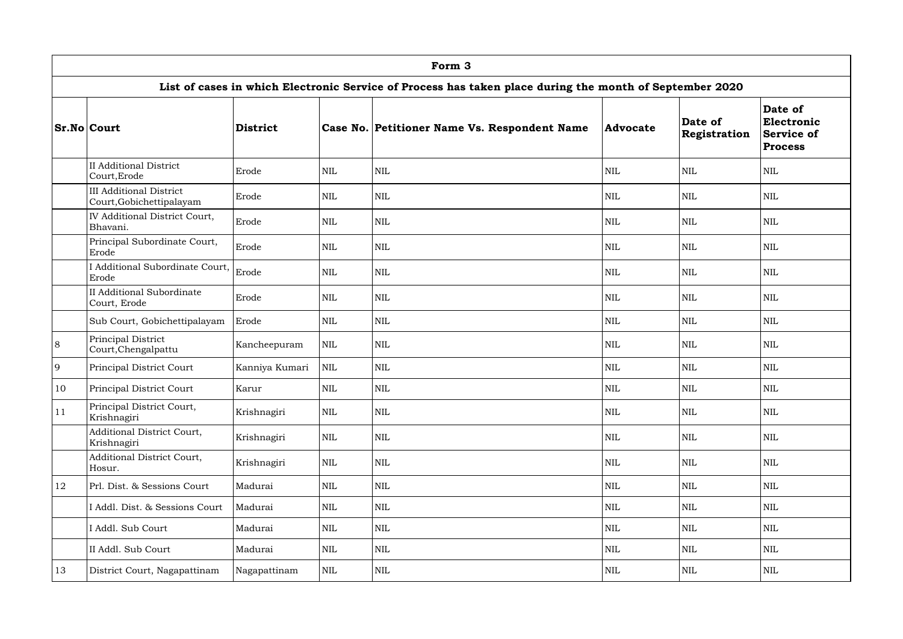|    | Form 3                                                     |                 |              |                                                                                                         |                 |                         |                                                              |  |  |  |  |  |
|----|------------------------------------------------------------|-----------------|--------------|---------------------------------------------------------------------------------------------------------|-----------------|-------------------------|--------------------------------------------------------------|--|--|--|--|--|
|    |                                                            |                 |              | List of cases in which Electronic Service of Process has taken place during the month of September 2020 |                 |                         |                                                              |  |  |  |  |  |
|    | <b>Sr.No Court</b>                                         | <b>District</b> |              | Case No. Petitioner Name Vs. Respondent Name                                                            | <b>Advocate</b> | Date of<br>Registration | Date of<br>Electronic<br><b>Service of</b><br><b>Process</b> |  |  |  |  |  |
|    | <b>II Additional District</b><br>Court, Erode              | Erode           | $\mbox{NIL}$ | <b>NIL</b>                                                                                              | $\textsc{nil}$  | <b>NIL</b>              | <b>NIL</b>                                                   |  |  |  |  |  |
|    | <b>III Additional District</b><br>Court, Gobichettipalayam | Erode           | $\mbox{NIL}$ | <b>NIL</b>                                                                                              | $\textsc{nil}$  | <b>NIL</b>              | <b>NIL</b>                                                   |  |  |  |  |  |
|    | IV Additional District Court,<br>Bhavani.                  | Erode           | $\mbox{NIL}$ | <b>NIL</b>                                                                                              | <b>NIL</b>      | <b>NIL</b>              | <b>NIL</b>                                                   |  |  |  |  |  |
|    | Principal Subordinate Court,<br>Erode                      | Erode           | $\mbox{NIL}$ | <b>NIL</b>                                                                                              | $\textsc{nil}$  | <b>NIL</b>              | <b>NIL</b>                                                   |  |  |  |  |  |
|    | I Additional Subordinate Court, Erode<br>Erode             |                 | $\mbox{NIL}$ | <b>NIL</b>                                                                                              | $\textsc{nil}$  | <b>NIL</b>              | <b>NIL</b>                                                   |  |  |  |  |  |
|    | <b>II Additional Subordinate</b><br>Court, Erode           | Erode           | $\mbox{NIL}$ | <b>NIL</b>                                                                                              | $\textsc{nil}$  | <b>NIL</b>              | <b>NIL</b>                                                   |  |  |  |  |  |
|    | Sub Court, Gobichettipalayam                               | Erode           | $\mbox{NIL}$ | <b>NIL</b>                                                                                              | NIL             | <b>NIL</b>              | <b>NIL</b>                                                   |  |  |  |  |  |
| 8  | Principal District<br>Court, Chengalpattu                  | Kancheepuram    | $\mbox{NIL}$ | <b>NIL</b>                                                                                              | <b>NIL</b>      | <b>NIL</b>              | <b>NIL</b>                                                   |  |  |  |  |  |
| 9  | Principal District Court                                   | Kanniya Kumari  | $\mbox{NIL}$ | <b>NIL</b>                                                                                              | NIL             | <b>NIL</b>              | <b>NIL</b>                                                   |  |  |  |  |  |
| 10 | Principal District Court                                   | Karur           | $\mbox{NIL}$ | <b>NIL</b>                                                                                              | <b>NIL</b>      | <b>NIL</b>              | <b>NIL</b>                                                   |  |  |  |  |  |
| 11 | Principal District Court,<br>Krishnagiri                   | Krishnagiri     | NIL          | <b>NIL</b>                                                                                              | $\mbox{NIL}$    | <b>NIL</b>              | <b>NIL</b>                                                   |  |  |  |  |  |
|    | Additional District Court,<br>Krishnagiri                  | Krishnagiri     | <b>NIL</b>   | <b>NIL</b>                                                                                              | $\mbox{NIL}$    | <b>NIL</b>              | <b>NIL</b>                                                   |  |  |  |  |  |
|    | Additional District Court,<br>Hosur.                       | Krishnagiri     | <b>NIL</b>   | <b>NIL</b>                                                                                              | <b>NIL</b>      | <b>NIL</b>              | <b>NIL</b>                                                   |  |  |  |  |  |
| 12 | Prl. Dist. & Sessions Court                                | Madurai         | $\mbox{NIL}$ | <b>NIL</b>                                                                                              | $\mbox{NIL}$    | <b>NIL</b>              | <b>NIL</b>                                                   |  |  |  |  |  |
|    | I Addl. Dist. & Sessions Court                             | Madurai         | $\mbox{NIL}$ | <b>NIL</b>                                                                                              | <b>NIL</b>      | <b>NIL</b>              | <b>NIL</b>                                                   |  |  |  |  |  |
|    | Addl. Sub Court                                            | Madurai         | $\mbox{NIL}$ | <b>NIL</b>                                                                                              | $\mbox{NIL}$    | <b>NIL</b>              | $\mbox{NIL}$                                                 |  |  |  |  |  |
|    | II Addl. Sub Court                                         | Madurai         | $\mbox{NIL}$ | <b>NIL</b>                                                                                              | <b>NIL</b>      | <b>NIL</b>              | <b>NIL</b>                                                   |  |  |  |  |  |
| 13 | District Court, Nagapattinam                               | Nagapattinam    | NIL          | <b>NIL</b>                                                                                              | NIL             | <b>NIL</b>              | <b>NIL</b>                                                   |  |  |  |  |  |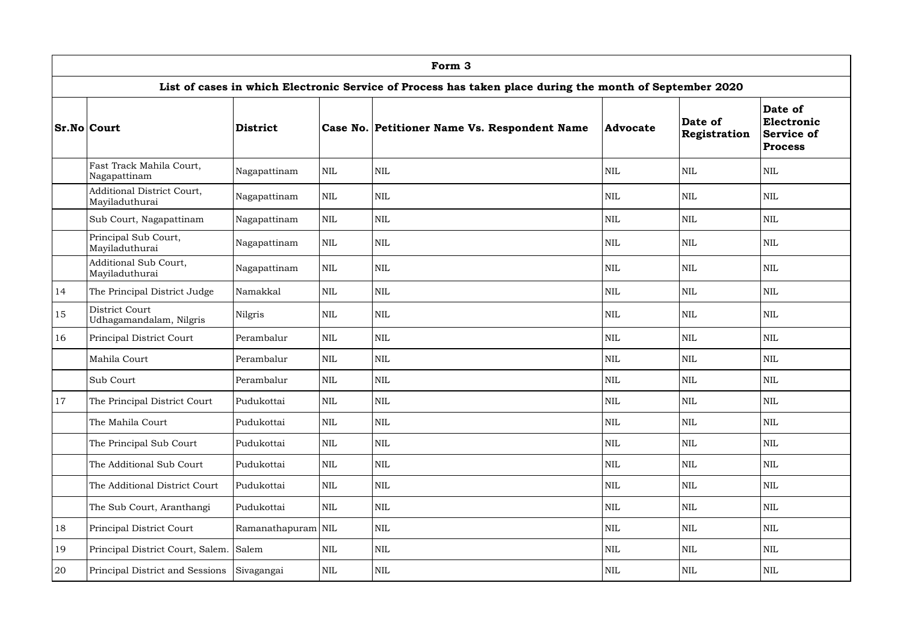|               | Form 3                                       |                    |            |                                                                                                         |                 |                         |                                                              |  |  |  |  |  |
|---------------|----------------------------------------------|--------------------|------------|---------------------------------------------------------------------------------------------------------|-----------------|-------------------------|--------------------------------------------------------------|--|--|--|--|--|
|               |                                              |                    |            | List of cases in which Electronic Service of Process has taken place during the month of September 2020 |                 |                         |                                                              |  |  |  |  |  |
|               | <b>Sr.No Court</b>                           | District           |            | Case No. Petitioner Name Vs. Respondent Name                                                            | <b>Advocate</b> | Date of<br>Registration | Date of<br>Electronic<br><b>Service of</b><br><b>Process</b> |  |  |  |  |  |
|               | Fast Track Mahila Court,<br>Nagapattinam     | Nagapattinam       | <b>NIL</b> | <b>NIL</b>                                                                                              | NIL             | <b>NIL</b>              | <b>NIL</b>                                                   |  |  |  |  |  |
|               | Additional District Court,<br>Mayiladuthurai | Nagapattinam       | <b>NIL</b> | <b>NIL</b>                                                                                              | <b>NIL</b>      | <b>NIL</b>              | <b>NIL</b>                                                   |  |  |  |  |  |
|               | Sub Court, Nagapattinam                      | Nagapattinam       | <b>NIL</b> | <b>NIL</b>                                                                                              | <b>NIL</b>      | <b>NIL</b>              | <b>NIL</b>                                                   |  |  |  |  |  |
|               | Principal Sub Court,<br>Mayiladuthurai       | Nagapattinam       | <b>NIL</b> | <b>NIL</b>                                                                                              | $\text{NIL}$    | <b>NIL</b>              | <b>NIL</b>                                                   |  |  |  |  |  |
|               | Additional Sub Court,<br>Mayiladuthurai      | Nagapattinam       | <b>NIL</b> | <b>NIL</b>                                                                                              | <b>NIL</b>      | <b>NIL</b>              | <b>NIL</b>                                                   |  |  |  |  |  |
| 14            | The Principal District Judge                 | Namakkal           | <b>NIL</b> | <b>NIL</b>                                                                                              | <b>NIL</b>      | <b>NIL</b>              | <b>NIL</b>                                                   |  |  |  |  |  |
| 15            | District Court<br>Udhagamandalam, Nilgris    | Nilgris            | <b>NIL</b> | <b>NIL</b>                                                                                              | <b>NIL</b>      | <b>NIL</b>              | <b>NIL</b>                                                   |  |  |  |  |  |
| 16            | Principal District Court                     | Perambalur         | <b>NIL</b> | <b>NIL</b>                                                                                              | <b>NIL</b>      | <b>NIL</b>              | <b>NIL</b>                                                   |  |  |  |  |  |
|               | Mahila Court                                 | Perambalur         | <b>NIL</b> | <b>NIL</b>                                                                                              | <b>NIL</b>      | <b>NIL</b>              | <b>NIL</b>                                                   |  |  |  |  |  |
|               | Sub Court                                    | Perambalur         | <b>NIL</b> | <b>NIL</b>                                                                                              | <b>NIL</b>      | <b>NIL</b>              | <b>NIL</b>                                                   |  |  |  |  |  |
| <sup>17</sup> | The Principal District Court                 | Pudukottai         | <b>NIL</b> | $\mbox{NIL}$                                                                                            | $\mbox{NIL}$    | <b>NIL</b>              | $\mbox{NIL}$                                                 |  |  |  |  |  |
|               | The Mahila Court                             | Pudukottai         | <b>NIL</b> | <b>NIL</b>                                                                                              | NIL             | <b>NIL</b>              | <b>NIL</b>                                                   |  |  |  |  |  |
|               | The Principal Sub Court                      | Pudukottai         | <b>NIL</b> | <b>NIL</b>                                                                                              | $\mbox{NIL}$    | <b>NIL</b>              | <b>NIL</b>                                                   |  |  |  |  |  |
|               | The Additional Sub Court                     | Pudukottai         | <b>NIL</b> | <b>NIL</b>                                                                                              | $\mbox{NIL}$    | <b>NIL</b>              | <b>NIL</b>                                                   |  |  |  |  |  |
|               | The Additional District Court                | Pudukottai         | <b>NIL</b> | <b>NIL</b>                                                                                              | NIL             | <b>NIL</b>              | <b>NIL</b>                                                   |  |  |  |  |  |
|               | The Sub Court, Aranthangi                    | Pudukottai         | <b>NIL</b> | <b>NIL</b>                                                                                              | $\mbox{NIL}$    | <b>NIL</b>              | <b>NIL</b>                                                   |  |  |  |  |  |
| 18            | Principal District Court                     | Ramanathapuram NIL |            | NIL                                                                                                     | $\mbox{NIL}$    | <b>NIL</b>              | <b>NIL</b>                                                   |  |  |  |  |  |
| 19            | Principal District Court, Salem. Salem       |                    | NIL        | <b>NIL</b>                                                                                              | $\mbox{NIL}$    | <b>NIL</b>              | <b>NIL</b>                                                   |  |  |  |  |  |
| 20            | Principal District and Sessions              | Sivagangai         | NIL        | <b>NIL</b>                                                                                              | $\mbox{NIL}$    | <b>NIL</b>              | <b>NIL</b>                                                   |  |  |  |  |  |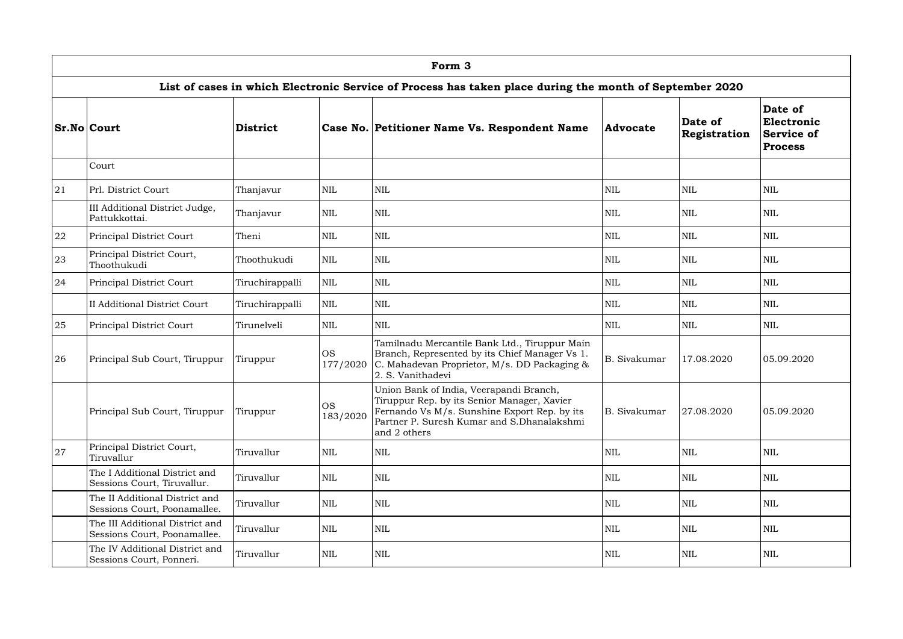|    | Form 3                                                          |                 |                       |                                                                                                                                                                                                      |              |                         |                                                              |  |  |  |  |  |
|----|-----------------------------------------------------------------|-----------------|-----------------------|------------------------------------------------------------------------------------------------------------------------------------------------------------------------------------------------------|--------------|-------------------------|--------------------------------------------------------------|--|--|--|--|--|
|    |                                                                 |                 |                       | List of cases in which Electronic Service of Process has taken place during the month of September 2020                                                                                              |              |                         |                                                              |  |  |  |  |  |
|    | <b>Sr.No Court</b>                                              | <b>District</b> |                       | Case No. Petitioner Name Vs. Respondent Name                                                                                                                                                         | Advocate     | Date of<br>Registration | Date of<br>Electronic<br><b>Service of</b><br><b>Process</b> |  |  |  |  |  |
|    | Court                                                           |                 |                       |                                                                                                                                                                                                      |              |                         |                                                              |  |  |  |  |  |
| 21 | Prl. District Court                                             | Thanjavur       | <b>NIL</b>            | <b>NIL</b>                                                                                                                                                                                           | <b>NIL</b>   | <b>NIL</b>              | <b>NIL</b>                                                   |  |  |  |  |  |
|    | III Additional District Judge,<br>Pattukkottai.                 | Thanjavur       | $\mbox{NIL}$          | <b>NIL</b>                                                                                                                                                                                           | <b>NIL</b>   | <b>NIL</b>              | NIL                                                          |  |  |  |  |  |
| 22 | Principal District Court                                        | Theni           | <b>NIL</b>            | <b>NIL</b>                                                                                                                                                                                           | <b>NIL</b>   | <b>NIL</b>              | <b>NIL</b>                                                   |  |  |  |  |  |
| 23 | Principal District Court,<br>Thoothukudi                        | Thoothukudi     | <b>NIL</b>            | <b>NIL</b>                                                                                                                                                                                           | <b>NIL</b>   | <b>NIL</b>              | NIL                                                          |  |  |  |  |  |
| 24 | Principal District Court                                        | Tiruchirappalli | <b>NIL</b>            | <b>NIL</b>                                                                                                                                                                                           | <b>NIL</b>   | <b>NIL</b>              | <b>NIL</b>                                                   |  |  |  |  |  |
|    | II Additional District Court                                    | Tiruchirappalli | <b>NIL</b>            | <b>NIL</b>                                                                                                                                                                                           | <b>NIL</b>   | <b>NIL</b>              | <b>NIL</b>                                                   |  |  |  |  |  |
| 25 | Principal District Court                                        | Tirunelveli     | NIL                   | <b>NIL</b>                                                                                                                                                                                           | <b>NIL</b>   | <b>NIL</b>              | <b>NIL</b>                                                   |  |  |  |  |  |
| 26 | Principal Sub Court, Tiruppur                                   | Tiruppur        | <b>OS</b><br>177/2020 | Tamilnadu Mercantile Bank Ltd., Tiruppur Main<br>Branch, Represented by its Chief Manager Vs 1.<br>C. Mahadevan Proprietor, M/s. DD Packaging &<br>2. S. Vanithadevi                                 | B. Sivakumar | 17.08.2020              | 05.09.2020                                                   |  |  |  |  |  |
|    | Principal Sub Court, Tiruppur                                   | Tiruppur        | <b>OS</b><br>183/2020 | Union Bank of India, Veerapandi Branch,<br>Tiruppur Rep. by its Senior Manager, Xavier<br>Fernando Vs M/s. Sunshine Export Rep. by its<br>Partner P. Suresh Kumar and S.Dhanalakshmi<br>and 2 others | B. Sivakumar | 27.08.2020              | 05.09.2020                                                   |  |  |  |  |  |
| 27 | Principal District Court,<br>Tiruvallur                         | Tiruvallur      | <b>NIL</b>            | <b>NIL</b>                                                                                                                                                                                           | <b>NIL</b>   | <b>NIL</b>              | <b>NIL</b>                                                   |  |  |  |  |  |
|    | The I Additional District and<br>Sessions Court, Tiruvallur.    | Tiruvallur      | <b>NIL</b>            | <b>NIL</b>                                                                                                                                                                                           | <b>NIL</b>   | <b>NIL</b>              | NIL                                                          |  |  |  |  |  |
|    | The II Additional District and<br>Sessions Court, Poonamallee.  | Tiruvallur      | <b>NIL</b>            | <b>NIL</b>                                                                                                                                                                                           | <b>NIL</b>   | <b>NIL</b>              | $\mbox{NIL}$                                                 |  |  |  |  |  |
|    | The III Additional District and<br>Sessions Court, Poonamallee. | Tiruvallur      | NIL                   | <b>NIL</b>                                                                                                                                                                                           | <b>NIL</b>   | <b>NIL</b>              | $\mbox{NIL}$                                                 |  |  |  |  |  |
|    | The IV Additional District and<br>Sessions Court, Ponneri.      | Tiruvallur      | $\mbox{NIL}$          | <b>NIL</b>                                                                                                                                                                                           | <b>NIL</b>   | <b>NIL</b>              | $\mbox{NIL}$                                                 |  |  |  |  |  |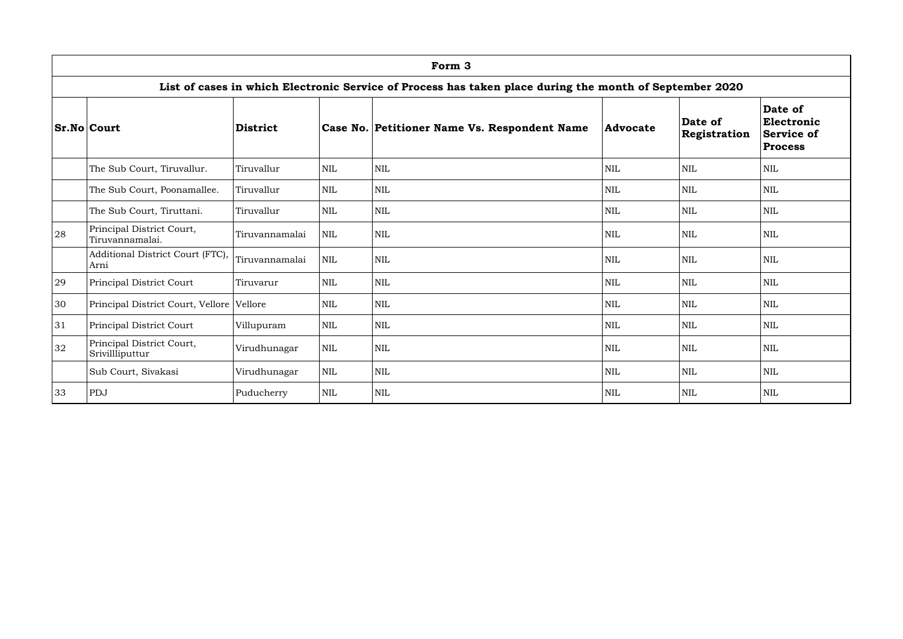|    | Form 3                                                                                                  |                |              |                                              |            |                         |                                                              |  |  |  |  |  |
|----|---------------------------------------------------------------------------------------------------------|----------------|--------------|----------------------------------------------|------------|-------------------------|--------------------------------------------------------------|--|--|--|--|--|
|    | List of cases in which Electronic Service of Process has taken place during the month of September 2020 |                |              |                                              |            |                         |                                                              |  |  |  |  |  |
|    | <b>Sr.No Court</b>                                                                                      | District       |              | Case No. Petitioner Name Vs. Respondent Name | Advocate   | Date of<br>Registration | Date of<br>Electronic<br><b>Service of</b><br><b>Process</b> |  |  |  |  |  |
|    | The Sub Court, Tiruvallur.                                                                              | Tiruvallur     | <b>NIL</b>   | <b>NIL</b>                                   | <b>NIL</b> | <b>NIL</b>              | <b>NIL</b>                                                   |  |  |  |  |  |
|    | The Sub Court, Poonamallee.                                                                             | Tiruvallur     | <b>NIL</b>   | <b>NIL</b>                                   | <b>NIL</b> | <b>NIL</b>              | $\mbox{NIL}$                                                 |  |  |  |  |  |
|    | The Sub Court, Tiruttani.                                                                               | Tiruvallur     | <b>NIL</b>   | <b>NIL</b>                                   | <b>NIL</b> | <b>NIL</b>              | <b>NIL</b>                                                   |  |  |  |  |  |
| 28 | Principal District Court,<br>Tiruvannamalai.                                                            | Tiruvannamalai | <b>NIL</b>   | <b>NIL</b>                                   | <b>NIL</b> | <b>NIL</b>              | <b>NIL</b>                                                   |  |  |  |  |  |
|    | Additional District Court (FTC),<br>Arni                                                                | Tiruvannamalai | <b>NIL</b>   | <b>NIL</b>                                   | <b>NIL</b> | <b>NIL</b>              | <b>NIL</b>                                                   |  |  |  |  |  |
| 29 | Principal District Court                                                                                | Tiruvarur      | <b>NIL</b>   | <b>NIL</b>                                   | <b>NIL</b> | <b>NIL</b>              | <b>NIL</b>                                                   |  |  |  |  |  |
| 30 | Principal District Court, Vellore Vellore                                                               |                | <b>NIL</b>   | <b>NIL</b>                                   | <b>NIL</b> | <b>NIL</b>              | <b>NIL</b>                                                   |  |  |  |  |  |
| 31 | Principal District Court                                                                                | Villupuram     | <b>NIL</b>   | <b>NIL</b>                                   | <b>NIL</b> | <b>NIL</b>              | <b>NIL</b>                                                   |  |  |  |  |  |
| 32 | Principal District Court,<br>Srivillliputtur                                                            | Virudhunagar   | $\mbox{NIL}$ | <b>NIL</b>                                   | <b>NIL</b> | <b>NIL</b>              | $\text{NIL}$                                                 |  |  |  |  |  |
|    | Sub Court, Sivakasi                                                                                     | Virudhunagar   | <b>NIL</b>   | <b>NIL</b>                                   | <b>NIL</b> | <b>NIL</b>              | NIL                                                          |  |  |  |  |  |
| 33 | PDJ                                                                                                     | Puducherry     | $\mbox{NIL}$ | <b>NIL</b>                                   | <b>NIL</b> | <b>NIL</b>              | $\mbox{NIL}$                                                 |  |  |  |  |  |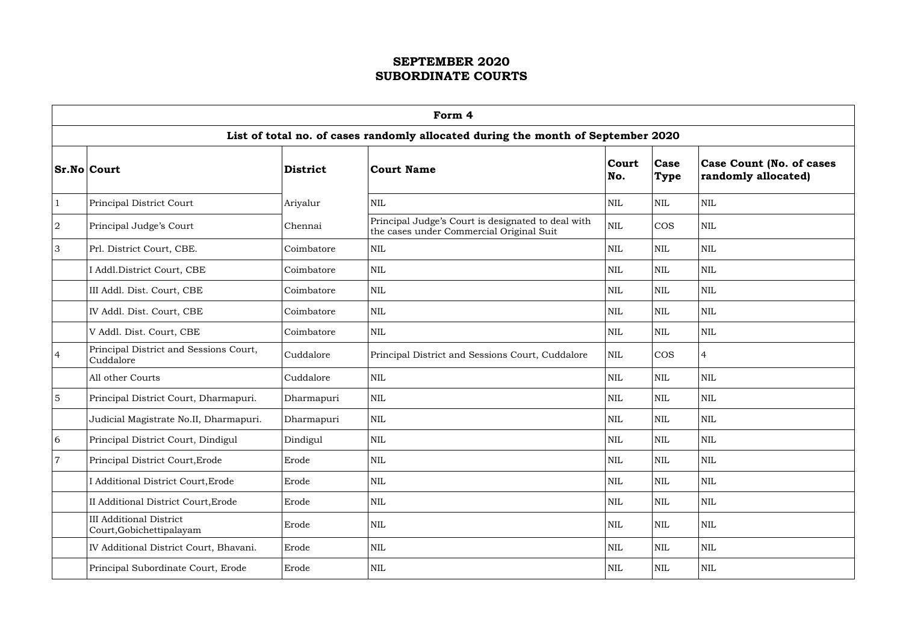|                | Form 4                                                                           |                 |                                                                                                |              |                            |                                                        |  |  |  |  |  |
|----------------|----------------------------------------------------------------------------------|-----------------|------------------------------------------------------------------------------------------------|--------------|----------------------------|--------------------------------------------------------|--|--|--|--|--|
|                | List of total no. of cases randomly allocated during the month of September 2020 |                 |                                                                                                |              |                            |                                                        |  |  |  |  |  |
|                | <b>Sr.No Court</b>                                                               | <b>District</b> | <b>Court Name</b>                                                                              | Court<br>No. | <b>Case</b><br><b>Type</b> | <b>Case Count (No. of cases</b><br>randomly allocated) |  |  |  |  |  |
| $\mathbf{1}$   | Principal District Court                                                         | Ariyalur        | $\mbox{NIL}$                                                                                   | <b>NIL</b>   | NIL                        | <b>NIL</b>                                             |  |  |  |  |  |
| 2              | Principal Judge's Court                                                          | Chennai         | Principal Judge's Court is designated to deal with<br>the cases under Commercial Original Suit | $\mbox{NIL}$ | <b>COS</b>                 | $\mbox{NIL}$                                           |  |  |  |  |  |
| $\mathfrak{S}$ | Prl. District Court, CBE.                                                        | Coimbatore      | $\mbox{NIL}$                                                                                   | <b>NIL</b>   | NIL                        | <b>NIL</b>                                             |  |  |  |  |  |
|                | I Addl.District Court, CBE                                                       | Coimbatore      | NIL                                                                                            | <b>NIL</b>   | NIL                        | $\mbox{NIL}$                                           |  |  |  |  |  |
|                | III Addl. Dist. Court, CBE                                                       | Coimbatore      | <b>NIL</b>                                                                                     | <b>NIL</b>   | NIL                        | <b>NIL</b>                                             |  |  |  |  |  |
|                | IV Addl. Dist. Court, CBE                                                        | Coimbatore      | <b>NIL</b>                                                                                     | <b>NIL</b>   | NIL                        | <b>NIL</b>                                             |  |  |  |  |  |
|                | V Addl. Dist. Court, CBE                                                         | Coimbatore      | $\mbox{NIL}$                                                                                   | <b>NIL</b>   | <b>NIL</b>                 | <b>NIL</b>                                             |  |  |  |  |  |
| $\overline{4}$ | Principal District and Sessions Court,<br>Cuddalore                              | Cuddalore       | Principal District and Sessions Court, Cuddalore                                               | $\mbox{NIL}$ | <b>COS</b>                 | $\overline{4}$                                         |  |  |  |  |  |
|                | All other Courts                                                                 | Cuddalore       | $\mbox{NIL}$                                                                                   | <b>NIL</b>   | <b>NIL</b>                 | $\mbox{NIL}$                                           |  |  |  |  |  |
| $\overline{5}$ | Principal District Court, Dharmapuri.                                            | Dharmapuri      | $\mbox{NIL}$                                                                                   | <b>NIL</b>   | NIL                        | $\mbox{NIL}$                                           |  |  |  |  |  |
|                | Judicial Magistrate No.II, Dharmapuri.                                           | Dharmapuri      | $\mbox{NIL}$                                                                                   | <b>NIL</b>   | NIL                        | $\mbox{NIL}$                                           |  |  |  |  |  |
| 6              | Principal District Court, Dindigul                                               | Dindigul        | <b>NIL</b>                                                                                     | NIL          | <b>NIL</b>                 | <b>NIL</b>                                             |  |  |  |  |  |
| $\overline{7}$ | Principal District Court, Erode                                                  | Erode           | $\mbox{NIL}$                                                                                   | $\mbox{NIL}$ | <b>NIL</b>                 | $\mbox{NIL}$                                           |  |  |  |  |  |
|                | I Additional District Court, Erode                                               | Erode           | $\mbox{NIL}$                                                                                   | <b>NIL</b>   | <b>NIL</b>                 | $\mbox{NIL}$                                           |  |  |  |  |  |
|                | II Additional District Court, Erode                                              | Erode           | NIL                                                                                            | NIL          | <b>NIL</b>                 | $\mbox{NIL}$                                           |  |  |  |  |  |
|                | <b>III Additional District</b><br>Court, Gobichettipalayam                       | Erode           | <b>NIL</b>                                                                                     | NIL          | <b>NIL</b>                 | $\mbox{NIL}$                                           |  |  |  |  |  |
|                | IV Additional District Court, Bhavani.                                           | Erode           | <b>NIL</b>                                                                                     | NIL          | <b>NIL</b>                 | $\mbox{NIL}$                                           |  |  |  |  |  |
|                | Principal Subordinate Court, Erode                                               | Erode           | NIL                                                                                            | NIL          | <b>NIL</b>                 | $\mbox{NIL}$                                           |  |  |  |  |  |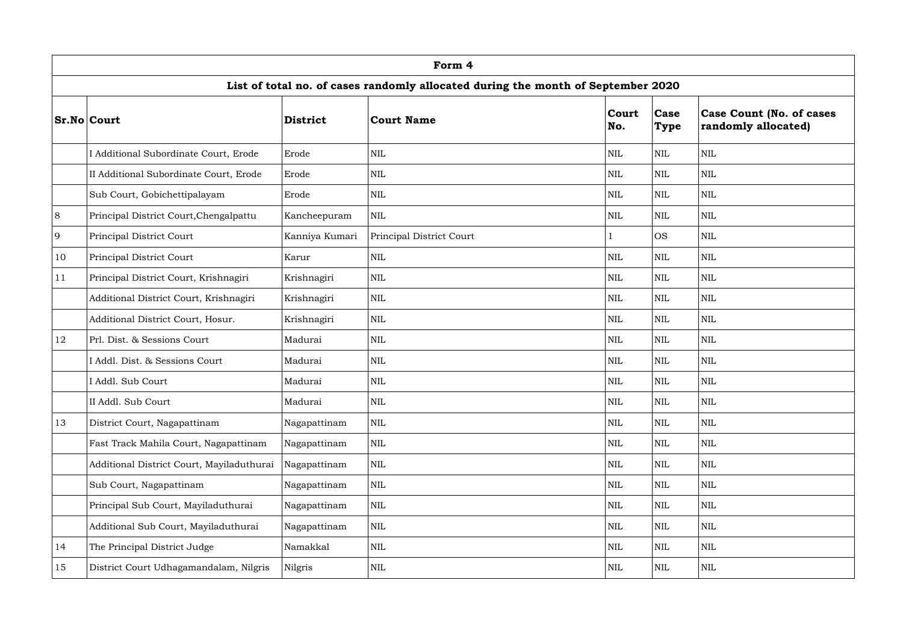|    | Form 4                                                                           |                 |                          |              |                     |                                                        |  |  |  |  |  |  |
|----|----------------------------------------------------------------------------------|-----------------|--------------------------|--------------|---------------------|--------------------------------------------------------|--|--|--|--|--|--|
|    | List of total no. of cases randomly allocated during the month of September 2020 |                 |                          |              |                     |                                                        |  |  |  |  |  |  |
|    | <b>Sr.No Court</b>                                                               | <b>District</b> | <b>Court Name</b>        | Court<br>No. | Case<br><b>Type</b> | <b>Case Count (No. of cases</b><br>randomly allocated) |  |  |  |  |  |  |
|    | Additional Subordinate Court, Erode                                              | Erode           | <b>NIL</b>               | $\mbox{NIL}$ | $\mbox{NIL}$        | $\mbox{NIL}$                                           |  |  |  |  |  |  |
|    | II Additional Subordinate Court, Erode                                           | Erode           | $\mbox{NIL}$             | NIL          | $\mbox{NIL}$        | $\mbox{NIL}$                                           |  |  |  |  |  |  |
|    | Sub Court, Gobichettipalayam                                                     | Erode           | <b>NIL</b>               | $\mbox{NIL}$ | $\mbox{NIL}$        | $\text{NIL}$                                           |  |  |  |  |  |  |
| 8  | Principal District Court, Chengalpattu                                           | Kancheepuram    | <b>NIL</b>               | NIL          | <b>NIL</b>          | <b>NIL</b>                                             |  |  |  |  |  |  |
| 9  | Principal District Court                                                         | Kanniya Kumari  | Principal District Court |              | <b>OS</b>           | <b>NIL</b>                                             |  |  |  |  |  |  |
| 10 | Principal District Court                                                         | Karur           | $\mbox{NIL}$             | <b>NIL</b>   | <b>NIL</b>          | <b>NIL</b>                                             |  |  |  |  |  |  |
| 11 | Principal District Court, Krishnagiri                                            | Krishnagiri     | <b>NIL</b>               | $\text{NIL}$ | $\mbox{NIL}$        | <b>NIL</b>                                             |  |  |  |  |  |  |
|    | Additional District Court, Krishnagiri                                           | Krishnagiri     | <b>NIL</b>               | <b>NIL</b>   | <b>NIL</b>          | $\mbox{NIL}$                                           |  |  |  |  |  |  |
|    | Additional District Court, Hosur.                                                | Krishnagiri     | <b>NIL</b>               | $\text{NIL}$ | $\mbox{NIL}$        | $\mbox{NIL}$                                           |  |  |  |  |  |  |
| 12 | Prl. Dist. & Sessions Court                                                      | Madurai         | <b>NIL</b>               | <b>NIL</b>   | <b>NIL</b>          | <b>NIL</b>                                             |  |  |  |  |  |  |
|    | I Addl. Dist. & Sessions Court                                                   | Madurai         | <b>NIL</b>               | <b>NIL</b>   | $\mbox{NIL}$        | $\mbox{NIL}$                                           |  |  |  |  |  |  |
|    | Addl. Sub Court                                                                  | Madurai         | <b>NIL</b>               | <b>NIL</b>   | <b>NIL</b>          | $\mbox{NIL}$                                           |  |  |  |  |  |  |
|    | II Addl. Sub Court                                                               | Madurai         | $\text{NIL}$             | $\mbox{NIL}$ | $\mbox{NIL}$        | $\mbox{NIL}$                                           |  |  |  |  |  |  |
| 13 | District Court, Nagapattinam                                                     | Nagapattinam    | $\mbox{NIL}$             | NIL          | NIL                 | $\mbox{NIL}$                                           |  |  |  |  |  |  |
|    | Fast Track Mahila Court, Nagapattinam                                            | Nagapattinam    | <b>NIL</b>               | NIL          | $\mbox{NIL}$        | $\text{NIL}$                                           |  |  |  |  |  |  |
|    | Additional District Court, Mayiladuthurai                                        | Nagapattinam    | $\mbox{NIL}$             | NIL          | $\mbox{NIL}$        | $\mbox{NIL}$                                           |  |  |  |  |  |  |
|    | Sub Court, Nagapattinam                                                          | Nagapattinam    | $\mbox{NIL}$             | <b>NIL</b>   | $\mbox{NIL}$        | $\mbox{NIL}$                                           |  |  |  |  |  |  |
|    | Principal Sub Court, Mayiladuthurai                                              | Nagapattinam    | $\mbox{NIL}$             | $\mbox{NIL}$ | $\mbox{NIL}$        | $\mbox{NIL}$                                           |  |  |  |  |  |  |
|    | Additional Sub Court, Mayiladuthurai                                             | Nagapattinam    | $\mbox{NIL}$             | <b>NIL</b>   | $\mbox{NIL}$        | $\mbox{NIL}$                                           |  |  |  |  |  |  |
| 14 | The Principal District Judge                                                     | Namakkal        | $\mbox{NIL}$             | NIL          | $\mbox{NIL}$        | $\mbox{NIL}$                                           |  |  |  |  |  |  |
| 15 | District Court Udhagamandalam, Nilgris                                           | Nilgris         | $\mbox{NIL}$             | $\mbox{NIL}$ | $\mbox{NIL}$        | <b>NIL</b>                                             |  |  |  |  |  |  |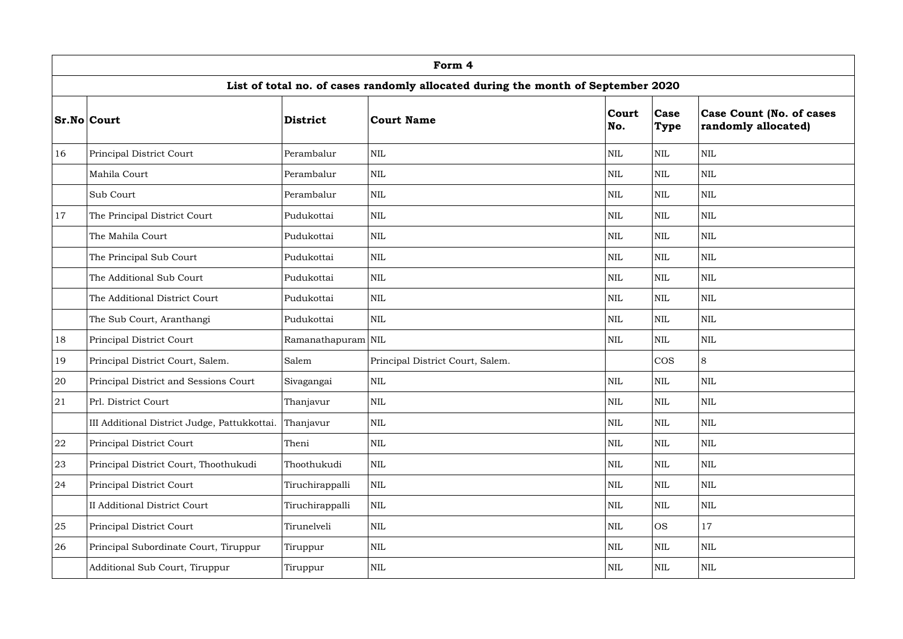|    | Form 4                                                                           |                    |                                  |              |                     |                                                        |  |  |  |  |  |  |
|----|----------------------------------------------------------------------------------|--------------------|----------------------------------|--------------|---------------------|--------------------------------------------------------|--|--|--|--|--|--|
|    | List of total no. of cases randomly allocated during the month of September 2020 |                    |                                  |              |                     |                                                        |  |  |  |  |  |  |
|    | <b>Sr.No Court</b>                                                               | <b>District</b>    | <b>Court Name</b>                | Court<br>No. | Case<br><b>Type</b> | <b>Case Count (No. of cases</b><br>randomly allocated) |  |  |  |  |  |  |
| 16 | Principal District Court                                                         | Perambalur         | NIL                              | $\mbox{NIL}$ | $\mbox{NIL}$        | <b>NIL</b>                                             |  |  |  |  |  |  |
|    | Mahila Court                                                                     | Perambalur         | <b>NIL</b>                       | <b>NIL</b>   | $\mbox{NIL}$        | <b>NIL</b>                                             |  |  |  |  |  |  |
|    | Sub Court                                                                        | Perambalur         | $\mbox{NIL}$                     | $\mbox{NIL}$ | $\mbox{NIL}$        | $\mbox{NIL}$                                           |  |  |  |  |  |  |
| 17 | The Principal District Court                                                     | Pudukottai         | <b>NIL</b>                       | <b>NIL</b>   | <b>NIL</b>          | <b>NIL</b>                                             |  |  |  |  |  |  |
|    | The Mahila Court                                                                 | Pudukottai         | <b>NIL</b>                       | <b>NIL</b>   | <b>NIL</b>          | <b>NIL</b>                                             |  |  |  |  |  |  |
|    | The Principal Sub Court                                                          | Pudukottai         | <b>NIL</b>                       | <b>NIL</b>   | $\mbox{NIL}$        | <b>NIL</b>                                             |  |  |  |  |  |  |
|    | The Additional Sub Court                                                         | Pudukottai         | $\mbox{NIL}$                     | <b>NIL</b>   | <b>NIL</b>          | <b>NIL</b>                                             |  |  |  |  |  |  |
|    | The Additional District Court                                                    | Pudukottai         | NIL                              | <b>NIL</b>   | <b>NIL</b>          | <b>NIL</b>                                             |  |  |  |  |  |  |
|    | The Sub Court, Aranthangi                                                        | Pudukottai         | $\mbox{NIL}$                     | $\mbox{NIL}$ | $\mbox{NIL}$        | <b>NIL</b>                                             |  |  |  |  |  |  |
| 18 | Principal District Court                                                         | Ramanathapuram NIL |                                  | $\mbox{NIL}$ | $\mbox{NIL}$        | $\mbox{NIL}$                                           |  |  |  |  |  |  |
| 19 | Principal District Court, Salem.                                                 | Salem              | Principal District Court, Salem. |              | <b>COS</b>          | 8                                                      |  |  |  |  |  |  |
| 20 | Principal District and Sessions Court                                            | Sivagangai         | NIL                              | $\mbox{NIL}$ | $\mbox{NIL}$        | $\text{NIL}$                                           |  |  |  |  |  |  |
| 21 | Prl. District Court                                                              | Thanjavur          | $\mbox{NIL}$                     | $\mbox{NIL}$ | $\mbox{NIL}$        | $\mbox{NIL}$                                           |  |  |  |  |  |  |
|    | III Additional District Judge, Pattukkottai.                                     | Thanjavur          | $\mbox{NIL}$                     | <b>NIL</b>   | <b>NIL</b>          | <b>NIL</b>                                             |  |  |  |  |  |  |
| 22 | Principal District Court                                                         | Theni              | $\mbox{NIL}$                     | <b>NIL</b>   | <b>NIL</b>          | <b>NIL</b>                                             |  |  |  |  |  |  |
| 23 | Principal District Court, Thoothukudi                                            | Thoothukudi        | $\mbox{NIL}$                     | NIL          | <b>NIL</b>          | <b>NIL</b>                                             |  |  |  |  |  |  |
| 24 | Principal District Court                                                         | Tiruchirappalli    | $\mbox{NIL}$                     | <b>NIL</b>   | $\mbox{NIL}$        | $\text{NIL}$                                           |  |  |  |  |  |  |
|    | <b>II Additional District Court</b>                                              | Tiruchirappalli    | $\mbox{NIL}$                     | NIL          | NIL                 | <b>NIL</b>                                             |  |  |  |  |  |  |
| 25 | Principal District Court                                                         | Tirunelveli        | $\mbox{NIL}$                     | <b>NIL</b>   | <b>OS</b>           | 17                                                     |  |  |  |  |  |  |
| 26 | Principal Subordinate Court, Tiruppur                                            | Tiruppur           | $\mbox{NIL}$                     | $\mbox{NIL}$ | <b>NIL</b>          | $\mbox{NIL}$                                           |  |  |  |  |  |  |
|    | Additional Sub Court, Tiruppur                                                   | Tiruppur           | $\mbox{NIL}$                     | <b>NIL</b>   | <b>NIL</b>          | NIL                                                    |  |  |  |  |  |  |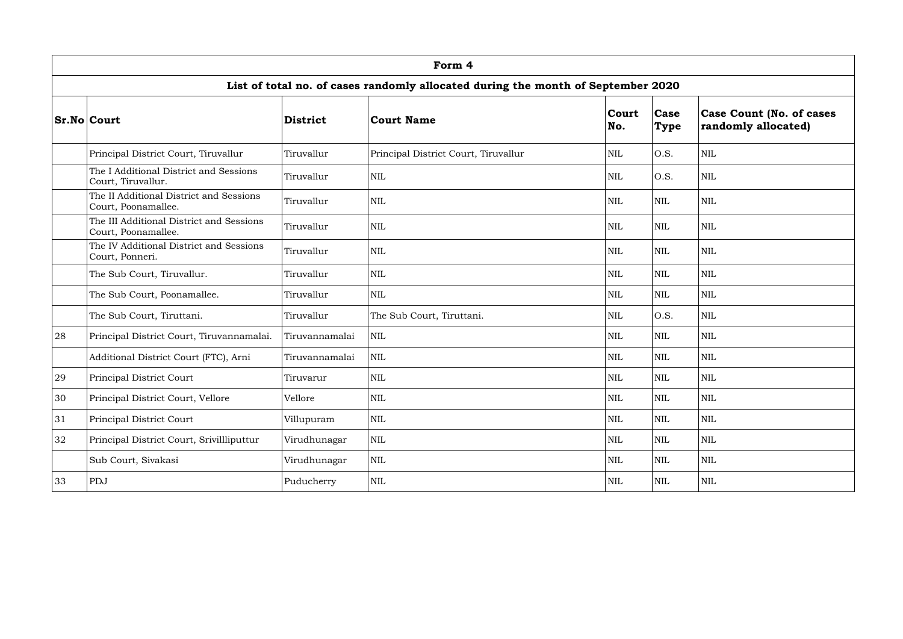|    | Form 4                                                                           |                 |                                      |              |                     |                                                        |  |  |  |  |  |
|----|----------------------------------------------------------------------------------|-----------------|--------------------------------------|--------------|---------------------|--------------------------------------------------------|--|--|--|--|--|
|    | List of total no. of cases randomly allocated during the month of September 2020 |                 |                                      |              |                     |                                                        |  |  |  |  |  |
|    | <b>Sr.No Court</b>                                                               | <b>District</b> | <b>Court Name</b>                    | Court<br>No. | Case<br><b>Type</b> | <b>Case Count (No. of cases</b><br>randomly allocated) |  |  |  |  |  |
|    | Principal District Court, Tiruvallur                                             | Tiruvallur      | Principal District Court, Tiruvallur | <b>NIL</b>   | O.S.                | <b>NIL</b>                                             |  |  |  |  |  |
|    | The I Additional District and Sessions<br>Court, Tiruvallur.                     | Tiruvallur      | <b>NIL</b>                           | <b>NIL</b>   | O.S.                | $\mbox{NIL}$                                           |  |  |  |  |  |
|    | The II Additional District and Sessions<br>Court, Poonamallee.                   | Tiruvallur      | <b>NIL</b>                           | <b>NIL</b>   | <b>NIL</b>          | $\text{NIL}$                                           |  |  |  |  |  |
|    | The III Additional District and Sessions<br>Court, Poonamallee.                  | Tiruvallur      | <b>NIL</b>                           | <b>NIL</b>   | <b>NIL</b>          | $\text{NIL}$                                           |  |  |  |  |  |
|    | The IV Additional District and Sessions<br>Court, Ponneri.                       | Tiruvallur      | <b>NIL</b>                           | <b>NIL</b>   | $\mbox{NIL}$        | $\mbox{NIL}$                                           |  |  |  |  |  |
|    | The Sub Court, Tiruvallur.                                                       | Tiruvallur      | <b>NIL</b>                           | <b>NIL</b>   | <b>NIL</b>          | $\text{NIL}$                                           |  |  |  |  |  |
|    | The Sub Court, Poonamallee.                                                      | Tiruvallur      | $\mbox{NIL}$                         | <b>NIL</b>   | <b>NIL</b>          | <b>NIL</b>                                             |  |  |  |  |  |
|    | The Sub Court, Tiruttani.                                                        | Tiruvallur      | The Sub Court, Tiruttani.            | $\mbox{NIL}$ | O.S.                | <b>NIL</b>                                             |  |  |  |  |  |
| 28 | Principal District Court, Tiruvannamalai.                                        | Tiruvannamalai  | $\mbox{NIL}$                         | <b>NIL</b>   | <b>NIL</b>          | $\mbox{NIL}$                                           |  |  |  |  |  |
|    | Additional District Court (FTC), Arni                                            | Tiruvannamalai  | <b>NIL</b>                           | <b>NIL</b>   | <b>NIL</b>          | $\text{NIL}$                                           |  |  |  |  |  |
| 29 | Principal District Court                                                         | Tiruvarur       | NIL                                  | $\mbox{NIL}$ | <b>NIL</b>          | $\text{NIL}$                                           |  |  |  |  |  |
| 30 | Principal District Court, Vellore                                                | Vellore         | <b>NIL</b>                           | NIL          | <b>NIL</b>          | <b>NIL</b>                                             |  |  |  |  |  |
| 31 | Principal District Court                                                         | Villupuram      | $\mbox{NIL}$                         | NIL          | NIL                 | $\mbox{NIL}$                                           |  |  |  |  |  |
| 32 | Principal District Court, Srivillliputtur                                        | Virudhunagar    | $\mbox{NIL}$                         | NIL          | NIL                 | $\mbox{NIL}$                                           |  |  |  |  |  |
|    | Sub Court, Sivakasi                                                              | Virudhunagar    | $\mbox{NIL}$                         | <b>NIL</b>   | NIL                 | $\mbox{NIL}$                                           |  |  |  |  |  |
| 33 | PDJ                                                                              | Puducherry      | $\mbox{NIL}$                         | $\mbox{NIL}$ | NIL                 | <b>NIL</b>                                             |  |  |  |  |  |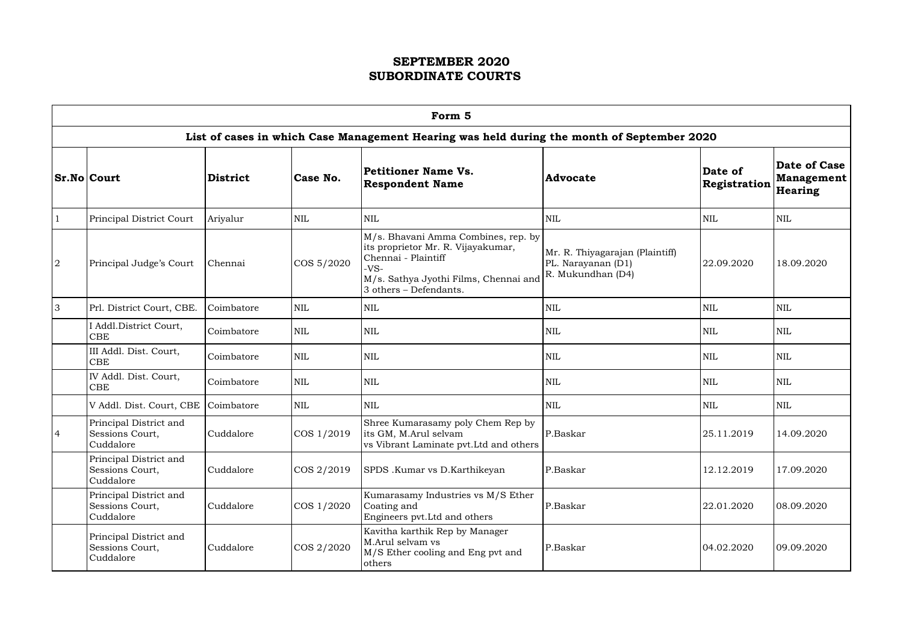|                | Form 5                                                 |                 |            |                                                                                                                                                                               |                                                                            |                         |                                                     |  |  |  |  |  |
|----------------|--------------------------------------------------------|-----------------|------------|-------------------------------------------------------------------------------------------------------------------------------------------------------------------------------|----------------------------------------------------------------------------|-------------------------|-----------------------------------------------------|--|--|--|--|--|
|                |                                                        |                 |            | List of cases in which Case Management Hearing was held during the month of September 2020                                                                                    |                                                                            |                         |                                                     |  |  |  |  |  |
|                | <b>Sr.No Court</b>                                     | <b>District</b> | Case No.   | Petitioner Name Vs.<br><b>Respondent Name</b>                                                                                                                                 | <b>Advocate</b>                                                            | Date of<br>Registration | <b>Date of Case</b><br><b>Management</b><br>Hearing |  |  |  |  |  |
|                | Principal District Court                               | Ariyalur        | <b>NIL</b> | $\mbox{NIL}$                                                                                                                                                                  | <b>NIL</b>                                                                 | <b>NIL</b>              | <b>NIL</b>                                          |  |  |  |  |  |
| $\overline{2}$ | Principal Judge's Court                                | Chennai         | COS 5/2020 | M/s. Bhavani Amma Combines, rep. by<br>its proprietor Mr. R. Vijayakumar,<br>Chennai - Plaintiff<br>$-VS-$<br>M/s. Sathya Jyothi Films, Chennai and<br>3 others - Defendants. | Mr. R. Thiyagarajan (Plaintiff)<br>PL. Narayanan (D1)<br>R. Mukundhan (D4) | 22.09.2020              | 18.09.2020                                          |  |  |  |  |  |
| 3              | Prl. District Court, CBE.                              | Coimbatore      | <b>NIL</b> | <b>NIL</b>                                                                                                                                                                    | <b>NIL</b>                                                                 | <b>NIL</b>              | <b>NIL</b>                                          |  |  |  |  |  |
|                | I Addl.District Court,<br><b>CBE</b>                   | Coimbatore      | <b>NIL</b> | $\mbox{NIL}$                                                                                                                                                                  | <b>NIL</b>                                                                 | <b>NIL</b>              | <b>NIL</b>                                          |  |  |  |  |  |
|                | III Addl. Dist. Court,<br><b>CBE</b>                   | Coimbatore      | <b>NIL</b> | $\mbox{NIL}$                                                                                                                                                                  | $\mbox{NIL}$                                                               | <b>NIL</b>              | <b>NIL</b>                                          |  |  |  |  |  |
|                | IV Addl. Dist. Court,<br><b>CBE</b>                    | Coimbatore      | <b>NIL</b> | $\mbox{NIL}$                                                                                                                                                                  | <b>NIL</b>                                                                 | <b>NIL</b>              | <b>NIL</b>                                          |  |  |  |  |  |
|                | V Addl. Dist. Court, CBE                               | Coimbatore      | <b>NIL</b> | $\mbox{NIL}$                                                                                                                                                                  | <b>NIL</b>                                                                 | <b>NIL</b>              | <b>NIL</b>                                          |  |  |  |  |  |
| $\overline{4}$ | Principal District and<br>Sessions Court,<br>Cuddalore | Cuddalore       | COS 1/2019 | Shree Kumarasamy poly Chem Rep by<br>its GM, M.Arul selvam<br>vs Vibrant Laminate pvt. Ltd and others                                                                         | P.Baskar                                                                   | 25.11.2019              | 14.09.2020                                          |  |  |  |  |  |
|                | Principal District and<br>Sessions Court,<br>Cuddalore | Cuddalore       | COS 2/2019 | SPDS .Kumar vs D.Karthikeyan                                                                                                                                                  | P.Baskar                                                                   | 12.12.2019              | 17.09.2020                                          |  |  |  |  |  |
|                | Principal District and<br>Sessions Court,<br>Cuddalore | Cuddalore       | COS 1/2020 | Kumarasamy Industries vs M/S Ether<br>Coating and<br>Engineers pvt. Ltd and others                                                                                            | P.Baskar                                                                   | 22.01.2020              | 08.09.2020                                          |  |  |  |  |  |
|                | Principal District and<br>Sessions Court,<br>Cuddalore | Cuddalore       | COS 2/2020 | Kavitha karthik Rep by Manager<br>M.Arul selvam vs<br>M/S Ether cooling and Eng pvt and<br>others                                                                             | P.Baskar                                                                   | 04.02.2020              | 09.09.2020                                          |  |  |  |  |  |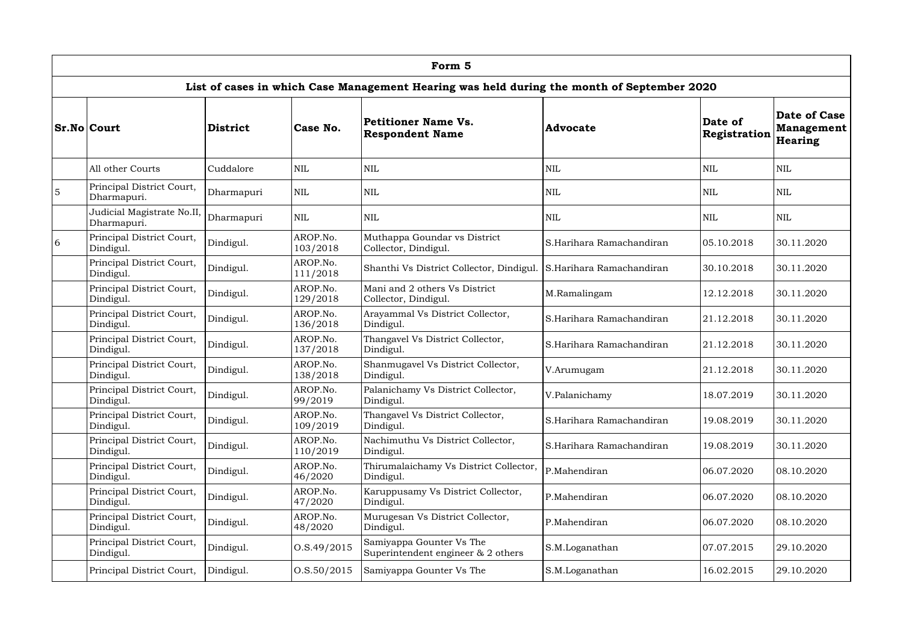|   | Form 5                                    |            |                      |                                                                                            |                          |                                |                                              |  |  |  |  |  |
|---|-------------------------------------------|------------|----------------------|--------------------------------------------------------------------------------------------|--------------------------|--------------------------------|----------------------------------------------|--|--|--|--|--|
|   |                                           |            |                      | List of cases in which Case Management Hearing was held during the month of September 2020 |                          |                                |                                              |  |  |  |  |  |
|   | <b>Sr.No Court</b>                        | District   | Case No.             | Petitioner Name Vs.<br><b>Respondent Name</b>                                              | <b>Advocate</b>          | Date of<br><b>Registration</b> | Date of Case<br><b>Management</b><br>Hearing |  |  |  |  |  |
|   | All other Courts                          | Cuddalore  | NIL                  | <b>NIL</b>                                                                                 | <b>NIL</b>               | <b>NIL</b>                     | <b>NIL</b>                                   |  |  |  |  |  |
| 5 | Principal District Court,<br>Dharmapuri.  | Dharmapuri | <b>NIL</b>           | <b>NIL</b>                                                                                 | <b>NIL</b>               | <b>NIL</b>                     | <b>NIL</b>                                   |  |  |  |  |  |
|   | Judicial Magistrate No.II,<br>Dharmapuri. | Dharmapuri | <b>NIL</b>           | <b>NIL</b>                                                                                 | <b>NIL</b>               | <b>NIL</b>                     | <b>NIL</b>                                   |  |  |  |  |  |
| 6 | Principal District Court,<br>Dindigul.    | Dindigul.  | AROP.No.<br>103/2018 | Muthappa Goundar vs District<br>Collector, Dindigul.                                       | S.Harihara Ramachandiran | 05.10.2018                     | 30.11.2020                                   |  |  |  |  |  |
|   | Principal District Court,<br>Dindigul.    | Dindigul.  | AROP.No.<br>111/2018 | Shanthi Vs District Collector, Dindigul. S.Harihara Ramachandiran                          |                          | 30.10.2018                     | 30.11.2020                                   |  |  |  |  |  |
|   | Principal District Court,<br>Dindigul.    | Dindigul.  | AROP.No.<br>129/2018 | Mani and 2 others Vs District<br>Collector, Dindigul.                                      | M.Ramalingam             | 12.12.2018                     | 30.11.2020                                   |  |  |  |  |  |
|   | Principal District Court,<br>Dindigul.    | Dindigul.  | AROP.No.<br>136/2018 | Arayammal Vs District Collector,<br>Dindigul.                                              | S.Harihara Ramachandiran | 21.12.2018                     | 30.11.2020                                   |  |  |  |  |  |
|   | Principal District Court,<br>Dindigul.    | Dindigul.  | AROP.No.<br>137/2018 | Thangavel Vs District Collector,<br>Dindigul.                                              | S.Harihara Ramachandiran | 21.12.2018                     | 30.11.2020                                   |  |  |  |  |  |
|   | Principal District Court,<br>Dindigul.    | Dindigul.  | AROP.No.<br>138/2018 | Shanmugavel Vs District Collector,<br>Dindigul.                                            | V.Arumugam               | 21.12.2018                     | 30.11.2020                                   |  |  |  |  |  |
|   | Principal District Court,<br>Dindigul.    | Dindigul.  | AROP.No.<br>99/2019  | Palanichamy Vs District Collector,<br>Dindigul.                                            | V.Palanichamy            | 18.07.2019                     | 30.11.2020                                   |  |  |  |  |  |
|   | Principal District Court,<br>Dindigul.    | Dindigul.  | AROP.No.<br>109/2019 | Thangavel Vs District Collector,<br>Dindigul.                                              | S.Harihara Ramachandiran | 19.08.2019                     | 30.11.2020                                   |  |  |  |  |  |
|   | Principal District Court,<br>Dindigul.    | Dindigul.  | AROP.No.<br>110/2019 | Nachimuthu Vs District Collector,<br>Dindigul.                                             | S.Harihara Ramachandiran | 19.08.2019                     | 30.11.2020                                   |  |  |  |  |  |
|   | Principal District Court,<br>Dindigul.    | Dindigul.  | AROP.No.<br>46/2020  | Thirumalaichamy Vs District Collector,<br>Dindigul.                                        | P.Mahendiran             | 06.07.2020                     | 08.10.2020                                   |  |  |  |  |  |
|   | Principal District Court,<br>Dindigul.    | Dindigul.  | AROP.No.<br>47/2020  | Karuppusamy Vs District Collector,<br>Dindigul.                                            | P.Mahendiran             | 06.07.2020                     | 08.10.2020                                   |  |  |  |  |  |
|   | Principal District Court,<br>Dindigul.    | Dindigul.  | AROP.No.<br>48/2020  | Murugesan Vs District Collector,<br>Dindigul.                                              | P.Mahendiran             | 06.07.2020                     | 08.10.2020                                   |  |  |  |  |  |
|   | Principal District Court,<br>Dindigul.    | Dindigul.  | 0. S.49 / 2015       | Samiyappa Gounter Vs The<br>Superintendent engineer $& 2$ others                           | S.M.Loganathan           | 07.07.2015                     | 29.10.2020                                   |  |  |  |  |  |
|   | Principal District Court,                 | Dindigul.  | 0. S. 50 / 2015      | Samiyappa Gounter Vs The                                                                   | S.M.Loganathan           | 16.02.2015                     | 29.10.2020                                   |  |  |  |  |  |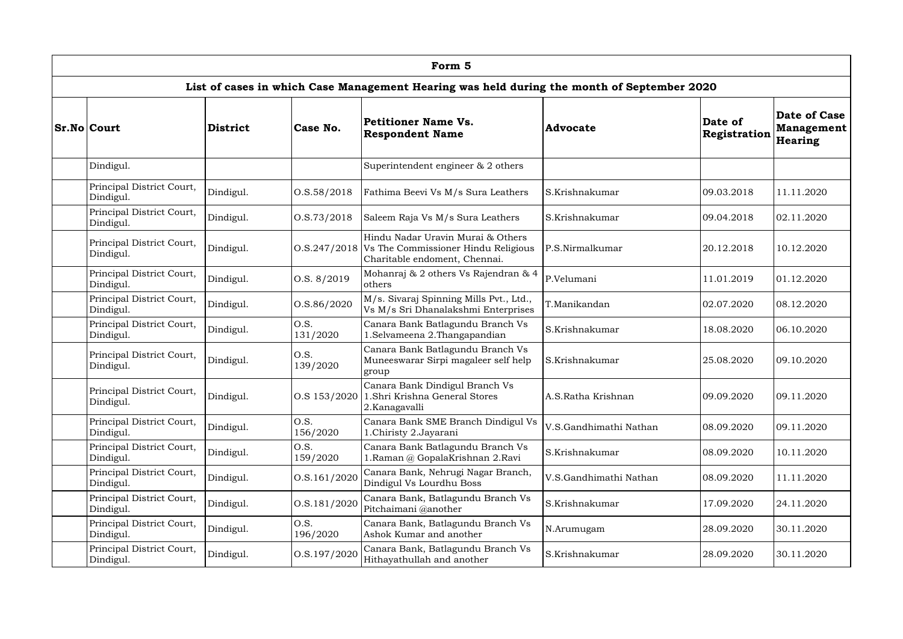| Form 5                                 |                 |                  |                                                                                                                          |                        |                         |                                              |  |  |  |  |  |
|----------------------------------------|-----------------|------------------|--------------------------------------------------------------------------------------------------------------------------|------------------------|-------------------------|----------------------------------------------|--|--|--|--|--|
|                                        |                 |                  | List of cases in which Case Management Hearing was held during the month of September 2020                               |                        |                         |                                              |  |  |  |  |  |
| <b>Sr.No Court</b>                     | <b>District</b> | Case No.         | <b>Petitioner Name Vs.</b><br><b>Respondent Name</b>                                                                     | <b>Advocate</b>        | Date of<br>Registration | Date of Case<br><b>Management</b><br>Hearing |  |  |  |  |  |
| Dindigul.                              |                 |                  | Superintendent engineer $\&$ 2 others                                                                                    |                        |                         |                                              |  |  |  |  |  |
| Principal District Court,<br>Dindigul. | Dindigul.       | 0. S. 58 / 2018  | Fathima Beevi Vs M/s Sura Leathers                                                                                       | S.Krishnakumar         | 09.03.2018              | 11.11.2020                                   |  |  |  |  |  |
| Principal District Court,<br>Dindigul. | Dindigul.       | 0. S. 73/2018    | Saleem Raja Vs M/s Sura Leathers                                                                                         | S.Krishnakumar         | 09.04.2018              | 02.11.2020                                   |  |  |  |  |  |
| Principal District Court,<br>Dindigul. | Dindigul.       |                  | Hindu Nadar Uravin Murai & Others<br>O.S.247/2018   Vs The Commissioner Hindu Religious<br>Charitable endoment, Chennai. | P.S.Nirmalkumar        | 20.12.2018              | 10.12.2020                                   |  |  |  |  |  |
| Principal District Court,<br>Dindigul. | Dindigul.       | 0. S. 8/2019     | Mohanraj & 2 others Vs Rajendran & 4<br>others                                                                           | P.Velumani             | 11.01.2019              | 01.12.2020                                   |  |  |  |  |  |
| Principal District Court,<br>Dindigul. | Dindigul.       | O.S.86/2020      | M/s. Sivaraj Spinning Mills Pvt., Ltd.,<br>Vs M/s Sri Dhanalakshmi Enterprises                                           | T.Manikandan           | 02.07.2020              | 08.12.2020                                   |  |  |  |  |  |
| Principal District Court,<br>Dindigul. | Dindigul.       | O.S.<br>131/2020 | Canara Bank Batlagundu Branch Vs<br>1. Selvameena 2. Thangapandian                                                       | S.Krishnakumar         | 18.08.2020              | 06.10.2020                                   |  |  |  |  |  |
| Principal District Court,<br>Dindigul. | Dindigul.       | O.S.<br>139/2020 | Canara Bank Batlagundu Branch Vs<br>Muneeswarar Sirpi magaleer self help<br>group                                        | S.Krishnakumar         | 25.08.2020              | 09.10.2020                                   |  |  |  |  |  |
| Principal District Court,<br>Dindigul. | Dindigul.       |                  | Canara Bank Dindigul Branch Vs<br>O.S 153/2020 1.Shri Krishna General Stores<br>2.Kanagavalli                            | A.S.Ratha Krishnan     | 09.09.2020              | 09.11.2020                                   |  |  |  |  |  |
| Principal District Court,<br>Dindigul. | Dindigul.       | O.S.<br>156/2020 | Canara Bank SME Branch Dindigul Vs<br>1.Chiristy 2.Jayarani                                                              | V.S.Gandhimathi Nathan | 08.09.2020              | 09.11.2020                                   |  |  |  |  |  |
| Principal District Court,<br>Dindigul. | Dindigul.       | O.S.<br>159/2020 | Canara Bank Batlagundu Branch Vs<br>1. Raman @ GopalaKrishnan 2. Ravi                                                    | S.Krishnakumar         | 08.09.2020              | 10.11.2020                                   |  |  |  |  |  |
| Principal District Court,<br>Dindigul. | Dindigul.       | O.S.161/2020     | Canara Bank, Nehrugi Nagar Branch,<br>Dindigul Vs Lourdhu Boss                                                           | V.S.Gandhimathi Nathan | 08.09.2020              | 11.11.2020                                   |  |  |  |  |  |
| Principal District Court,<br>Dindigul. | Dindigul.       | O.S.181/2020     | Canara Bank, Batlagundu Branch Vs<br>Pitchaimani @another                                                                | S.Krishnakumar         | 17.09.2020              | 24.11.2020                                   |  |  |  |  |  |
| Principal District Court,<br>Dindigul. | Dindigul.       | O.S.<br>196/2020 | Canara Bank, Batlagundu Branch Vs<br>Ashok Kumar and another                                                             | N.Arumugam             | 28.09.2020              | 30.11.2020                                   |  |  |  |  |  |
| Principal District Court,<br>Dindigul. | Dindigul.       | O.S.197/2020     | Canara Bank, Batlagundu Branch Vs<br>Hithayathullah and another                                                          | S.Krishnakumar         | 28.09.2020              | 30.11.2020                                   |  |  |  |  |  |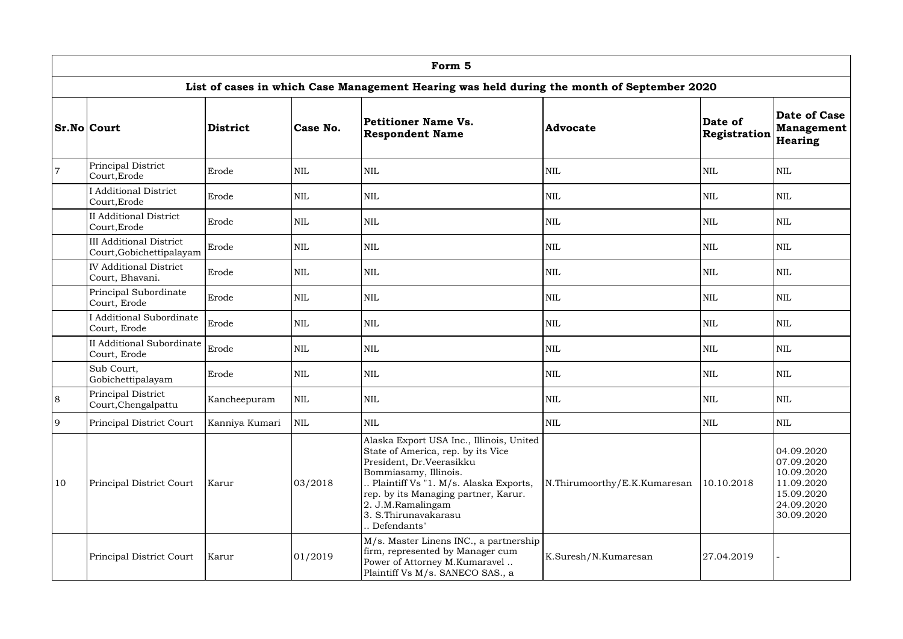|                | Form 5                                                     |                 |              |                                                                                                                                                                                                                                                                                  |                              |                         |                                                                                                |  |  |  |  |
|----------------|------------------------------------------------------------|-----------------|--------------|----------------------------------------------------------------------------------------------------------------------------------------------------------------------------------------------------------------------------------------------------------------------------------|------------------------------|-------------------------|------------------------------------------------------------------------------------------------|--|--|--|--|
|                |                                                            |                 |              | List of cases in which Case Management Hearing was held during the month of September 2020                                                                                                                                                                                       |                              |                         |                                                                                                |  |  |  |  |
|                | <b>Sr.No Court</b>                                         | <b>District</b> | Case No.     | Petitioner Name Vs.<br><b>Respondent Name</b>                                                                                                                                                                                                                                    | <b>Advocate</b>              | Date of<br>Registration | Date of Case<br><b>Management</b><br>Hearing                                                   |  |  |  |  |
| $\overline{7}$ | Principal District<br>Court, Erode                         | Erode           | <b>NIL</b>   | <b>NIL</b>                                                                                                                                                                                                                                                                       | <b>NIL</b>                   | <b>NIL</b>              | $\mbox{NIL}$                                                                                   |  |  |  |  |
|                | <b>I Additional District</b><br>Court, Erode               | Erode           | <b>NIL</b>   | <b>NIL</b>                                                                                                                                                                                                                                                                       | <b>NIL</b>                   | <b>NIL</b>              | <b>NIL</b>                                                                                     |  |  |  |  |
|                | <b>II Additional District</b><br>Court, Erode              | Erode           | <b>NIL</b>   | <b>NIL</b>                                                                                                                                                                                                                                                                       | <b>NIL</b>                   | <b>NIL</b>              | <b>NIL</b>                                                                                     |  |  |  |  |
|                | <b>III Additional District</b><br>Court, Gobichettipalayam | Erode           | <b>NIL</b>   | <b>NIL</b>                                                                                                                                                                                                                                                                       | <b>NIL</b>                   | <b>NIL</b>              | <b>NIL</b>                                                                                     |  |  |  |  |
|                | <b>IV Additional District</b><br>Court, Bhavani.           | Erode           | <b>NIL</b>   | <b>NIL</b>                                                                                                                                                                                                                                                                       | <b>NIL</b>                   | <b>NIL</b>              | <b>NIL</b>                                                                                     |  |  |  |  |
|                | Principal Subordinate<br>Court, Erode                      | Erode           | <b>NIL</b>   | <b>NIL</b>                                                                                                                                                                                                                                                                       | <b>NIL</b>                   | <b>NIL</b>              | $\mbox{NIL}$                                                                                   |  |  |  |  |
|                | <b>I</b> Additional Subordinate<br>Court, Erode            | Erode           | $\mbox{NIL}$ | <b>NIL</b>                                                                                                                                                                                                                                                                       | <b>NIL</b>                   | <b>NIL</b>              | <b>NIL</b>                                                                                     |  |  |  |  |
|                | <b>II Additional Subordinate</b><br>Court, Erode           | Erode           | $\mbox{NIL}$ | <b>NIL</b>                                                                                                                                                                                                                                                                       | <b>NIL</b>                   | <b>NIL</b>              | $\mbox{NIL}$                                                                                   |  |  |  |  |
|                | Sub Court,<br>Gobichettipalayam                            | Erode           | <b>NIL</b>   | <b>NIL</b>                                                                                                                                                                                                                                                                       | <b>NIL</b>                   | <b>NIL</b>              | <b>NIL</b>                                                                                     |  |  |  |  |
| $\sqrt{8}$     | Principal District<br>Court, Chengalpattu                  | Kancheepuram    | NIL          | NIL                                                                                                                                                                                                                                                                              | NIL                          | <b>NIL</b>              | <b>NIL</b>                                                                                     |  |  |  |  |
| $\overline{9}$ | Principal District Court                                   | Kanniya Kumari  | <b>NIL</b>   | <b>NIL</b>                                                                                                                                                                                                                                                                       | <b>NIL</b>                   | <b>NIL</b>              | <b>NIL</b>                                                                                     |  |  |  |  |
| <b>10</b>      | Principal District Court                                   | Karur           | 03/2018      | Alaska Export USA Inc., Illinois, United<br>State of America, rep. by its Vice<br>President, Dr.Veerasikku<br>Bommiasamy, Illinois.<br>Plaintiff Vs "1. M/s. Alaska Exports,<br>rep. by its Managing partner, Karur.<br>2. J.M.Ramalingam<br>3. S.Thirunavakarasu<br>Defendants" | N.Thirumoorthy/E.K.Kumaresan | 10.10.2018              | 04.09.2020<br>07.09.2020<br>10.09.2020<br>11.09.2020<br>15.09.2020<br>24.09.2020<br>30.09.2020 |  |  |  |  |
|                | Principal District Court                                   | Karur           | 01/2019      | M/s. Master Linens INC., a partnership<br>firm, represented by Manager cum<br>Power of Attorney M.Kumaravel<br>Plaintiff Vs M/s. SANECO SAS., a                                                                                                                                  | K.Suresh/N.Kumaresan         | 27.04.2019              |                                                                                                |  |  |  |  |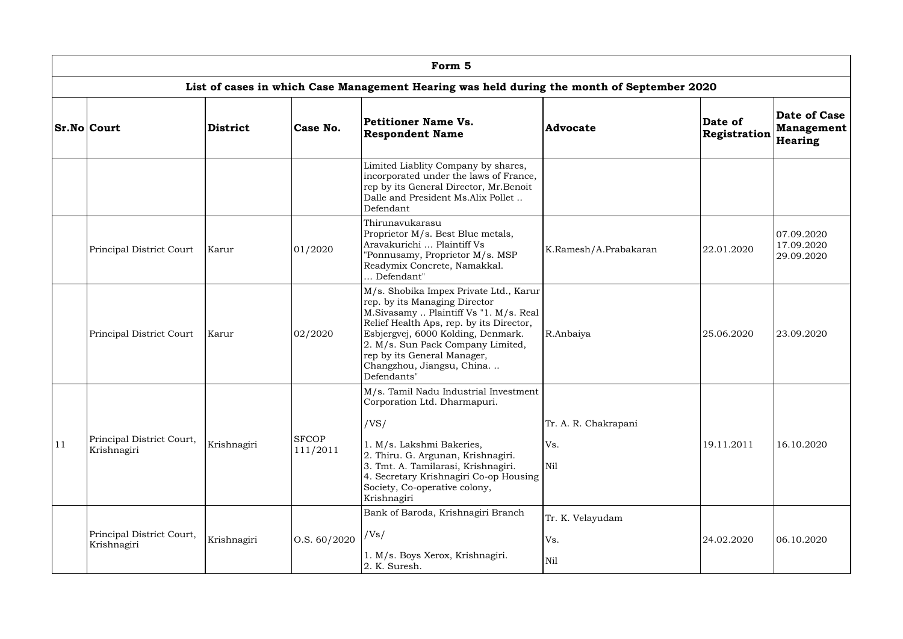|    | Form 5                                   |                 |                          |                                                                                                                                                                                                                                                                                                                     |                                    |                         |                                              |  |  |  |  |
|----|------------------------------------------|-----------------|--------------------------|---------------------------------------------------------------------------------------------------------------------------------------------------------------------------------------------------------------------------------------------------------------------------------------------------------------------|------------------------------------|-------------------------|----------------------------------------------|--|--|--|--|
|    |                                          |                 |                          | List of cases in which Case Management Hearing was held during the month of September 2020                                                                                                                                                                                                                          |                                    |                         |                                              |  |  |  |  |
|    | <b>Sr.No Court</b>                       | <b>District</b> | Case No.                 | Petitioner Name Vs.<br><b>Respondent Name</b>                                                                                                                                                                                                                                                                       | <b>Advocate</b>                    | Date of<br>Registration | Date of Case<br><b>Management</b><br>Hearing |  |  |  |  |
|    |                                          |                 |                          | Limited Liablity Company by shares,<br>incorporated under the laws of France,<br>rep by its General Director, Mr.Benoit<br>Dalle and President Ms.Alix Pollet<br>Defendant                                                                                                                                          |                                    |                         |                                              |  |  |  |  |
|    | Principal District Court                 | Karur           | 01/2020                  | Thirunavukarasu<br>Proprietor M/s. Best Blue metals,<br>Aravakurichi  Plaintiff Vs<br>"Ponnusamy, Proprietor M/s. MSP<br>Readymix Concrete, Namakkal.<br>Defendant"                                                                                                                                                 | K.Ramesh/A.Prabakaran              | 22.01.2020              | 07.09.2020<br>17.09.2020<br>29.09.2020       |  |  |  |  |
|    | Principal District Court                 | Karur           | 02/2020                  | M/s. Shobika Impex Private Ltd., Karur<br>rep. by its Managing Director<br>M.Sivasamy  Plaintiff Vs "1. M/s. Real<br>Relief Health Aps, rep. by its Director,<br>Esbjergvej, 6000 Kolding, Denmark.<br>2. M/s. Sun Pack Company Limited,<br>rep by its General Manager,<br>Changzhou, Jiangsu, China<br>Defendants" | R.Anbaiya                          | 25.06.2020              | 23.09.2020                                   |  |  |  |  |
| 11 | Principal District Court,<br>Krishnagiri | Krishnagiri     | <b>SFCOP</b><br>111/2011 | M/s. Tamil Nadu Industrial Investment<br>Corporation Ltd. Dharmapuri.<br>/VS/<br>1. M/s. Lakshmi Bakeries,<br>2. Thiru. G. Argunan, Krishnagiri.<br>3. Tmt. A. Tamilarasi, Krishnagiri.<br>4. Secretary Krishnagiri Co-op Housing<br>Society, Co-operative colony,<br>Krishnagiri                                   | Tr. A. R. Chakrapani<br>Vs.<br>Nil | 19.11.2011              | 16.10.2020                                   |  |  |  |  |
|    | Principal District Court,<br>Krishnagiri | Krishnagiri     | $\vert$ O.S. 60/2020     | Bank of Baroda, Krishnagiri Branch<br>/Vs/<br>1. M/s. Boys Xerox, Krishnagiri.<br>2. K. Suresh.                                                                                                                                                                                                                     | Tr. K. Velayudam<br>Vs.<br>Nil     | 24.02.2020              | 06.10.2020                                   |  |  |  |  |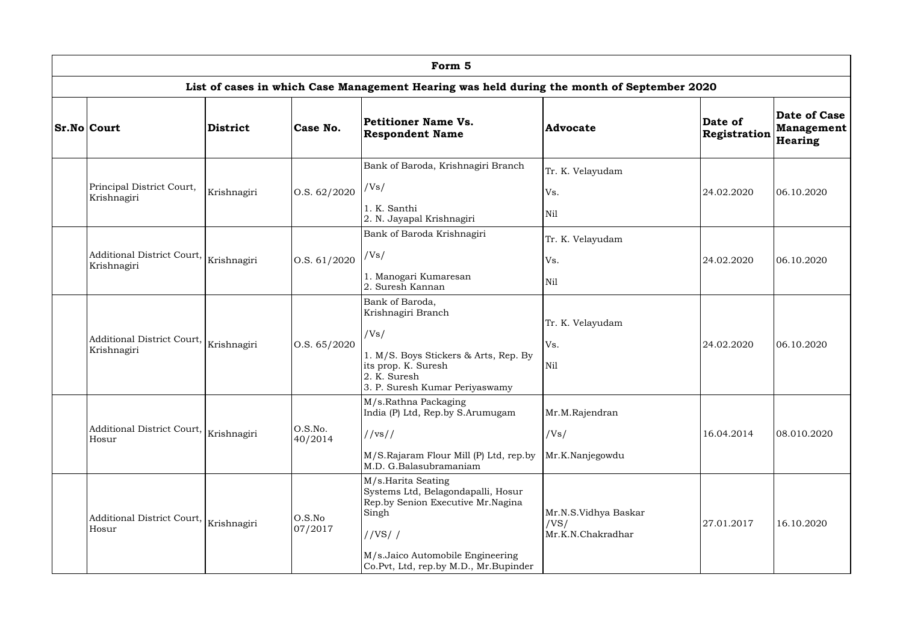| Form 5                                                |             |                      |                                                                                                                                                                                               |                                                   |                         |                                                     |  |  |  |  |
|-------------------------------------------------------|-------------|----------------------|-----------------------------------------------------------------------------------------------------------------------------------------------------------------------------------------------|---------------------------------------------------|-------------------------|-----------------------------------------------------|--|--|--|--|
|                                                       |             |                      | List of cases in which Case Management Hearing was held during the month of September 2020                                                                                                    |                                                   |                         |                                                     |  |  |  |  |
| <b>Sr.No Court</b>                                    | District    | Case No.             | <b>Petitioner Name Vs.</b><br><b>Respondent Name</b>                                                                                                                                          | <b>Advocate</b>                                   | Date of<br>Registration | <b>Date of Case</b><br><b>Management</b><br>Hearing |  |  |  |  |
| Principal District Court,<br>Krishnagiri              | Krishnagiri | $\vert$ O.S. 62/2020 | Bank of Baroda, Krishnagiri Branch<br>/Vs/<br>1. K. Santhi<br>2. N. Jayapal Krishnagiri                                                                                                       | Tr. K. Velayudam<br>Vs.<br>Nil                    | 24.02.2020              | 06.10.2020                                          |  |  |  |  |
| Additional District Court, Krishnagiri<br>Krishnagiri |             | O.S. 61/2020         | Bank of Baroda Krishnagiri<br>/Vs/<br>1. Manogari Kumaresan<br>2. Suresh Kannan                                                                                                               | Tr. K. Velayudam<br>Vs.<br>Nil                    | 24.02.2020              | 06.10.2020                                          |  |  |  |  |
| Additional District Court,<br>Krishnagiri             | Krishnagiri | 0. S. 65 / 2020      | Bank of Baroda,<br>Krishnagiri Branch<br>/Vs/<br>1. M/S. Boys Stickers & Arts, Rep. By<br>its prop. K. Suresh<br>2. K. Suresh<br>3. P. Suresh Kumar Periyaswamy                               | Tr. K. Velayudam<br>Vs.<br>Nil                    | 24.02.2020              | 06.10.2020                                          |  |  |  |  |
| Additional District Court, Krishnagiri<br>Hosur       |             | O.S.No.<br>40/2014   | M/s.Rathna Packaging<br>India (P) Ltd, Rep.by S.Arumugam<br>//vs//<br>M/S.Rajaram Flour Mill (P) Ltd, rep.by Mr.K.Nanjegowdu<br>M.D. G.Balasubramaniam                                        | Mr.M.Rajendran<br>/Vs/                            | 16.04.2014              | 08.010.2020                                         |  |  |  |  |
| Additional District Court,<br>Hosur                   | Krishnagiri | O.S.No<br>07/2017    | M/s.Harita Seating<br>Systems Ltd, Belagondapalli, Hosur<br>Rep.by Senion Executive Mr.Nagina<br>Singh<br>//VS//<br>M/s.Jaico Automobile Engineering<br>Co.Pvt, Ltd, rep.by M.D., Mr.Bupinder | Mr.N.S.Vidhya Baskar<br>/VS/<br>Mr.K.N.Chakradhar | 27.01.2017              | 16.10.2020                                          |  |  |  |  |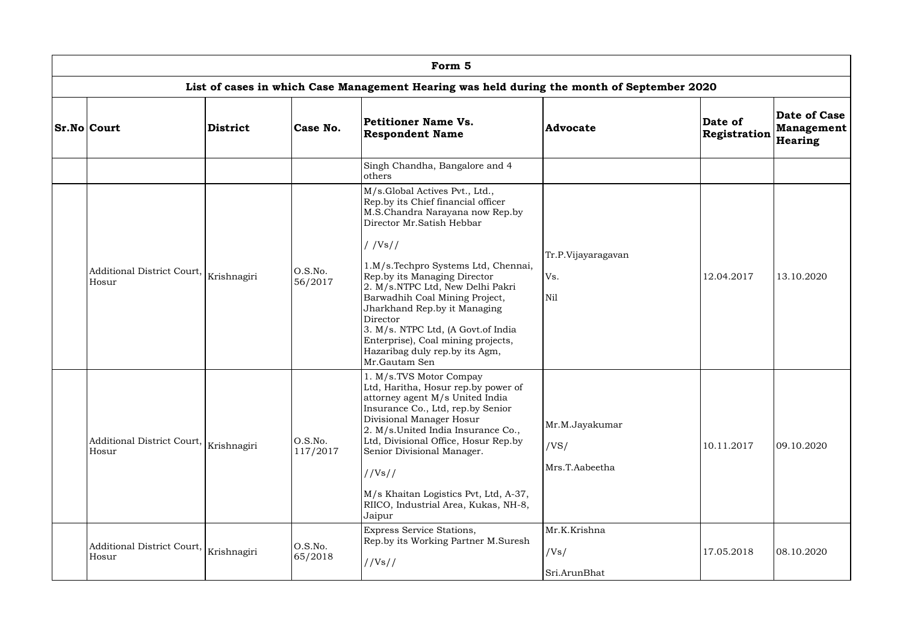| Form 5                                                                                     |                 |                     |                                                                                                                                                                                                                                                                                                                                                                                                                                                                        |                                          |                         |                                              |  |  |  |  |  |
|--------------------------------------------------------------------------------------------|-----------------|---------------------|------------------------------------------------------------------------------------------------------------------------------------------------------------------------------------------------------------------------------------------------------------------------------------------------------------------------------------------------------------------------------------------------------------------------------------------------------------------------|------------------------------------------|-------------------------|----------------------------------------------|--|--|--|--|--|
| List of cases in which Case Management Hearing was held during the month of September 2020 |                 |                     |                                                                                                                                                                                                                                                                                                                                                                                                                                                                        |                                          |                         |                                              |  |  |  |  |  |
| <b>Sr.No Court</b>                                                                         | <b>District</b> | Case No.            | Petitioner Name Vs.<br><b>Respondent Name</b>                                                                                                                                                                                                                                                                                                                                                                                                                          | <b>Advocate</b>                          | Date of<br>Registration | Date of Case<br><b>Management</b><br>Hearing |  |  |  |  |  |
|                                                                                            |                 |                     | Singh Chandha, Bangalore and 4<br>others                                                                                                                                                                                                                                                                                                                                                                                                                               |                                          |                         |                                              |  |  |  |  |  |
| Additional District Court,<br>Hosur                                                        | Krishnagiri     | O.S.No.<br>56/2017  | M/s.Global Actives Pvt., Ltd.,<br>Rep.by its Chief financial officer<br>M.S.Chandra Narayana now Rep.by<br>Director Mr.Satish Hebbar<br>//Vs//<br>1.M/s.Techpro Systems Ltd, Chennai,<br>Rep.by its Managing Director<br>2. M/s.NTPC Ltd, New Delhi Pakri<br>Barwadhih Coal Mining Project,<br>Jharkhand Rep.by it Managing<br>Director<br>3. M/s. NTPC Ltd, (A Govt.of India<br>Enterprise), Coal mining projects,<br>Hazaribag duly rep.by its Agm,<br>Mr.Gautam Sen | Tr.P.Vijayaragavan<br>Vs.<br>Nil         | 12.04.2017              | 13.10.2020                                   |  |  |  |  |  |
| Additional District Court,<br>Hosur                                                        | Krishnagiri     | O.S.No.<br>117/2017 | 1. M/s.TVS Motor Compay<br>Ltd, Haritha, Hosur rep. by power of<br>attorney agent M/s United India<br>Insurance Co., Ltd, rep.by Senior<br>Divisional Manager Hosur<br>2. M/s.United India Insurance Co.,<br>Ltd, Divisional Office, Hosur Rep.by<br>Senior Divisional Manager.<br>//Vs//<br>M/s Khaitan Logistics Pvt, Ltd, A-37,<br>RIICO, Industrial Area, Kukas, NH-8,<br>Jaipur                                                                                   | Mr.M.Jayakumar<br>/VS/<br>Mrs.T.Aabeetha | 10.11.2017              | 09.10.2020                                   |  |  |  |  |  |
| Additional District Court,<br>Hosur                                                        | Krishnagiri     | O.S.No.<br>65/2018  | Express Service Stations,<br>Rep.by its Working Partner M.Suresh<br>//Vs//                                                                                                                                                                                                                                                                                                                                                                                             | Mr.K.Krishna<br>/Vs/<br>Sri.ArunBhat     | 17.05.2018              | 08.10.2020                                   |  |  |  |  |  |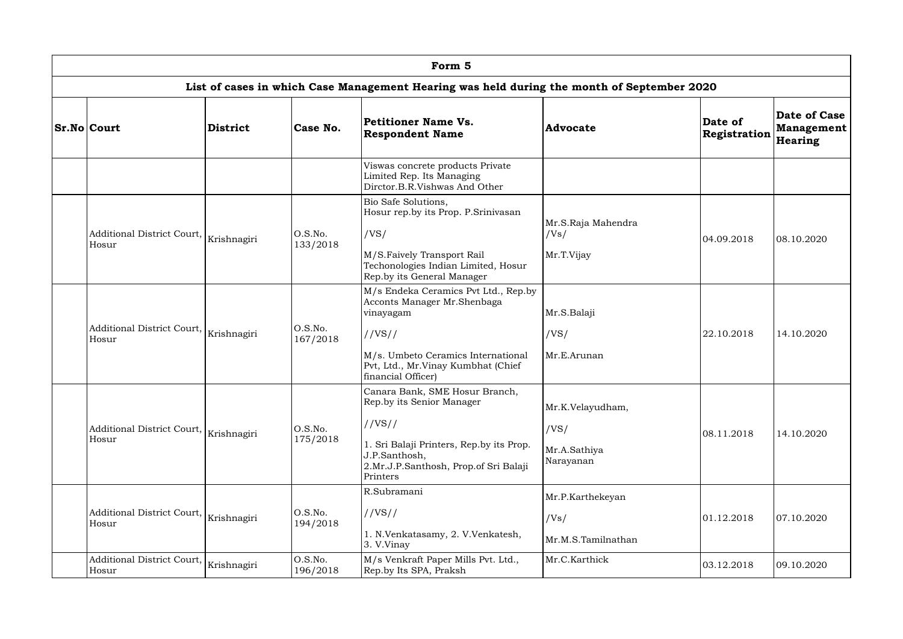| Form 5                              |                 |                     |                                                                                                                                                                                              |                                                       |                                |                                              |  |  |  |  |
|-------------------------------------|-----------------|---------------------|----------------------------------------------------------------------------------------------------------------------------------------------------------------------------------------------|-------------------------------------------------------|--------------------------------|----------------------------------------------|--|--|--|--|
|                                     |                 |                     | List of cases in which Case Management Hearing was held during the month of September 2020                                                                                                   |                                                       |                                |                                              |  |  |  |  |
| <b>Sr.No Court</b>                  | <b>District</b> | Case No.            | Petitioner Name Vs.<br><b>Respondent Name</b>                                                                                                                                                | <b>Advocate</b>                                       | Date of<br><b>Registration</b> | Date of Case<br><b>Management</b><br>Hearing |  |  |  |  |
|                                     |                 |                     | Viswas concrete products Private<br>Limited Rep. Its Managing<br>Dirctor.B.R.Vishwas And Other                                                                                               |                                                       |                                |                                              |  |  |  |  |
| Additional District Court,<br>Hosur | Krishnagiri     | O.S.No.<br>133/2018 | Bio Safe Solutions,<br>Hosur rep.by its Prop. P.Srinivasan<br>/VS/<br>M/S.Faively Transport Rail<br>Techonologies Indian Limited, Hosur<br>Rep.by its General Manager                        | Mr.S.Raja Mahendra<br>/Vs/<br>Mr.T.Vijay              | 04.09.2018                     | 08.10.2020                                   |  |  |  |  |
| Additional District Court,<br>Hosur | Krishnagiri     | O.S.No.<br>167/2018 | M/s Endeka Ceramics Pvt Ltd., Rep.by<br>Acconts Manager Mr.Shenbaga<br>vinayagam<br>//VS//<br>M/s. Umbeto Ceramics International<br>Pvt, Ltd., Mr.Vinay Kumbhat (Chief<br>financial Officer) | Mr.S.Balaji<br>/VS/<br>Mr.E.Arunan                    | 22.10.2018                     | 14.10.2020                                   |  |  |  |  |
| Additional District Court,<br>Hosur | Krishnagiri     | O.S.No.<br>175/2018 | Canara Bank, SME Hosur Branch,<br>Rep.by its Senior Manager<br>//VS//<br>1. Sri Balaji Printers, Rep.by its Prop.<br>J.P.Santhosh,<br>2.Mr.J.P.Santhosh, Prop.of Sri Balaji<br>Printers      | Mr.K.Velayudham,<br>/VS/<br>Mr.A.Sathiya<br>Narayanan | 08.11.2018                     | 14.10.2020                                   |  |  |  |  |
| Additional District Court,<br>Hosur | Krishnagiri     | O.S.No.<br>194/2018 | R.Subramani<br>//VS//<br>1. N.Venkatasamy, 2. V.Venkatesh,<br>3. V.Vinay                                                                                                                     | Mr.P.Karthekeyan<br>/Vs/<br>Mr.M.S.Tamilnathan        | 01.12.2018                     | 07.10.2020                                   |  |  |  |  |
| Additional District Court,<br>Hosur | Krishnagiri     | O.S.No.<br>196/2018 | M/s Venkraft Paper Mills Pvt. Ltd.,<br>Rep.by Its SPA, Praksh                                                                                                                                | Mr.C.Karthick                                         | 03.12.2018                     | 09.10.2020                                   |  |  |  |  |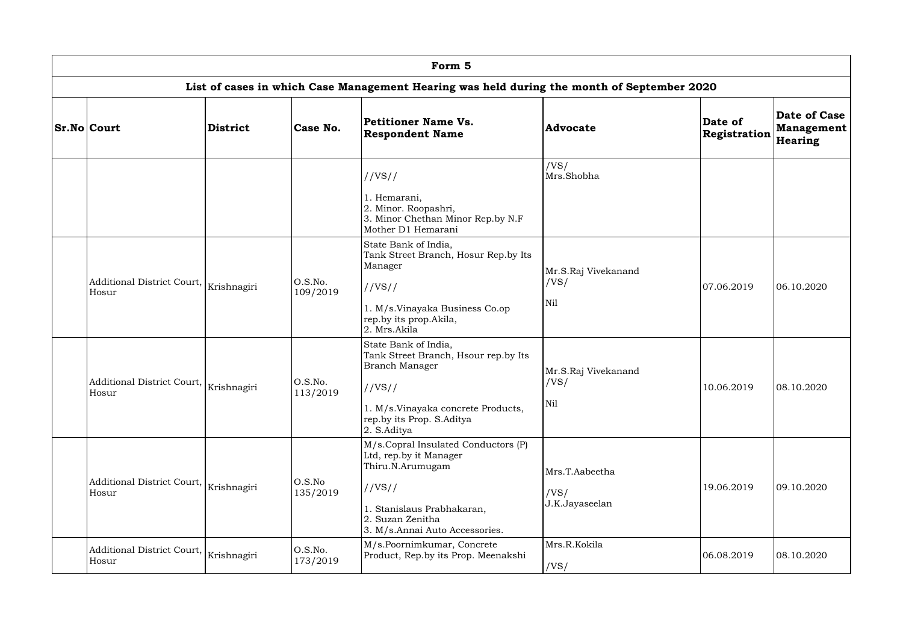| Form 5                                          |             |                     |                                                                                                                                                                                   |                                          |                         |                                                     |  |  |  |  |  |
|-------------------------------------------------|-------------|---------------------|-----------------------------------------------------------------------------------------------------------------------------------------------------------------------------------|------------------------------------------|-------------------------|-----------------------------------------------------|--|--|--|--|--|
|                                                 |             |                     | List of cases in which Case Management Hearing was held during the month of September 2020                                                                                        |                                          |                         |                                                     |  |  |  |  |  |
| <b>Sr.No Court</b>                              | District    | Case No.            | <b>Petitioner Name Vs.</b><br><b>Respondent Name</b>                                                                                                                              | <b>Advocate</b>                          | Date of<br>Registration | <b>Date of Case</b><br><b>Management</b><br>Hearing |  |  |  |  |  |
|                                                 |             |                     | //VS//<br>1. Hemarani,<br>2. Minor. Roopashri,<br>3. Minor Chethan Minor Rep.by N.F<br>Mother D1 Hemarani                                                                         | /VS/<br>Mrs.Shobha                       |                         |                                                     |  |  |  |  |  |
| Additional District Court,<br>Hosur             | Krishnagiri | O.S.No.<br>109/2019 | State Bank of India,<br>Tank Street Branch, Hosur Rep.by Its<br>Manager<br>//VS//<br>1. M/s.Vinayaka Business Co.op<br>rep.by its prop. Akila,<br>2. Mrs.Akila                    | Mr.S.Raj Vivekanand<br>/VS/<br>Nil       | 07.06.2019              | 06.10.2020                                          |  |  |  |  |  |
| Additional District Court, Krishnagiri<br>Hosur |             | O.S.No.<br>113/2019 | State Bank of India,<br>Tank Street Branch, Hsour rep.by Its<br><b>Branch Manager</b><br>//VS//<br>1. M/s.Vinayaka concrete Products,<br>rep.by its Prop. S.Aditya<br>2. S.Aditya | Mr.S.Raj Vivekanand<br>/VS/<br>Nil       | 10.06.2019              | 08.10.2020                                          |  |  |  |  |  |
| Additional District Court,<br>Hosur             | Krishnagiri | O.S.No<br>135/2019  | M/s.Copral Insulated Conductors (P)<br>Ltd, rep.by it Manager<br>Thiru.N.Arumugam<br>//VS//<br>1. Stanislaus Prabhakaran,<br>2. Suzan Zenitha<br>3. M/s.Annai Auto Accessories.   | Mrs.T.Aabeetha<br>/VS/<br>J.K.Jayaseelan | 19.06.2019              | 09.10.2020                                          |  |  |  |  |  |
| Additional District Court,<br>Hosur             | Krishnagiri | O.S.No.<br>173/2019 | M/s.Poornimkumar, Concrete<br>Product, Rep.by its Prop. Meenakshi                                                                                                                 | Mrs.R.Kokila<br>/VS/                     | 06.08.2019              | 08.10.2020                                          |  |  |  |  |  |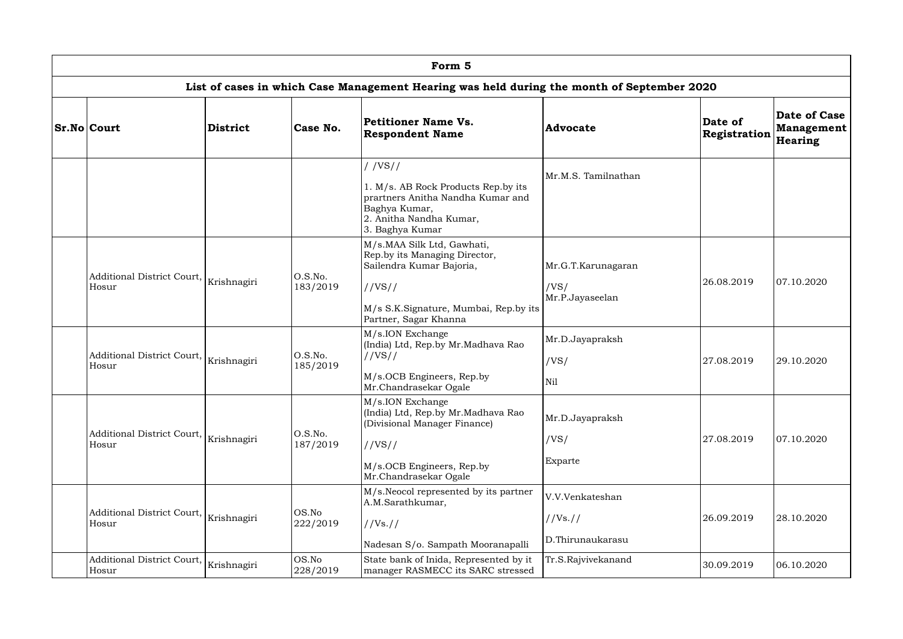| Form 5                                     |                 |                     |                                                                                                                                                                     |                                                 |                         |                                                     |  |  |  |
|--------------------------------------------|-----------------|---------------------|---------------------------------------------------------------------------------------------------------------------------------------------------------------------|-------------------------------------------------|-------------------------|-----------------------------------------------------|--|--|--|
|                                            |                 |                     | List of cases in which Case Management Hearing was held during the month of September 2020                                                                          |                                                 |                         |                                                     |  |  |  |
| <b>Sr.No Court</b>                         | <b>District</b> | Case No.            | Petitioner Name Vs.<br><b>Respondent Name</b>                                                                                                                       | <b>Advocate</b>                                 | Date of<br>Registration | Date of Case<br><b>Management</b><br><b>Hearing</b> |  |  |  |
|                                            |                 |                     | //VS//<br>1. M/s. AB Rock Products Rep.by its<br>prartners Anitha Nandha Kumar and<br>Baghya Kumar,<br>2. Anitha Nandha Kumar,<br>3. Baghya Kumar                   | Mr.M.S. Tamilnathan                             |                         |                                                     |  |  |  |
| <b>Additional District Court,</b><br>Hosur | Krishnagiri     | O.S.No.<br>183/2019 | M/s.MAA Silk Ltd, Gawhati,<br>Rep.by its Managing Director,<br>Sailendra Kumar Bajoria,<br>//VS//<br>M/s S.K.Signature, Mumbai, Rep.by its<br>Partner, Sagar Khanna | Mr.G.T.Karunagaran<br>/VS/<br>Mr.P.Jayaseelan   | 26.08.2019              | 07.10.2020                                          |  |  |  |
| Additional District Court,<br>Hosur        | Krishnagiri     | O.S.No.<br>185/2019 | M/s.ION Exchange<br>(India) Ltd, Rep.by Mr.Madhava Rao<br>//VS//<br>M/s.OCB Engineers, Rep.by<br>Mr.Chandrasekar Ogale                                              | Mr.D.Jayapraksh<br>/VS/<br>Nil                  | 27.08.2019              | 29.10.2020                                          |  |  |  |
| <b>Additional District Court,</b><br>Hosur | Krishnagiri     | O.S.No.<br>187/2019 | M/s.ION Exchange<br>(India) Ltd, Rep.by Mr.Madhava Rao<br>(Divisional Manager Finance)<br>//VS//<br>M/s.OCB Engineers, Rep.by<br>Mr.Chandrasekar Ogale              | Mr.D.Jayapraksh<br>/VS/<br>Exparte              | 27.08.2019              | 07.10.2020                                          |  |  |  |
| Additional District Court,<br>Hosur        | Krishnagiri     | OS.No<br>222/2019   | M/s.Neocol represented by its partner<br>A.M.Sarathkumar,<br>$1/Vs.$ //<br>Nadesan S/o. Sampath Mooranapalli                                                        | V.V.Venkateshan<br>//Vs. //<br>D.Thirunaukarasu | 26.09.2019              | 28.10.2020                                          |  |  |  |
| Additional District Court,<br>Hosur        | Krishnagiri     | OS.No<br>228/2019   | State bank of Inida, Represented by it<br>manager RASMECC its SARC stressed                                                                                         | Tr.S.Rajvivekanand                              | 30.09.2019              | 06.10.2020                                          |  |  |  |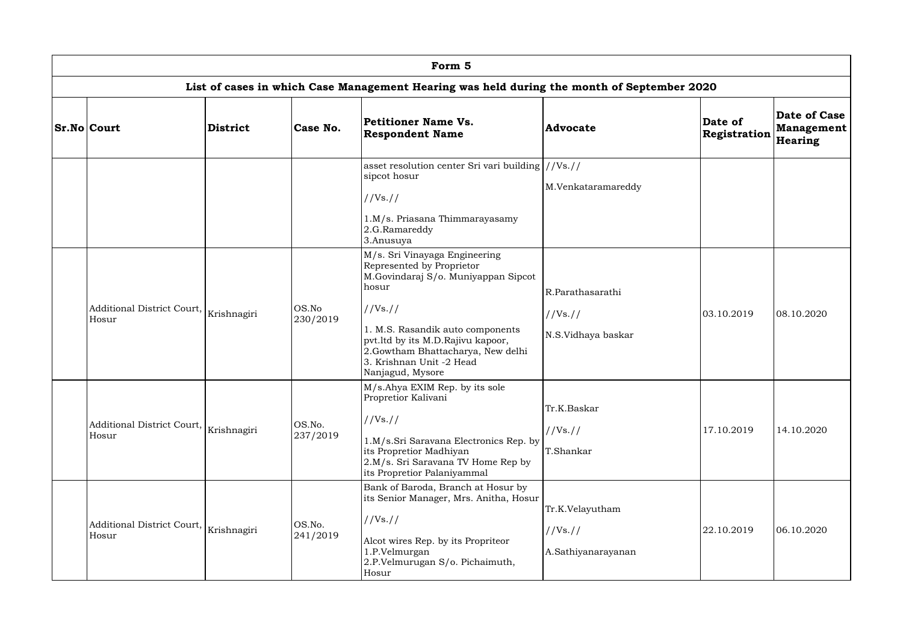| Form 5                              |                 |                    |                                                                                                                                                                                                                                                                                     |                                                    |                         |                                                     |  |  |  |  |
|-------------------------------------|-----------------|--------------------|-------------------------------------------------------------------------------------------------------------------------------------------------------------------------------------------------------------------------------------------------------------------------------------|----------------------------------------------------|-------------------------|-----------------------------------------------------|--|--|--|--|
|                                     |                 |                    | List of cases in which Case Management Hearing was held during the month of September 2020                                                                                                                                                                                          |                                                    |                         |                                                     |  |  |  |  |
| $Sr.No $ Court                      | <b>District</b> | Case No.           | Petitioner Name Vs.<br><b>Respondent Name</b>                                                                                                                                                                                                                                       | <b>Advocate</b>                                    | Date of<br>Registration | Date of Case<br><b>Management</b><br><b>Hearing</b> |  |  |  |  |
|                                     |                 |                    | asset resolution center Sri vari building $\frac{1}{\sqrt{8}}$ .<br>sipcot hosur<br>//Vs. //<br>1.M/s. Priasana Thimmarayasamy<br>2.G.Ramareddy<br>3.Anusuya                                                                                                                        | M.Venkataramareddy                                 |                         |                                                     |  |  |  |  |
| Additional District Court,<br>Hosur | Krishnagiri     | OS.No<br>230/2019  | M/s. Sri Vinayaga Engineering<br>Represented by Proprietor<br>M.Govindaraj S/o. Muniyappan Sipcot<br>hosur<br>//Vs://<br>1. M.S. Rasandik auto components<br>pvt.ltd by its M.D.Rajivu kapoor,<br>2.Gowtham Bhattacharya, New delhi<br>3. Krishnan Unit -2 Head<br>Nanjagud, Mysore | R.Parathasarathi<br>//Vs. //<br>N.S.Vidhaya baskar | 03.10.2019              | 08.10.2020                                          |  |  |  |  |
| Additional District Court,<br>Hosur | Krishnagiri     | OS.No.<br>237/2019 | M/s.Ahya EXIM Rep. by its sole<br>Propretior Kalivani<br>//Vs. //<br>1.M/s.Sri Saravana Electronics Rep. by<br>its Propretior Madhiyan<br>2.M/s. Sri Saravana TV Home Rep by<br>its Propretior Palaniyammal                                                                         | Tr.K.Baskar<br>//Vs. //<br>T.Shankar               | 17.10.2019              | 14.10.2020                                          |  |  |  |  |
| Additional District Court,<br>Hosur | Krishnagiri     | OS.No.<br>241/2019 | Bank of Baroda, Branch at Hosur by<br>its Senior Manager, Mrs. Anitha, Hosur<br>//Vs. //<br>Alcot wires Rep. by its Propriteor<br>1.P.Velmurgan<br>2.P.Velmurugan S/o. Pichaimuth,<br>Hosur                                                                                         | Tr.K.Velayutham<br>//Vs. //<br>A.Sathiyanarayanan  | 22.10.2019              | 06.10.2020                                          |  |  |  |  |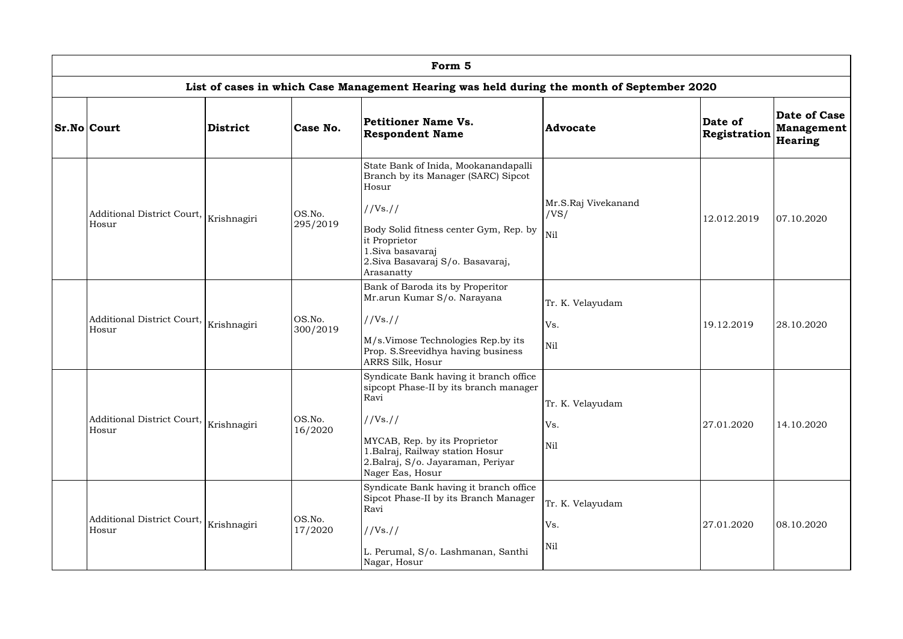| Form 5                              |                 |                    |                                                                                                                                                                                                                                    |                                    |                         |                                                     |  |  |  |  |
|-------------------------------------|-----------------|--------------------|------------------------------------------------------------------------------------------------------------------------------------------------------------------------------------------------------------------------------------|------------------------------------|-------------------------|-----------------------------------------------------|--|--|--|--|
|                                     |                 |                    | List of cases in which Case Management Hearing was held during the month of September 2020                                                                                                                                         |                                    |                         |                                                     |  |  |  |  |
| <b>Sr.No Court</b>                  | <b>District</b> | Case No.           | Petitioner Name Vs.<br><b>Respondent Name</b>                                                                                                                                                                                      | <b>Advocate</b>                    | Date of<br>Registration | <b>Date of Case</b><br><b>Management</b><br>Hearing |  |  |  |  |
| Additional District Court,<br>Hosur | Krishnagiri     | OS.No.<br>295/2019 | State Bank of Inida, Mookanandapalli<br>Branch by its Manager (SARC) Sipcot<br>Hosur<br>//Vs://<br>Body Solid fitness center Gym, Rep. by<br>it Proprietor<br>1. Siva basavaraj<br>2. Siva Basavaraj S/o. Basavaraj,<br>Arasanatty | Mr.S.Raj Vivekanand<br>/VS/<br>Nil | 12.012.2019             | 07.10.2020                                          |  |  |  |  |
| Additional District Court,<br>Hosur | Krishnagiri     | OS.No.<br>300/2019 | Bank of Baroda its by Properitor<br>Mr.arun Kumar S/o. Narayana<br>//Vs://<br>M/s.Vimose Technologies Rep.by its<br>Prop. S.Sreevidhya having business<br>ARRS Silk, Hosur                                                         | Tr. K. Velayudam<br>Vs.<br>Nil     | 19.12.2019              | 28.10.2020                                          |  |  |  |  |
| Additional District Court,<br>Hosur | Krishnagiri     | OS.No.<br>16/2020  | Syndicate Bank having it branch office<br>sipcopt Phase-II by its branch manager<br>Ravi<br>//Vs://<br>MYCAB, Rep. by its Proprietor<br>1. Balraj, Railway station Hosur<br>2.Balraj, S/o. Jayaraman, Periyar<br>Nager Eas, Hosur  | Tr. K. Velayudam<br>Vs.<br>Nil     | 27.01.2020              | 14.10.2020                                          |  |  |  |  |
| Additional District Court,<br>Hosur | Krishnagiri     | OS.No.<br>17/2020  | Syndicate Bank having it branch office<br>Sipcot Phase-II by its Branch Manager<br>Ravi<br>//Vs://<br>L. Perumal, S/o. Lashmanan, Santhi<br>Nagar, Hosur                                                                           | Tr. K. Velayudam<br>Vs.<br>Nil     | 27.01.2020              | 08.10.2020                                          |  |  |  |  |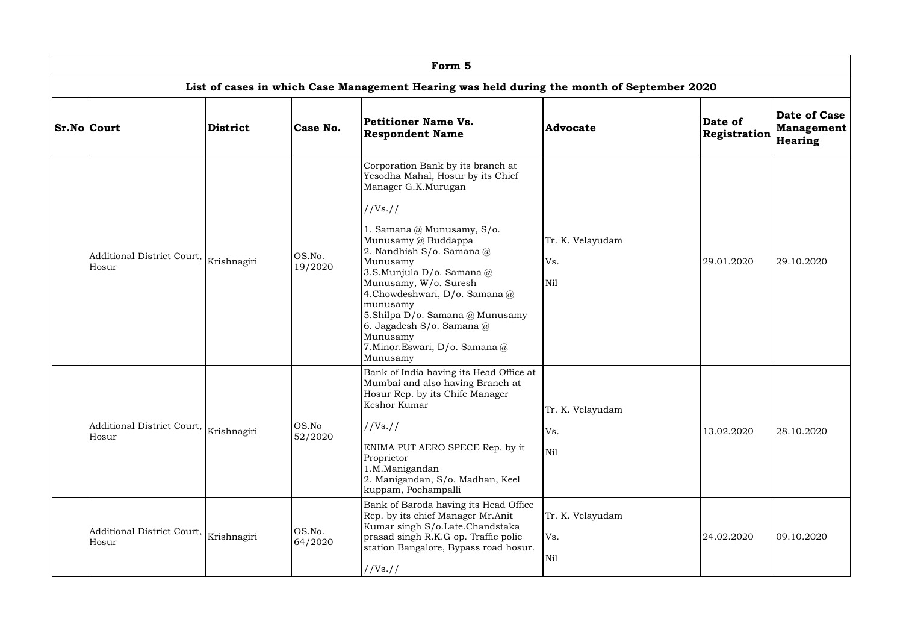| Form 5                                                                                     |                 |                   |                                                                                                                                                                                                                                                                                                                                                                                                                                               |                                |                                |                                                     |  |  |  |  |  |
|--------------------------------------------------------------------------------------------|-----------------|-------------------|-----------------------------------------------------------------------------------------------------------------------------------------------------------------------------------------------------------------------------------------------------------------------------------------------------------------------------------------------------------------------------------------------------------------------------------------------|--------------------------------|--------------------------------|-----------------------------------------------------|--|--|--|--|--|
| List of cases in which Case Management Hearing was held during the month of September 2020 |                 |                   |                                                                                                                                                                                                                                                                                                                                                                                                                                               |                                |                                |                                                     |  |  |  |  |  |
| <b>Sr.No Court</b>                                                                         | <b>District</b> | Case No.          | Petitioner Name Vs.<br><b>Respondent Name</b>                                                                                                                                                                                                                                                                                                                                                                                                 | <b>Advocate</b>                | Date of<br><b>Registration</b> | <b>Date of Case</b><br><b>Management</b><br>Hearing |  |  |  |  |  |
| Additional District Court,<br>Hosur                                                        | Krishnagiri     | OS.No.<br>19/2020 | Corporation Bank by its branch at<br>Yesodha Mahal, Hosur by its Chief<br>Manager G.K.Murugan<br>//Vs. //<br>1. Samana @ Munusamy, S/o.<br>Munusamy @ Buddappa<br>2. Nandhish $S/O$ . Samana $@$<br>Munusamy<br>3.S.Munjula D/o. Samana @<br>Munusamy, W/o. Suresh<br>4. Chowdeshwari, D/o. Samana @<br>munusamy<br>5.Shilpa D/o. Samana @ Munusamy<br>6. Jagadesh S/o. Samana $@$<br>Munusamy<br>7. Minor. Eswari, D/o. Samana @<br>Munusamy | Tr. K. Velayudam<br>Vs.<br>Nil | 29.01.2020                     | 29.10.2020                                          |  |  |  |  |  |
| <b>Additional District Court,</b><br>Hosur                                                 | Krishnagiri     | OS.No<br>52/2020  | Bank of India having its Head Office at<br>Mumbai and also having Branch at<br>Hosur Rep. by its Chife Manager<br>Keshor Kumar<br>//Vs. //<br>ENIMA PUT AERO SPECE Rep. by it<br>Proprietor<br>1.M.Manigandan<br>2. Manigandan, S/o. Madhan, Keel<br>kuppam, Pochampalli                                                                                                                                                                      | Tr. K. Velayudam<br>Vs.<br>Nil | 13.02.2020                     | 28.10.2020                                          |  |  |  |  |  |
| Additional District Court,<br>Hosur                                                        | Krishnagiri     | OS.No.<br>64/2020 | Bank of Baroda having its Head Office<br>Rep. by its chief Manager Mr.Anit<br>Kumar singh S/o.Late.Chandstaka<br>prasad singh R.K.G op. Traffic polic<br>station Bangalore, Bypass road hosur.<br>//Vs. //                                                                                                                                                                                                                                    | Tr. K. Velayudam<br>Vs.<br>Nil | 24.02.2020                     | 09.10.2020                                          |  |  |  |  |  |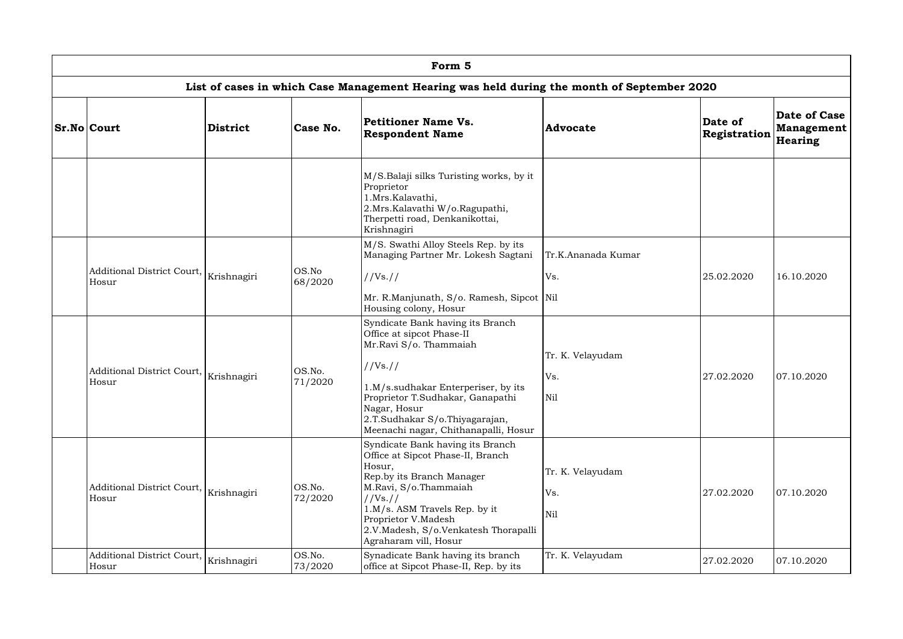| Form 5                                                                                     |                 |                   |                                                                                                                                                                                                                                                                            |                                |                                |                                              |  |  |  |  |  |
|--------------------------------------------------------------------------------------------|-----------------|-------------------|----------------------------------------------------------------------------------------------------------------------------------------------------------------------------------------------------------------------------------------------------------------------------|--------------------------------|--------------------------------|----------------------------------------------|--|--|--|--|--|
| List of cases in which Case Management Hearing was held during the month of September 2020 |                 |                   |                                                                                                                                                                                                                                                                            |                                |                                |                                              |  |  |  |  |  |
| <b>Sr.No Court</b>                                                                         | <b>District</b> | Case No.          | Petitioner Name Vs.<br><b>Respondent Name</b>                                                                                                                                                                                                                              | <b>Advocate</b>                | Date of<br><b>Registration</b> | Date of Case<br><b>Management</b><br>Hearing |  |  |  |  |  |
|                                                                                            |                 |                   | M/S.Balaji silks Turisting works, by it<br>Proprietor<br>1.Mrs.Kalavathi,<br>2.Mrs. Kalavathi W/o. Ragupathi,<br>Therpetti road, Denkanikottai,<br>Krishnagiri                                                                                                             |                                |                                |                                              |  |  |  |  |  |
| Additional District Court,<br>Hosur                                                        | Krishnagiri     | OS.No<br>68/2020  | M/S. Swathi Alloy Steels Rep. by its<br>Managing Partner Mr. Lokesh Sagtani<br>//Vs. //<br>Mr. R.Manjunath, S/o. Ramesh, Sipcot   Nil<br>Housing colony, Hosur                                                                                                             | Tr.K.Ananada Kumar<br>Vs.      | 25.02.2020                     | 16.10.2020                                   |  |  |  |  |  |
| Additional District Court,<br>Hosur                                                        | Krishnagiri     | OS.No.<br>71/2020 | Syndicate Bank having its Branch<br>Office at sipcot Phase-II<br>Mr.Ravi S/o. Thammaiah<br>//Vs. //<br>1.M/s.sudhakar Enterperiser, by its<br>Proprietor T.Sudhakar, Ganapathi<br>Nagar, Hosur<br>2.T.Sudhakar S/o.Thiyagarajan,<br>Meenachi nagar, Chithanapalli, Hosur   | Tr. K. Velayudam<br>Vs.<br>Nil | 27.02.2020                     | 07.10.2020                                   |  |  |  |  |  |
| Additional District Court,<br>Hosur                                                        | Krishnagiri     | OS.No.<br>72/2020 | Syndicate Bank having its Branch<br>Office at Sipcot Phase-II, Branch<br>Hosur,<br>Rep.by its Branch Manager<br>M.Ravi, S/o.Thammaiah<br>//Vs. //<br>1.M/s. ASM Travels Rep. by it<br>Proprietor V.Madesh<br>2.V.Madesh, S/o.Venkatesh Thorapalli<br>Agraharam vill, Hosur | Tr. K. Velayudam<br>Vs.<br>Nil | 27.02.2020                     | 07.10.2020                                   |  |  |  |  |  |
| Additional District Court,<br>Hosur                                                        | Krishnagiri     | OS.No.<br>73/2020 | Synadicate Bank having its branch<br>office at Sipcot Phase-II, Rep. by its                                                                                                                                                                                                | Tr. K. Velayudam               | 27.02.2020                     | 07.10.2020                                   |  |  |  |  |  |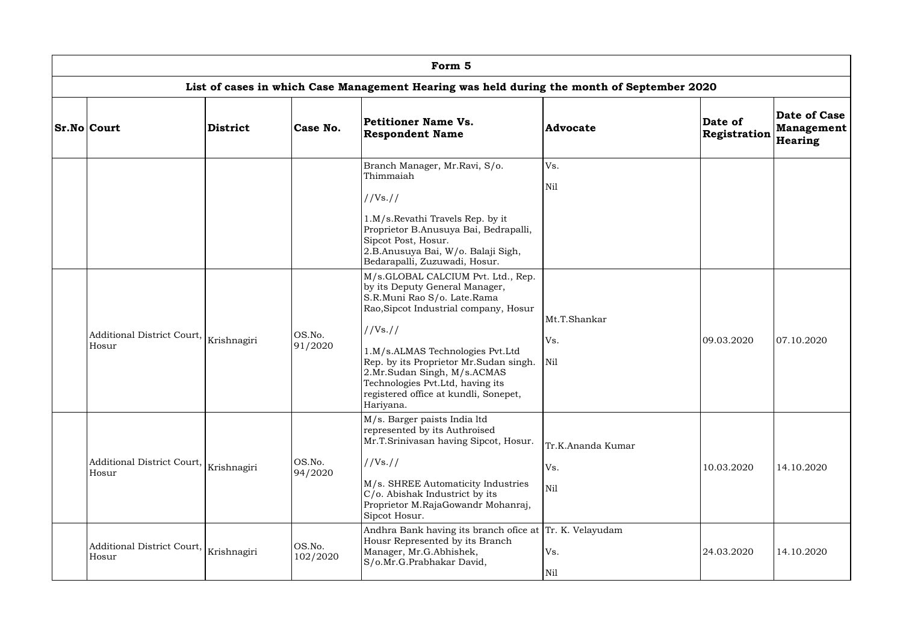| Form 5                              |                 |                    |                                                                                                                                                                                                                                                                                                                                                                  |                                 |                                |                                              |  |  |  |  |  |
|-------------------------------------|-----------------|--------------------|------------------------------------------------------------------------------------------------------------------------------------------------------------------------------------------------------------------------------------------------------------------------------------------------------------------------------------------------------------------|---------------------------------|--------------------------------|----------------------------------------------|--|--|--|--|--|
|                                     |                 |                    | List of cases in which Case Management Hearing was held during the month of September 2020                                                                                                                                                                                                                                                                       |                                 |                                |                                              |  |  |  |  |  |
| <b>Sr.No Court</b>                  | <b>District</b> | Case No.           | Petitioner Name Vs.<br><b>Respondent Name</b>                                                                                                                                                                                                                                                                                                                    | <b>Advocate</b>                 | Date of<br><b>Registration</b> | Date of Case<br><b>Management</b><br>Hearing |  |  |  |  |  |
|                                     |                 |                    | Branch Manager, Mr.Ravi, S/o.<br>Thimmaiah<br>//Vs. //<br>1.M/s.Revathi Travels Rep. by it<br>Proprietor B.Anusuya Bai, Bedrapalli,<br>Sipcot Post, Hosur.<br>2.B.Anusuya Bai, W/o. Balaji Sigh,<br>Bedarapalli, Zuzuwadi, Hosur.                                                                                                                                | Vs.<br>Nil                      |                                |                                              |  |  |  |  |  |
| Additional District Court,<br>Hosur | Krishnagiri     | OS.No.<br>91/2020  | M/s.GLOBAL CALCIUM Pvt. Ltd., Rep.<br>by its Deputy General Manager,<br>S.R.Muni Rao S/o. Late.Rama<br>Rao, Sipcot Industrial company, Hosur<br>//Vs. //<br>1.M/s.ALMAS Technologies Pvt.Ltd<br>Rep. by its Proprietor Mr. Sudan singh.<br>2.Mr.Sudan Singh, M/s.ACMAS<br>Technologies Pvt.Ltd, having its<br>registered office at kundli, Sonepet,<br>Hariyana. | Mt.T.Shankar<br>Vs.<br>Nil      | 09.03.2020                     | 07.10.2020                                   |  |  |  |  |  |
| Additional District Court,<br>Hosur | Krishnagiri     | OS.No.<br>94/2020  | M/s. Barger paists India ltd<br>represented by its Authroised<br>Mr.T.Srinivasan having Sipcot, Hosur.<br>//Vs. //<br>M/s. SHREE Automaticity Industries<br>C/o. Abishak Industrict by its<br>Proprietor M.RajaGowandr Mohanraj,<br>Sipcot Hosur.                                                                                                                | Tr.K.Ananda Kumar<br>Vs.<br>Nil | 10.03.2020                     | 14.10.2020                                   |  |  |  |  |  |
| Additional District Court,<br>Hosur | Krishnagiri     | OS.No.<br>102/2020 | Andhra Bank having its branch ofice at Tr. K. Velayudam<br>Housr Represented by its Branch<br>Manager, Mr.G.Abhishek,<br>S/o.Mr.G.Prabhakar David,                                                                                                                                                                                                               | Vs.<br>Nil                      | 24.03.2020                     | 14.10.2020                                   |  |  |  |  |  |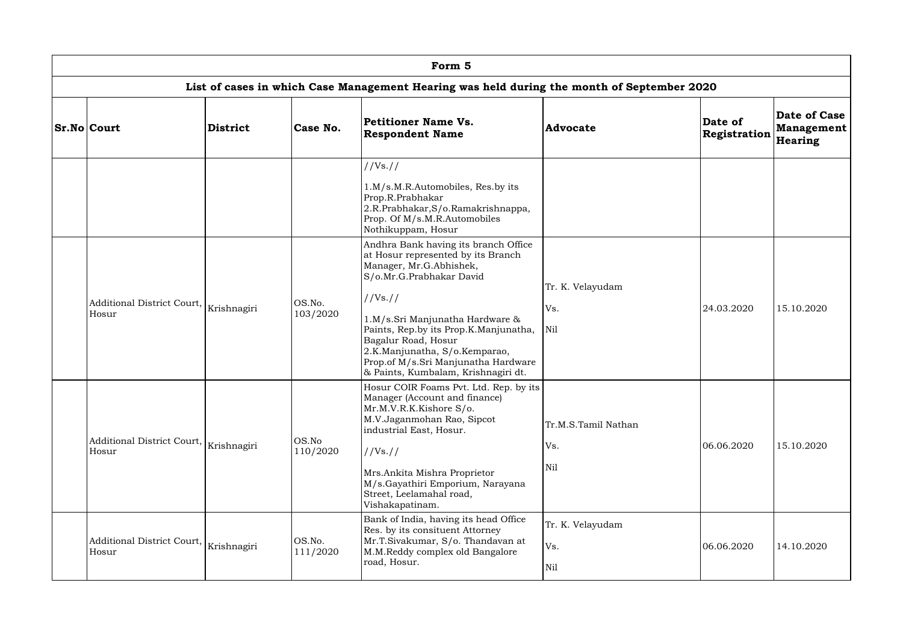| Form 5                                             |                 |                    |                                                                                                                                                                                                                                                                                                                                                                 |                                   |                         |                                              |  |  |  |  |  |
|----------------------------------------------------|-----------------|--------------------|-----------------------------------------------------------------------------------------------------------------------------------------------------------------------------------------------------------------------------------------------------------------------------------------------------------------------------------------------------------------|-----------------------------------|-------------------------|----------------------------------------------|--|--|--|--|--|
|                                                    |                 |                    | List of cases in which Case Management Hearing was held during the month of September 2020                                                                                                                                                                                                                                                                      |                                   |                         |                                              |  |  |  |  |  |
| <b>Sr.No Court</b>                                 | <b>District</b> | Case No.           | Petitioner Name Vs.<br><b>Respondent Name</b>                                                                                                                                                                                                                                                                                                                   | <b>Advocate</b>                   | Date of<br>Registration | Date of Case<br><b>Management</b><br>Hearing |  |  |  |  |  |
|                                                    |                 |                    | //Vs. //<br>1.M/s.M.R.Automobiles, Res.by its<br>Prop.R.Prabhakar<br>2.R.Prabhakar, S/o.Ramakrishnappa,<br>Prop. Of M/s.M.R.Automobiles<br>Nothikuppam, Hosur                                                                                                                                                                                                   |                                   |                         |                                              |  |  |  |  |  |
| Additional District Court,<br>Hosur                | Krishnagiri     | OS.No.<br>103/2020 | Andhra Bank having its branch Office<br>at Hosur represented by its Branch<br>Manager, Mr.G.Abhishek,<br>S/o.Mr.G.Prabhakar David<br>//Vs. //<br>1.M/s.Sri Manjunatha Hardware &<br>Paints, Rep.by its Prop.K.Manjunatha,<br>Bagalur Road, Hosur<br>2.K.Manjunatha, S/o.Kemparao,<br>Prop.of M/s.Sri Manjunatha Hardware<br>& Paints, Kumbalam, Krishnagiri dt. | Tr. K. Velayudam<br>Vs.<br>Nil    | 24.03.2020              | 15.10.2020                                   |  |  |  |  |  |
| Additional District Court,<br>Hosur                | Krishnagiri     | OS.No<br>110/2020  | Hosur COIR Foams Pvt. Ltd. Rep. by its<br>Manager (Account and finance)<br>Mr.M.V.R.K.Kishore S/o.<br>M.V.Jaganmohan Rao, Sipcot<br>industrial East, Hosur.<br>$1/Vs.$ //<br>Mrs.Ankita Mishra Proprietor<br>M/s.Gayathiri Emporium, Narayana<br>Street, Leelamahal road,<br>Vishakapatinam.                                                                    | Tr.M.S.Tamil Nathan<br>Vs.<br>Nil | 06.06.2020              | 15.10.2020                                   |  |  |  |  |  |
| Additional District Court,<br>Krishnagiri<br>Hosur |                 | OS.No.<br>111/2020 | Bank of India, having its head Office<br>Res. by its consituent Attorney<br>Mr.T.Sivakumar, S/o. Thandavan at<br>M.M.Reddy complex old Bangalore<br>road, Hosur.                                                                                                                                                                                                | Tr. K. Velayudam<br>Vs.<br>Nil    | 06.06.2020              | 14.10.2020                                   |  |  |  |  |  |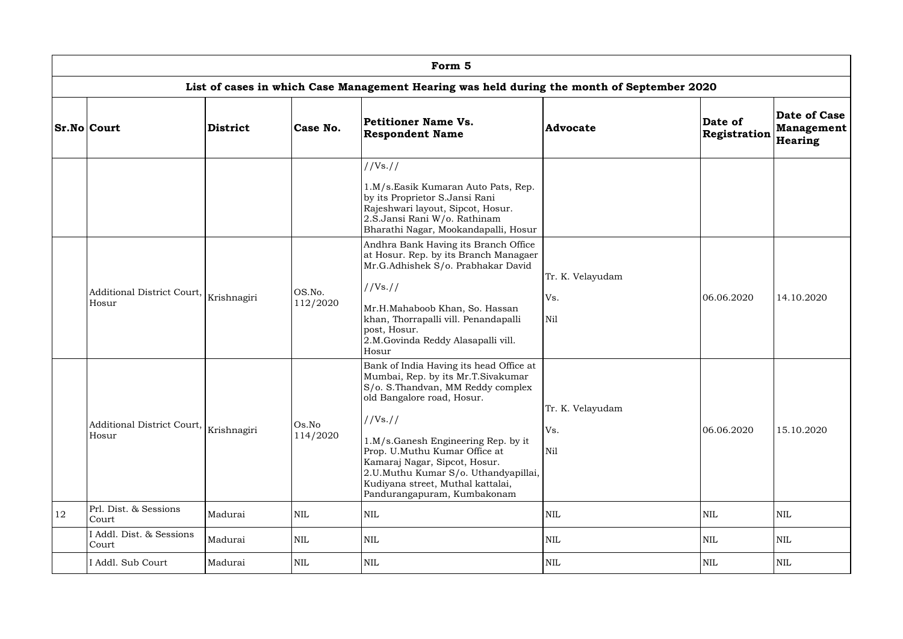|    |                                                                                            |             |                                                           | Form 5                                                                                                                                                                                                                                                                                                                                                                             |                                |                                |                                              |  |  |  |  |  |
|----|--------------------------------------------------------------------------------------------|-------------|-----------------------------------------------------------|------------------------------------------------------------------------------------------------------------------------------------------------------------------------------------------------------------------------------------------------------------------------------------------------------------------------------------------------------------------------------------|--------------------------------|--------------------------------|----------------------------------------------|--|--|--|--|--|
|    | List of cases in which Case Management Hearing was held during the month of September 2020 |             |                                                           |                                                                                                                                                                                                                                                                                                                                                                                    |                                |                                |                                              |  |  |  |  |  |
|    | <b>Sr.No Court</b>                                                                         | District    | Petitioner Name Vs.<br>Case No.<br><b>Respondent Name</b> |                                                                                                                                                                                                                                                                                                                                                                                    | <b>Advocate</b>                | Date of<br><b>Registration</b> | Date of Case<br><b>Management</b><br>Hearing |  |  |  |  |  |
|    |                                                                                            |             |                                                           | //Vs. //<br>1.M/s.Easik Kumaran Auto Pats, Rep.<br>by its Proprietor S.Jansi Rani<br>Rajeshwari layout, Sipcot, Hosur.<br>2.S.Jansi Rani W/o. Rathinam<br>Bharathi Nagar, Mookandapalli, Hosur                                                                                                                                                                                     |                                |                                |                                              |  |  |  |  |  |
|    | Additional District Court,<br>Hosur                                                        | Krishnagiri | OS.No.<br>112/2020                                        | Andhra Bank Having its Branch Office<br>at Hosur. Rep. by its Branch Managaer<br>Mr.G.Adhishek S/o. Prabhakar David<br>//Vs. //<br>Mr.H.Mahaboob Khan, So. Hassan<br>khan, Thorrapalli vill. Penandapalli<br>post, Hosur.<br>2.M.Govinda Reddy Alasapalli vill.<br>Hosur                                                                                                           | Tr. K. Velayudam<br>Vs.<br>Nil | 06.06.2020                     | 14.10.2020                                   |  |  |  |  |  |
|    | Additional District Court,<br>Hosur                                                        | Krishnagiri | Os.No<br>114/2020                                         | Bank of India Having its head Office at<br>Mumbai, Rep. by its Mr.T.Sivakumar<br>S/o. S. Thandvan, MM Reddy complex<br>old Bangalore road, Hosur.<br>//Vs. //<br>1.M/s.Ganesh Engineering Rep. by it<br>Prop. U.Muthu Kumar Office at<br>Kamaraj Nagar, Sipcot, Hosur.<br>2.U.Muthu Kumar S/o. Uthandyapillai,<br>Kudiyana street, Muthal kattalai,<br>Pandurangapuram, Kumbakonam | Tr. K. Velayudam<br>Vs.<br>Nil | 06.06.2020                     | 15.10.2020                                   |  |  |  |  |  |
| 12 | Prl. Dist. & Sessions<br>Court                                                             | Madurai     | $\mbox{NIL}$                                              | <b>NIL</b>                                                                                                                                                                                                                                                                                                                                                                         | <b>NIL</b>                     | <b>NIL</b>                     | <b>NIL</b>                                   |  |  |  |  |  |
|    | Addl. Dist. & Sessions<br>Court                                                            | Madurai     | <b>NIL</b>                                                | <b>NIL</b>                                                                                                                                                                                                                                                                                                                                                                         | <b>NIL</b>                     | <b>NIL</b>                     | <b>NIL</b>                                   |  |  |  |  |  |
|    | I Addl. Sub Court                                                                          | Madurai     | $\mbox{NIL}$                                              | <b>NIL</b>                                                                                                                                                                                                                                                                                                                                                                         | <b>NIL</b>                     | <b>NIL</b>                     | <b>NIL</b>                                   |  |  |  |  |  |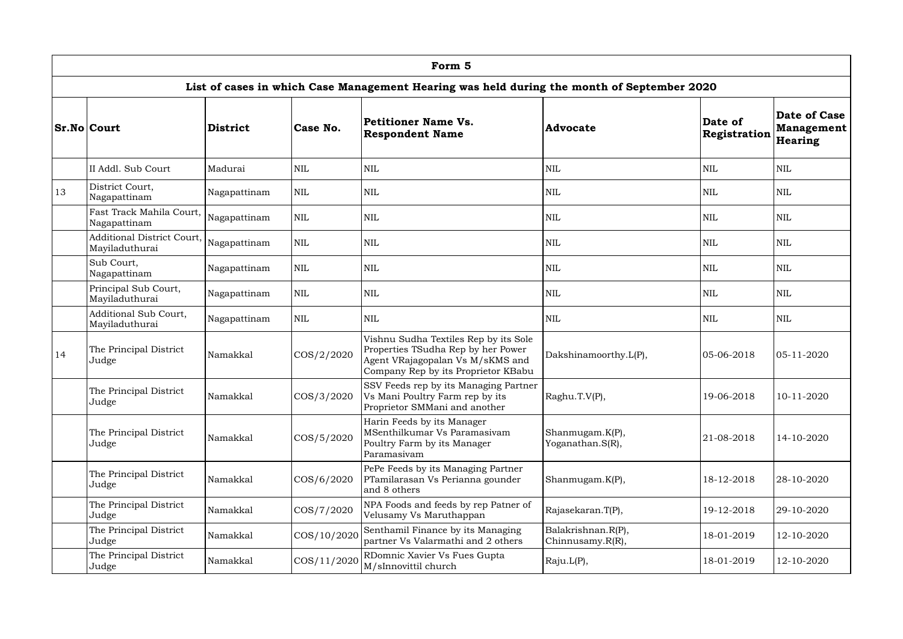|    | Form 5                                                                                     |                 |               |                                                                                                                                                        |                                        |                         |                                              |  |  |  |  |  |  |
|----|--------------------------------------------------------------------------------------------|-----------------|---------------|--------------------------------------------------------------------------------------------------------------------------------------------------------|----------------------------------------|-------------------------|----------------------------------------------|--|--|--|--|--|--|
|    | List of cases in which Case Management Hearing was held during the month of September 2020 |                 |               |                                                                                                                                                        |                                        |                         |                                              |  |  |  |  |  |  |
|    | <b>Sr.No Court</b>                                                                         | <b>District</b> | Case No.      | Petitioner Name Vs.<br><b>Respondent Name</b>                                                                                                          | <b>Advocate</b>                        | Date of<br>Registration | Date of Case<br><b>Management</b><br>Hearing |  |  |  |  |  |  |
|    | II Addl. Sub Court                                                                         | Madurai         | <b>NIL</b>    | <b>NIL</b>                                                                                                                                             | $\mbox{NIL}$                           | <b>NIL</b>              | <b>NIL</b>                                   |  |  |  |  |  |  |
| 13 | District Court,<br>Nagapattinam                                                            | Nagapattinam    | <b>NIL</b>    | <b>NIL</b>                                                                                                                                             | <b>NIL</b>                             | <b>NIL</b>              | <b>NIL</b>                                   |  |  |  |  |  |  |
|    | Fast Track Mahila Court,<br>Nagapattinam                                                   | Nagapattinam    | <b>NIL</b>    | <b>NIL</b>                                                                                                                                             | <b>NIL</b>                             | <b>NIL</b>              | <b>NIL</b>                                   |  |  |  |  |  |  |
|    | Additional District Court,<br>Mayiladuthurai                                               | Nagapattinam    | <b>NIL</b>    | <b>NIL</b>                                                                                                                                             | <b>NIL</b>                             | <b>NIL</b>              | <b>NIL</b>                                   |  |  |  |  |  |  |
|    | Sub Court,<br>Nagapattinam                                                                 | Nagapattinam    | <b>NIL</b>    | <b>NIL</b>                                                                                                                                             | <b>NIL</b>                             | <b>NIL</b>              | <b>NIL</b>                                   |  |  |  |  |  |  |
|    | Principal Sub Court,<br><b>NIL</b><br>Nagapattinam<br>Mayiladuthurai                       |                 |               | <b>NIL</b>                                                                                                                                             | <b>NIL</b>                             | <b>NIL</b>              | <b>NIL</b>                                   |  |  |  |  |  |  |
|    | Additional Sub Court,<br><b>NIL</b><br>Nagapattinam<br>Mayiladuthurai                      |                 | <b>NIL</b>    | <b>NIL</b>                                                                                                                                             | <b>NIL</b>                             | <b>NIL</b>              |                                              |  |  |  |  |  |  |
| 14 | The Principal District<br>Judge                                                            | Namakkal        | $\cos/2/2020$ | Vishnu Sudha Textiles Rep by its Sole<br>Properties TSudha Rep by her Power<br>Agent VRajagopalan Vs M/sKMS and<br>Company Rep by its Proprietor KBabu | Dakshinamoorthy.L(P),                  | 05-06-2018              | 05-11-2020                                   |  |  |  |  |  |  |
|    | The Principal District<br>Judge                                                            | Namakkal        | COS/3/2020    | SSV Feeds rep by its Managing Partner<br>Vs Mani Poultry Farm rep by its<br>Proprietor SMMani and another                                              | Raghu.T.V(P),                          | 19-06-2018              | 10-11-2020                                   |  |  |  |  |  |  |
|    | The Principal District<br>Namakkal<br>Judge                                                |                 | COS/5/2020    | Harin Feeds by its Manager<br>MSenthilkumar Vs Paramasivam<br>Poultry Farm by its Manager<br>Paramasivam                                               | Shanmugam.K(P),<br>Yoganathan.S(R),    | 21-08-2018              | 14-10-2020                                   |  |  |  |  |  |  |
|    | The Principal District<br>Namakkal<br>Judge                                                |                 | COS/6/2020    | PePe Feeds by its Managing Partner<br>PTamilarasan Vs Perianna gounder<br>and 8 others                                                                 | Shanmugam.K(P),                        | 18-12-2018              | 28-10-2020                                   |  |  |  |  |  |  |
|    | The Principal District<br>Namakkal<br>Judge                                                |                 | COS/7/2020    | NPA Foods and feeds by rep Patner of<br>Velusamy Vs Maruthappan                                                                                        | Rajasekaran.T(P),                      | 19-12-2018              | 29-10-2020                                   |  |  |  |  |  |  |
|    | The Principal District<br>Judge                                                            | Namakkal        | COS/10/2020   | Senthamil Finance by its Managing<br>partner Vs Valarmathi and 2 others                                                                                | Balakrishnan.R(P),<br>Chinnusamy.R(R), | 18-01-2019              | 12-10-2020                                   |  |  |  |  |  |  |
|    | The Principal District<br>Judge                                                            | Namakkal        | COS/11/2020   | RDomnic Xavier Vs Fues Gupta<br>M/sInnovittil church                                                                                                   | Raju.L(P),                             | 18-01-2019              | 12-10-2020                                   |  |  |  |  |  |  |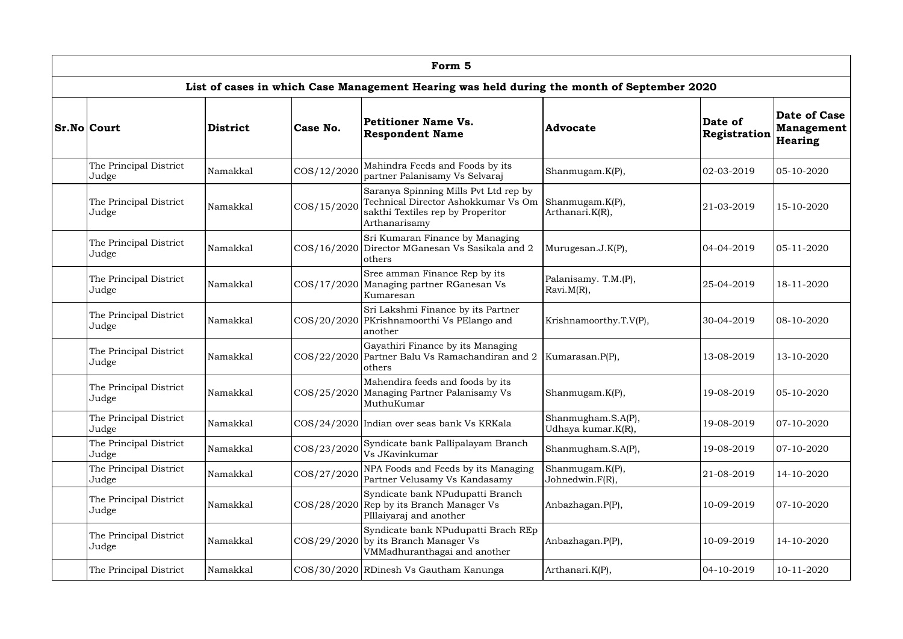|                                             |          |                                                                                                         | Form 5                                                                                                                             |                                          |                                |                                              |
|---------------------------------------------|----------|---------------------------------------------------------------------------------------------------------|------------------------------------------------------------------------------------------------------------------------------------|------------------------------------------|--------------------------------|----------------------------------------------|
|                                             |          |                                                                                                         | List of cases in which Case Management Hearing was held during the month of September 2020                                         |                                          |                                |                                              |
| <b>Sr.No Court</b>                          | District | Case No.                                                                                                | Petitioner Name Vs.<br><b>Respondent Name</b>                                                                                      | <b>Advocate</b>                          | Date of<br><b>Registration</b> | Date of Case<br><b>Management</b><br>Hearing |
| The Principal District<br>Judge             | Namakkal | COS/12/2020                                                                                             | Mahindra Feeds and Foods by its<br>partner Palanisamy Vs Selvaraj                                                                  | Shanmugam.K(P),                          | 02-03-2019                     | 05-10-2020                                   |
| The Principal District<br>Judge             | Namakkal | COS/15/2020                                                                                             | Saranya Spinning Mills Pvt Ltd rep by<br>Technical Director Ashokkumar Vs Om<br>sakthi Textiles rep by Properitor<br>Arthanarisamy | Shanmugam.K(P),<br>Arthanari.K(R),       | 21-03-2019                     | 15-10-2020                                   |
| The Principal District<br>Judge             | Namakkal |                                                                                                         | Sri Kumaran Finance by Managing<br>COS/16/2020 Director MGanesan Vs Sasikala and 2<br>others                                       | Murugesan.J.K(P),                        | 04-04-2019                     | 05-11-2020                                   |
| The Principal District<br>Judge             | Namakkal |                                                                                                         | Sree amman Finance Rep by its<br>COS/17/2020 Managing partner RGanesan Vs<br>Kumaresan                                             | Palanisamy. T.M.(P),<br>$Rxvi.M(R)$ ,    | 25-04-2019                     | 18-11-2020                                   |
| The Principal District<br>Judge             | Namakkal |                                                                                                         | Sri Lakshmi Finance by its Partner<br>COS/20/2020 PKrishnamoorthi Vs PElango and<br>another                                        | Krishnamoorthy.T.V(P),                   | 30-04-2019                     | 08-10-2020                                   |
| The Principal District<br>Judge             | Namakkal |                                                                                                         | Gayathiri Finance by its Managing<br>COS/22/2020 Partner Balu Vs Ramachandiran and 2<br>others                                     | Kumarasan.P(P),                          | 13-08-2019                     | 13-10-2020                                   |
| The Principal District<br>Judge             | Namakkal |                                                                                                         | Mahendira feeds and foods by its<br>COS/25/2020 Managing Partner Palanisamy Vs<br>MuthuKumar                                       | Shanmugam.K(P),                          | 19-08-2019                     | 05-10-2020                                   |
| The Principal District<br>Judge             | Namakkal |                                                                                                         | COS/24/2020 Indian over seas bank Vs KRKala                                                                                        | Shanmugham.S.A(P),<br>Udhaya kumar.K(R), | 19-08-2019                     | 07-10-2020                                   |
| The Principal District<br>Judge             | Namakkal | COS/23/2020                                                                                             | Syndicate bank Pallipalayam Branch<br>Vs JKavinkumar                                                                               | Shanmugham.S.A(P),                       | 19-08-2019                     | 07-10-2020                                   |
| The Principal District<br>Judge             | Namakkal | COS/27/2020                                                                                             | NPA Foods and Feeds by its Managing<br>Partner Velusamy Vs Kandasamy                                                               | Shanmugam.K(P),<br>Johnedwin.F(R),       | 21-08-2019                     | 14-10-2020                                   |
| The Principal District<br>Namakkal<br>Judge |          | Syndicate bank NPudupatti Branch<br>COS/28/2020 Rep by its Branch Manager Vs<br>PIllaiyaraj and another | Anbazhagan.P(P),                                                                                                                   | 10-09-2019                               | 07-10-2020                     |                                              |
| The Principal District<br>Judge             | Namakkal |                                                                                                         | Syndicate bank NPudupatti Brach REp<br>COS/29/2020 by its Branch Manager Vs<br>VMMadhuranthagai and another                        | Anbazhagan.P(P),                         | 10-09-2019                     | 14-10-2020                                   |
| The Principal District                      | Namakkal |                                                                                                         | COS/30/2020 RDinesh Vs Gautham Kanunga                                                                                             | Arthanari.K(P),                          | $04 - 10 - 2019$               | 10-11-2020                                   |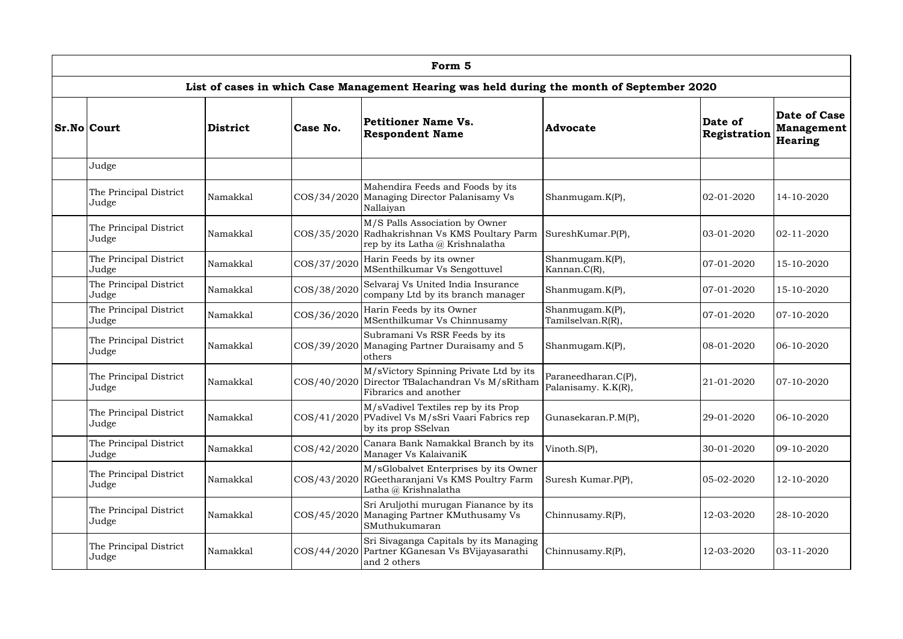|                                                                                            |                         |                                                                                                                 | Form 5                                                                                                                |                                            |                         |                                                            |  |  |  |  |  |  |
|--------------------------------------------------------------------------------------------|-------------------------|-----------------------------------------------------------------------------------------------------------------|-----------------------------------------------------------------------------------------------------------------------|--------------------------------------------|-------------------------|------------------------------------------------------------|--|--|--|--|--|--|
| List of cases in which Case Management Hearing was held during the month of September 2020 |                         |                                                                                                                 |                                                                                                                       |                                            |                         |                                                            |  |  |  |  |  |  |
| <b>Sr.No Court</b>                                                                         | District                | Case No.                                                                                                        | Petitioner Name Vs.<br><b>Respondent Name</b>                                                                         | <b>Advocate</b>                            | Date of<br>Registration | <b>Date of Case</b><br><b>Management</b><br><b>Hearing</b> |  |  |  |  |  |  |
| Judge                                                                                      |                         |                                                                                                                 |                                                                                                                       |                                            |                         |                                                            |  |  |  |  |  |  |
| The Principal District<br>Judge                                                            | Namakkal                |                                                                                                                 | Mahendira Feeds and Foods by its<br>COS/34/2020 Managing Director Palanisamy Vs<br>Nallaiyan                          | Shanmugam.K(P),                            | 02-01-2020              | 14-10-2020                                                 |  |  |  |  |  |  |
| The Principal District<br>Judge                                                            | Namakkal                |                                                                                                                 | M/S Palls Association by Owner<br>COS/35/2020 Radhakrishnan Vs KMS Poultary Parm<br>rep by its Latha $@$ Krishnalatha | SureshKumar.P(P),                          | 03-01-2020              | 02-11-2020                                                 |  |  |  |  |  |  |
| The Principal District<br>Judge                                                            | COS/37/2020<br>Namakkal |                                                                                                                 | Harin Feeds by its owner<br>MSenthilkumar Vs Sengottuvel                                                              | Shanmugam.K(P),<br>Kannan.C(R),            | 07-01-2020              | 15-10-2020                                                 |  |  |  |  |  |  |
| The Principal District<br>Judge                                                            | Namakkal                | COS/38/2020                                                                                                     | Selvaraj Vs United India Insurance<br>company Ltd by its branch manager                                               | Shanmugam.K(P),                            | 07-01-2020              | 15-10-2020                                                 |  |  |  |  |  |  |
| The Principal District<br>Judge                                                            | COS/36/2020<br>Namakkal |                                                                                                                 | Harin Feeds by its Owner<br>MSenthilkumar Vs Chinnusamy                                                               | Shanmugam.K(P),<br>Tamilselvan.R(R),       | 07-01-2020              | 07-10-2020                                                 |  |  |  |  |  |  |
| The Principal District<br>Judge                                                            | Namakkal                |                                                                                                                 | Subramani Vs RSR Feeds by its<br>COS/39/2020 Managing Partner Duraisamy and 5<br>others                               | Shanmugam.K(P),                            | 08-01-2020              | 06-10-2020                                                 |  |  |  |  |  |  |
| The Principal District<br>Judge                                                            | Namakkal                |                                                                                                                 | M/sVictory Spinning Private Ltd by its<br>COS/40/2020 Director TBalachandran Vs M/sRitham<br>Fibrarics and another    | Paraneedharan.C(P),<br>Palanisamy. K.K(R), | 21-01-2020              | 07-10-2020                                                 |  |  |  |  |  |  |
| The Principal District<br>Judge                                                            | Namakkal                |                                                                                                                 | M/sVadivel Textiles rep by its Prop<br>COS/41/2020 PVadivel Vs M/sSri Vaari Fabrics rep<br>by its prop SSelvan        | Gunasekaran.P.M(P),                        | 29-01-2020              | 06-10-2020                                                 |  |  |  |  |  |  |
| The Principal District<br>Judge                                                            | Namakkal                | COS/42/2020                                                                                                     | Canara Bank Namakkal Branch by its<br>Manager Vs KalaivaniK                                                           | Vinoth.S(P),                               | 30-01-2020              | 09-10-2020                                                 |  |  |  |  |  |  |
| The Principal District<br>Namakkal<br>Judge                                                |                         | M/sGlobalvet Enterprises by its Owner<br>COS/43/2020 RGeetharanjani Vs KMS Poultry Farm<br>Latha @ Krishnalatha | Suresh Kumar.P(P),                                                                                                    | 05-02-2020                                 | 12-10-2020              |                                                            |  |  |  |  |  |  |
| The Principal District<br>Judge                                                            | Namakkal                |                                                                                                                 | Sri Aruljothi murugan Fianance by its<br>COS/45/2020 Managing Partner KMuthusamy Vs<br>SMuthukumaran                  | Chinnusamy.R(P),                           | 12-03-2020              | 28-10-2020                                                 |  |  |  |  |  |  |
| The Principal District<br>Judge                                                            | Namakkal                |                                                                                                                 | Sri Sivaganga Capitals by its Managing<br>COS/44/2020 Partner KGanesan Vs BVijayasarathi<br>and 2 others              | Chinnusamy. $R(P)$ ,                       | 12-03-2020              | 03-11-2020                                                 |  |  |  |  |  |  |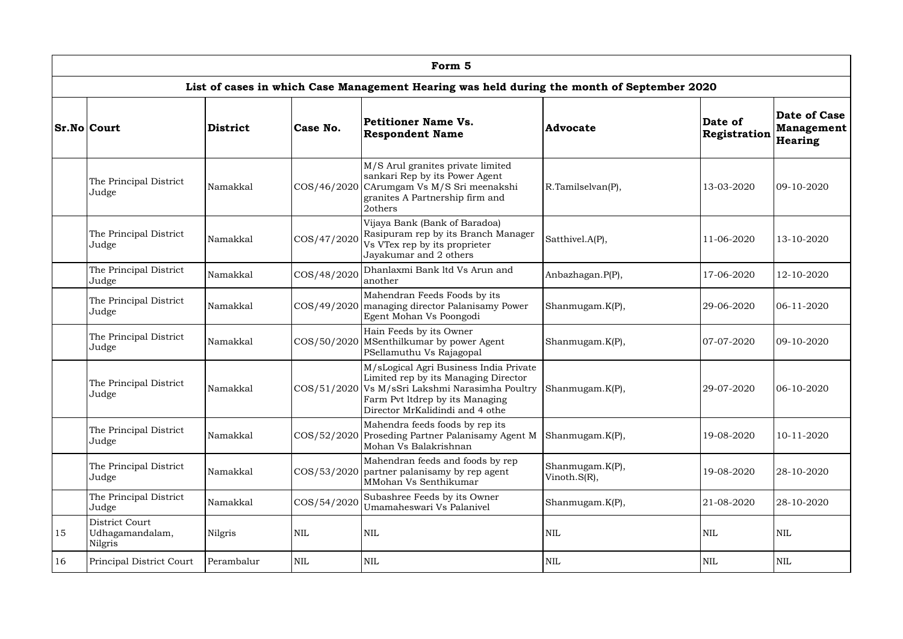|    | Form 5                                                                                     |            |                                                                                                          |                                                                                                                                                                                                                             |                   |                          |                                                            |  |  |  |  |  |
|----|--------------------------------------------------------------------------------------------|------------|----------------------------------------------------------------------------------------------------------|-----------------------------------------------------------------------------------------------------------------------------------------------------------------------------------------------------------------------------|-------------------|--------------------------|------------------------------------------------------------|--|--|--|--|--|
|    |                                                                                            |            |                                                                                                          | List of cases in which Case Management Hearing was held during the month of September 2020                                                                                                                                  |                   |                          |                                                            |  |  |  |  |  |
|    | <b>Sr.No Court</b>                                                                         | District   | Case No.                                                                                                 | <b>Petitioner Name Vs.</b><br><b>Respondent Name</b>                                                                                                                                                                        | <b>Advocate</b>   | Date of<br>Registration  | <b>Date of Case</b><br><b>Management</b><br><b>Hearing</b> |  |  |  |  |  |
|    | The Principal District<br>Judge                                                            | Namakkal   |                                                                                                          | M/S Arul granites private limited<br>sankari Rep by its Power Agent<br>COS/46/2020 CArumgam Vs M/S Sri meenakshi<br>granites A Partnership firm and<br>2others                                                              | R.Tamilselvan(P), | 13-03-2020               | 09-10-2020                                                 |  |  |  |  |  |
|    | The Principal District<br>Judge                                                            | Namakkal   | COS/47/2020                                                                                              | Vijaya Bank (Bank of Baradoa)<br>Rasipuram rep by its Branch Manager<br>Vs VTex rep by its proprieter<br>Jayakumar and 2 others                                                                                             | Satthivel.A(P),   | 11-06-2020               | 13-10-2020                                                 |  |  |  |  |  |
|    | The Principal District<br>Judge                                                            | Namakkal   | COS/48/2020                                                                                              | Dhanlaxmi Bank ltd Vs Arun and<br>another                                                                                                                                                                                   | Anbazhagan.P(P),  | 17-06-2020               | 12-10-2020                                                 |  |  |  |  |  |
|    | The Principal District<br>Namakkal<br>COS/49/2020<br>Judge                                 |            | Mahendran Feeds Foods by its<br>managing director Palanisamy Power<br>Egent Mohan Vs Poongodi            | Shanmugam.K(P),                                                                                                                                                                                                             | 29-06-2020        | 06-11-2020               |                                                            |  |  |  |  |  |
|    | The Principal District<br>Judge                                                            | Namakkal   |                                                                                                          | Hain Feeds by its Owner<br>COS/50/2020 MSenthilkumar by power Agent<br>PSellamuthu Vs Rajagopal                                                                                                                             | Shanmugam.K(P),   | 07-07-2020<br>29-07-2020 | 09-10-2020                                                 |  |  |  |  |  |
|    | The Principal District<br>Judge                                                            | Namakkal   |                                                                                                          | M/sLogical Agri Business India Private<br>Limited rep by its Managing Director<br>COS/51/2020   Vs M/sSri Lakshmi Narasimha Poultry   Shanmugam.K(P),<br>Farm Pvt ltdrep by its Managing<br>Director MrKalidindi and 4 othe |                   |                          | 06-10-2020                                                 |  |  |  |  |  |
|    | The Principal District<br>Namakkal<br>Judge<br>The Principal District<br>Namakkal<br>Judge |            |                                                                                                          | Mahendra feeds foods by rep its<br>COS/52/2020 Proseding Partner Palanisamy Agent M<br>Mohan Vs Balakrishnan                                                                                                                | Shanmugam.K(P),   | 19-08-2020               | 10-11-2020                                                 |  |  |  |  |  |
|    |                                                                                            |            | Mahendran feeds and foods by rep<br>COS/53/2020 partner palanisamy by rep agent<br>MMohan Vs Senthikumar | Shanmugam.K(P),<br>Vinoth.S(R),                                                                                                                                                                                             | 19-08-2020        | 28-10-2020               |                                                            |  |  |  |  |  |
|    | The Principal District<br>COS/54/2020<br>Namakkal<br>Judge                                 |            |                                                                                                          | Subashree Feeds by its Owner<br>Umamaheswari Vs Palanivel                                                                                                                                                                   | Shanmugam.K(P),   | 21-08-2020               | 28-10-2020                                                 |  |  |  |  |  |
| 15 | District Court<br>Udhagamandalam,<br>Nilgris                                               | Nilgris    | NIL                                                                                                      | <b>NIL</b>                                                                                                                                                                                                                  | <b>NIL</b>        | <b>NIL</b>               | <b>NIL</b>                                                 |  |  |  |  |  |
| 16 | Principal District Court                                                                   | Perambalur | <b>NIL</b>                                                                                               | <b>NIL</b>                                                                                                                                                                                                                  | <b>NIL</b>        | <b>NIL</b>               | <b>NIL</b>                                                 |  |  |  |  |  |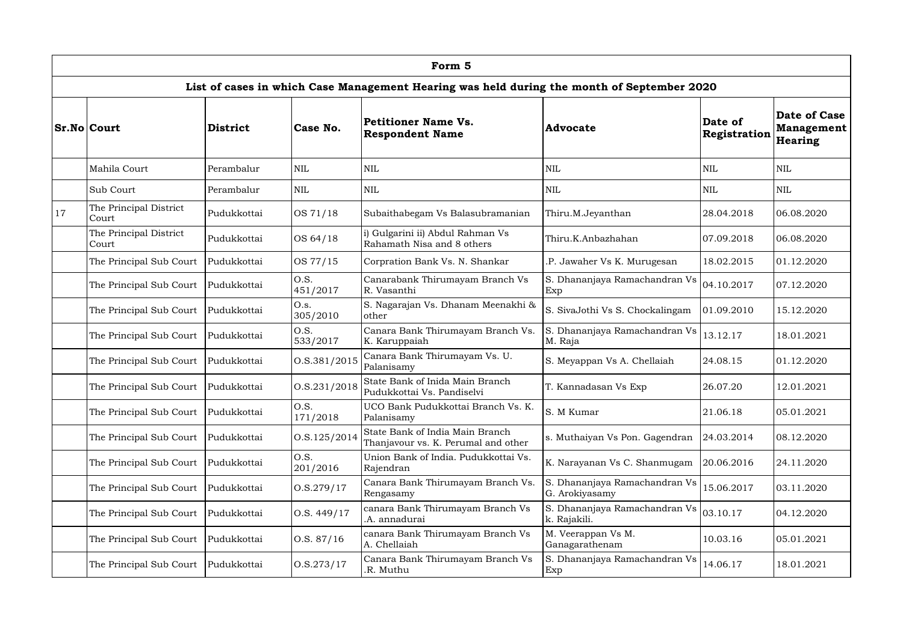|               | Form 5                                                   |                                                                                |                  |                                                                                            |                                                 |                         |                                                     |  |  |  |  |  |  |
|---------------|----------------------------------------------------------|--------------------------------------------------------------------------------|------------------|--------------------------------------------------------------------------------------------|-------------------------------------------------|-------------------------|-----------------------------------------------------|--|--|--|--|--|--|
|               |                                                          |                                                                                |                  | List of cases in which Case Management Hearing was held during the month of September 2020 |                                                 |                         |                                                     |  |  |  |  |  |  |
|               | <b>Sr.No Court</b>                                       | District                                                                       | Case No.         | Petitioner Name Vs.<br><b>Respondent Name</b>                                              | <b>Advocate</b>                                 | Date of<br>Registration | <b>Date of Case</b><br><b>Management</b><br>Hearing |  |  |  |  |  |  |
|               | Mahila Court                                             | Perambalur                                                                     | <b>NIL</b>       | <b>NIL</b>                                                                                 | <b>NIL</b>                                      | <b>NIL</b>              | <b>NIL</b>                                          |  |  |  |  |  |  |
|               | Sub Court                                                | Perambalur                                                                     | <b>NIL</b>       | <b>NIL</b>                                                                                 | <b>NIL</b>                                      | <b>NIL</b>              | <b>NIL</b>                                          |  |  |  |  |  |  |
| <sup>17</sup> | The Principal District<br>Court                          | Pudukkottai                                                                    | OS 71/18         | Subaithabegam Vs Balasubramanian                                                           | Thiru.M.Jeyanthan                               | 28.04.2018              | 06.08.2020                                          |  |  |  |  |  |  |
|               | The Principal District<br>Court                          | Pudukkottai                                                                    | OS 64/18         | i) Gulgarini ii) Abdul Rahman Vs<br>Rahamath Nisa and 8 others                             | Thiru.K.Anbazhahan                              | 07.09.2018              | 06.08.2020                                          |  |  |  |  |  |  |
|               | The Principal Sub Court                                  | Pudukkottai                                                                    | OS 77/15         | Corpration Bank Vs. N. Shankar                                                             | .P. Jawaher Vs K. Murugesan                     | 18.02.2015              | 01.12.2020                                          |  |  |  |  |  |  |
|               | The Principal Sub Court                                  | Pudukkottai                                                                    | O.S.<br>451/2017 | Canarabank Thirumayam Branch Vs<br>R. Vasanthi                                             | S. Dhananjaya Ramachandran Vs<br>Exp            | 04.10.2017              | 07.12.2020                                          |  |  |  |  |  |  |
|               | The Principal Sub Court                                  | O.s.<br>S. Nagarajan Vs. Dhanam Meenakhi &<br>Pudukkottai<br>305/2010<br>other |                  | S. SivaJothi Vs S. Chockalingam                                                            | 01.09.2010                                      | 15.12.2020              |                                                     |  |  |  |  |  |  |
|               | The Principal Sub Court                                  | Pudukkottai                                                                    | O.S.<br>533/2017 | Canara Bank Thirumayam Branch Vs.<br>K. Karuppaiah                                         | S. Dhananjaya Ramachandran Vs<br>M. Raja        | 13.12.17                | 18.01.2021                                          |  |  |  |  |  |  |
|               | The Principal Sub Court                                  | Pudukkottai                                                                    | 0. S. 381 / 2015 | Canara Bank Thirumayam Vs. U.<br>Palanisamy                                                | S. Meyappan Vs A. Chellaiah                     | 24.08.15                | 01.12.2020                                          |  |  |  |  |  |  |
|               | The Principal Sub Court                                  | Pudukkottai                                                                    | O.S.231/2018     | State Bank of Inida Main Branch<br>Pudukkottai Vs. Pandiselvi                              | T. Kannadasan Vs Exp                            | 26.07.20                | 12.01.2021                                          |  |  |  |  |  |  |
|               | The Principal Sub Court                                  | Pudukkottai                                                                    | O.S.<br>171/2018 | UCO Bank Pudukkottai Branch Vs. K.<br>Palanisamy                                           | S. M Kumar                                      | 21.06.18                | 05.01.2021                                          |  |  |  |  |  |  |
|               | The Principal Sub Court                                  | Pudukkottai                                                                    | 0. S. 125 / 2014 | State Bank of India Main Branch<br>Thanjavour vs. K. Perumal and other                     | s. Muthaiyan Vs Pon. Gagendran                  | 24.03.2014              | 08.12.2020                                          |  |  |  |  |  |  |
|               | The Principal Sub Court                                  | Pudukkottai                                                                    | O.S.<br>201/2016 | Union Bank of India. Pudukkottai Vs.<br>Rajendran                                          | K. Narayanan Vs C. Shanmugam                    | 20.06.2016              | 24.11.2020                                          |  |  |  |  |  |  |
|               | 0. S. 279 / 17<br>The Principal Sub Court<br>Pudukkottai |                                                                                |                  | Canara Bank Thirumayam Branch Vs.<br>Rengasamy                                             | S. Dhananjaya Ramachandran Vs<br>G. Arokiyasamy | 15.06.2017              | 03.11.2020                                          |  |  |  |  |  |  |
|               | 0. S. 449/17<br>The Principal Sub Court<br>Pudukkottai   |                                                                                |                  | canara Bank Thirumayam Branch Vs<br>.A. annadurai                                          | S. Dhananjaya Ramachandran Vs<br>k. Rajakili.   | 03.10.17                | 04.12.2020                                          |  |  |  |  |  |  |
|               | The Principal Sub Court                                  | Pudukkottai                                                                    | 0. S. 87/16      | canara Bank Thirumayam Branch Vs<br>A. Chellaiah                                           | M. Veerappan Vs M.<br>Ganagarathenam            | 10.03.16                | 05.01.2021                                          |  |  |  |  |  |  |
|               | The Principal Sub Court                                  | Pudukkottai                                                                    | 0. S. 273 / 17   | Canara Bank Thirumayam Branch Vs<br>.R. Muthu                                              | S. Dhananjaya Ramachandran Vs<br>Exp            | 14.06.17                | 18.01.2021                                          |  |  |  |  |  |  |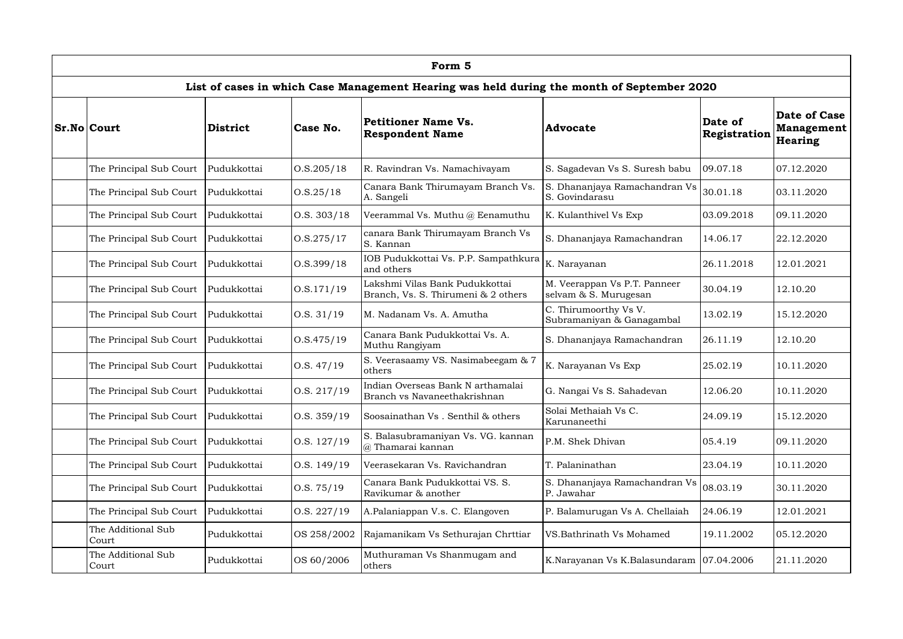| Form 5                                                    |                           |                |                                                                                            |                                                       |                         |                                                            |  |  |  |  |  |
|-----------------------------------------------------------|---------------------------|----------------|--------------------------------------------------------------------------------------------|-------------------------------------------------------|-------------------------|------------------------------------------------------------|--|--|--|--|--|
|                                                           |                           |                | List of cases in which Case Management Hearing was held during the month of September 2020 |                                                       |                         |                                                            |  |  |  |  |  |
| <b>Sr.No Court</b>                                        | <b>District</b>           | Case No.       | <b>Petitioner Name Vs.</b><br><b>Respondent Name</b>                                       | <b>Advocate</b>                                       | Date of<br>Registration | <b>Date of Case</b><br><b>Management</b><br><b>Hearing</b> |  |  |  |  |  |
| The Principal Sub Court                                   | Pudukkottai               | 0. S. 205 / 18 | R. Ravindran Vs. Namachivayam                                                              | S. Sagadevan Vs S. Suresh babu                        | 09.07.18                | 07.12.2020                                                 |  |  |  |  |  |
| The Principal Sub Court                                   | Pudukkottai               | 0. S. 25 / 18  | Canara Bank Thirumayam Branch Vs.<br>A. Sangeli                                            | S. Dhananjaya Ramachandran Vs<br>S. Govindarasu       | 30.01.18                | 03.11.2020                                                 |  |  |  |  |  |
| The Principal Sub Court                                   | Pudukkottai               | O.S. 303/18    | Veerammal Vs. Muthu @ Eenamuthu                                                            | K. Kulanthivel Vs Exp                                 | 03.09.2018              | 09.11.2020                                                 |  |  |  |  |  |
| The Principal Sub Court                                   | Pudukkottai               | 0. S. 275 / 17 | canara Bank Thirumayam Branch Vs<br>S. Kannan                                              | S. Dhananjaya Ramachandran                            | 14.06.17                | 22.12.2020                                                 |  |  |  |  |  |
| The Principal Sub Court                                   | Pudukkottai               | 0. S. 399 / 18 | IOB Pudukkottai Vs. P.P. Sampathkura<br>and others                                         | K. Narayanan                                          | 26.11.2018              | 12.01.2021                                                 |  |  |  |  |  |
| The Principal Sub Court<br>Pudukkottai                    |                           | 0. S. 171/19   | Lakshmi Vilas Bank Pudukkottai<br>Branch, Vs. S. Thirumeni & 2 others                      | M. Veerappan Vs P.T. Panneer<br>selvam & S. Murugesan | 30.04.19                | 12.10.20                                                   |  |  |  |  |  |
| The Principal Sub Court                                   | 0.S. 31/19<br>Pudukkottai |                | M. Nadanam Vs. A. Amutha                                                                   | C. Thirumoorthy Vs V.<br>Subramaniyan & Ganagambal    | 13.02.19                | 15.12.2020                                                 |  |  |  |  |  |
| The Principal Sub Court                                   | Pudukkottai               | 0. S.475/19    | Canara Bank Pudukkottai Vs. A.<br>Muthu Rangiyam                                           | S. Dhananjaya Ramachandran                            | 26.11.19                | 12.10.20                                                   |  |  |  |  |  |
| The Principal Sub Court                                   | Pudukkottai               | 0. S. 47/19    | S. Veerasaamy VS. Nasimabeegam & 7<br>others                                               | K. Narayanan Vs Exp                                   | 25.02.19                | 10.11.2020                                                 |  |  |  |  |  |
| The Principal Sub Court                                   | Pudukkottai               | O.S. 217/19    | Indian Overseas Bank N arthamalai<br>Branch vs Navaneethakrishnan                          | G. Nangai Vs S. Sahadevan                             | 12.06.20                | 10.11.2020                                                 |  |  |  |  |  |
| The Principal Sub Court                                   | Pudukkottai               | O.S. 359/19    | Soosainathan Vs. Senthil & others                                                          | Solai Methaiah Vs C.<br>Karunaneethi                  | 24.09.19                | 15.12.2020                                                 |  |  |  |  |  |
| The Principal Sub Court                                   | Pudukkottai               | O.S. 127/19    | S. Balasubramaniyan Vs. VG. kannan<br>@ Thamarai kannan                                    | P.M. Shek Dhivan                                      | 05.4.19                 | 09.11.2020                                                 |  |  |  |  |  |
| The Principal Sub Court                                   | Pudukkottai               | 0. S. 149/19   | Veerasekaran Vs. Ravichandran                                                              | T. Palaninathan                                       | 23.04.19                | 10.11.2020                                                 |  |  |  |  |  |
| 0. S. 75/19<br>The Principal Sub Court<br>Pudukkottai     |                           |                | Canara Bank Pudukkottai VS. S.<br>Ravikumar & another                                      | S. Dhananjaya Ramachandran Vs<br>P. Jawahar           | 08.03.19                | 30.11.2020                                                 |  |  |  |  |  |
| The Principal Sub Court<br>Pudukkottai<br>0. S. 227/19    |                           |                | A.Palaniappan V.s. C. Elangoven                                                            | P. Balamurugan Vs A. Chellaiah                        | 24.06.19                | 12.01.2021                                                 |  |  |  |  |  |
| The Additional Sub<br>OS 258/2002<br>Pudukkottai<br>Court |                           |                | Rajamanikam Vs Sethurajan Chrttiar                                                         | VS.Bathrinath Vs Mohamed                              | 19.11.2002              | 05.12.2020                                                 |  |  |  |  |  |
| The Additional Sub<br>Court                               | Pudukkottai               | OS 60/2006     | Muthuraman Vs Shanmugam and<br>others                                                      | K.Narayanan Vs K.Balasundaram   07.04.2006            |                         | 21.11.2020                                                 |  |  |  |  |  |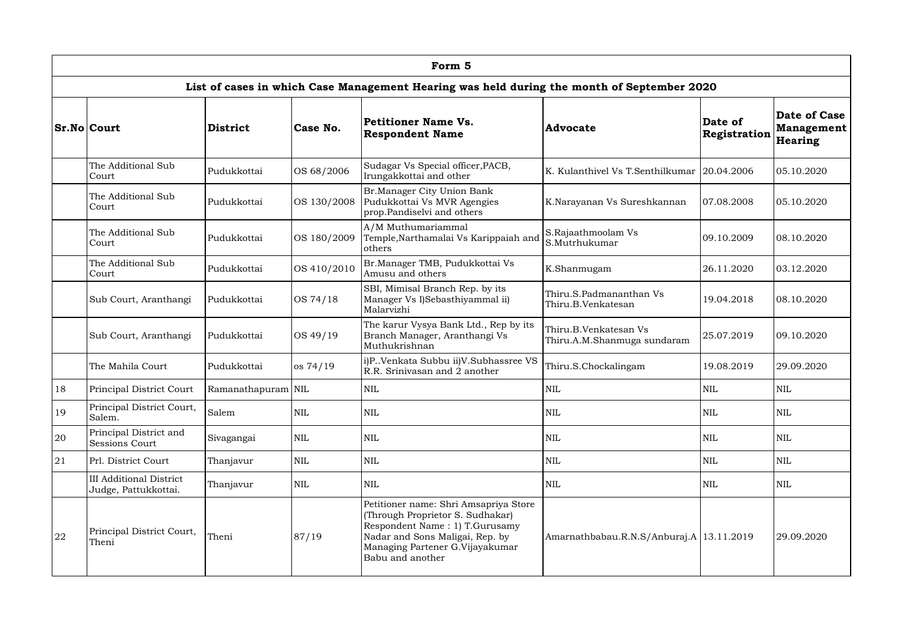|    |                                                        |                    |              | Form 5                                                                                                                                                                                                |                                                      |                         |                                                     |
|----|--------------------------------------------------------|--------------------|--------------|-------------------------------------------------------------------------------------------------------------------------------------------------------------------------------------------------------|------------------------------------------------------|-------------------------|-----------------------------------------------------|
|    |                                                        |                    |              | List of cases in which Case Management Hearing was held during the month of September 2020                                                                                                            |                                                      |                         |                                                     |
|    | <b>Sr.No Court</b>                                     | District           | Case No.     | Petitioner Name Vs.<br><b>Respondent Name</b>                                                                                                                                                         | <b>Advocate</b>                                      | Date of<br>Registration | <b>Date of Case</b><br><b>Management</b><br>Hearing |
|    | The Additional Sub<br>Court                            | Pudukkottai        | OS 68/2006   | Sudagar Vs Special officer, PACB,<br>Irungakkottai and other                                                                                                                                          | K. Kulanthivel Vs T. Senthilkumar                    | 20.04.2006              | 05.10.2020                                          |
|    | The Additional Sub<br>Court                            | Pudukkottai        | OS 130/2008  | Br.Manager City Union Bank<br>Pudukkottai Vs MVR Agengies<br>prop.Pandiselvi and others                                                                                                               | K.Narayanan Vs Sureshkannan<br>07.08.2008            |                         | 05.10.2020                                          |
|    | The Additional Sub<br>Court                            | Pudukkottai        | OS 180/2009  | A/M Muthumariammal<br>Temple, Narthamalai Vs Karippaiah and<br>others                                                                                                                                 | S.Rajaathmoolam Vs<br>S.Mutrhukumar                  | 09.10.2009              | 08.10.2020                                          |
|    | The Additional Sub<br>Court                            | Pudukkottai        | OS 410/2010  | Br.Manager TMB, Pudukkottai Vs<br>K.Shanmugam<br>Amusu and others                                                                                                                                     |                                                      | 26.11.2020              | 03.12.2020                                          |
|    | Sub Court, Aranthangi                                  | Pudukkottai        | OS 74/18     | SBI, Mimisal Branch Rep. by its<br>Manager Vs I)Sebasthiyammal ii)<br>Malarvizhi                                                                                                                      | Thiru.S.Padmananthan Vs<br>Thiru.B.Venkatesan        | 19.04.2018              | 08.10.2020                                          |
|    | Sub Court, Aranthangi                                  | Pudukkottai        | OS 49/19     | The karur Vysya Bank Ltd., Rep by its<br>Branch Manager, Aranthangi Vs<br>Muthukrishnan                                                                                                               | Thiru.B.Venkatesan Vs<br>Thiru.A.M.Shanmuga sundaram | 25.07.2019              | 09.10.2020                                          |
|    | The Mahila Court                                       | Pudukkottai        | os 74/19     | i)P. Venkata Subbu ii)V. Subhassree VS<br>R.R. Srinivasan and 2 another                                                                                                                               | Thiru.S.Chockalingam<br>19.08.2019                   |                         | 29.09.2020                                          |
| 18 | Principal District Court                               | Ramanathapuram NIL |              | <b>NIL</b>                                                                                                                                                                                            | <b>NIL</b>                                           | <b>NIL</b>              | $\mbox{NIL}$                                        |
| 19 | Principal District Court,<br>Salem.                    | Salem              | NIL          | <b>NIL</b>                                                                                                                                                                                            | <b>NIL</b>                                           | <b>NIL</b>              | <b>NIL</b>                                          |
| 20 | Principal District and<br><b>Sessions Court</b>        | Sivagangai         | $\mbox{NIL}$ | <b>NIL</b>                                                                                                                                                                                            | <b>NIL</b>                                           | $\mbox{NIL}$            | <b>NIL</b>                                          |
| 21 | Prl. District Court                                    | Thanjavur          | <b>NIL</b>   | <b>NIL</b>                                                                                                                                                                                            | <b>NIL</b>                                           | <b>NIL</b>              | <b>NIL</b>                                          |
|    | <b>III Additional District</b><br>Judge, Pattukkottai. | Thanjavur          | $\mbox{NIL}$ | <b>NIL</b>                                                                                                                                                                                            | <b>NIL</b>                                           | <b>NIL</b>              | $\mbox{NIL}$                                        |
| 22 | Principal District Court,<br>Theni                     | Theni              | 87/19        | Petitioner name: Shri Amsapriya Store<br>(Through Proprietor S. Sudhakar)<br>Respondent Name: 1) T.Gurusamy<br>Nadar and Sons Maligai, Rep. by<br>Managing Partener G.Vijayakumar<br>Babu and another | Amarnathbabau.R.N.S/Anburaj.A   13.11.2019           |                         | 29.09.2020                                          |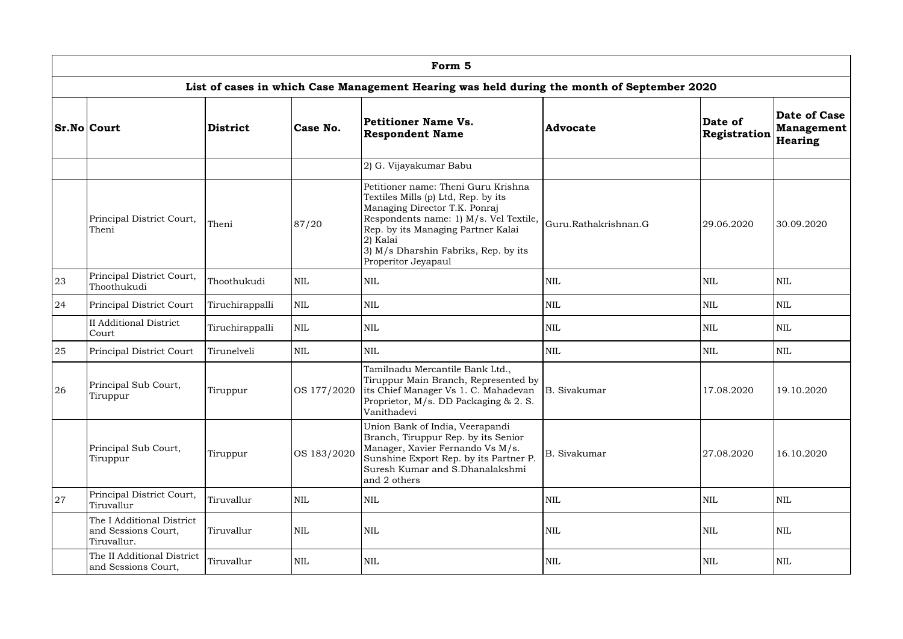|    | Form 5                                                                                      |                 |              |                                                                                                                                                                                                                                                                        |                      |                         |                                              |  |  |  |  |  |
|----|---------------------------------------------------------------------------------------------|-----------------|--------------|------------------------------------------------------------------------------------------------------------------------------------------------------------------------------------------------------------------------------------------------------------------------|----------------------|-------------------------|----------------------------------------------|--|--|--|--|--|
|    |                                                                                             |                 |              | List of cases in which Case Management Hearing was held during the month of September 2020                                                                                                                                                                             |                      |                         |                                              |  |  |  |  |  |
|    | <b>Sr.No Court</b>                                                                          | District        | Case No.     | Petitioner Name Vs.<br><b>Respondent Name</b>                                                                                                                                                                                                                          | <b>Advocate</b>      | Date of<br>Registration | Date of Case<br><b>Management</b><br>Hearing |  |  |  |  |  |
|    |                                                                                             |                 |              | 2) G. Vijayakumar Babu                                                                                                                                                                                                                                                 |                      |                         |                                              |  |  |  |  |  |
|    | Principal District Court,<br>Theni<br>87/20<br>Theni                                        |                 |              | Petitioner name: Theni Guru Krishna<br>Textiles Mills (p) Ltd, Rep. by its<br>Managing Director T.K. Ponraj<br>Respondents name: 1) M/s. Vel Textile,<br>Rep. by its Managing Partner Kalai<br>2) Kalai<br>3) M/s Dharshin Fabriks, Rep. by its<br>Properitor Jeyapaul | Guru.Rathakrishnan.G | 29.06.2020              | 30.09.2020                                   |  |  |  |  |  |
| 23 | Principal District Court,<br>Thoothukudi                                                    | Thoothukudi     | $\mbox{NIL}$ | <b>NIL</b>                                                                                                                                                                                                                                                             | <b>NIL</b>           | <b>NIL</b>              | <b>NIL</b>                                   |  |  |  |  |  |
| 24 | $\mbox{NIL}$<br>Principal District Court<br>Tiruchirappalli                                 |                 |              | <b>NIL</b>                                                                                                                                                                                                                                                             | <b>NIL</b>           | <b>NIL</b>              | <b>NIL</b>                                   |  |  |  |  |  |
|    | <b>II</b> Additional District<br>Court                                                      | Tiruchirappalli | $\mbox{NIL}$ | <b>NIL</b>                                                                                                                                                                                                                                                             | <b>NIL</b>           | <b>NIL</b>              | <b>NIL</b>                                   |  |  |  |  |  |
| 25 | Principal District Court                                                                    | Tirunelveli     | <b>NIL</b>   | <b>NIL</b>                                                                                                                                                                                                                                                             | <b>NIL</b>           | <b>NIL</b>              | <b>NIL</b>                                   |  |  |  |  |  |
| 26 | Principal Sub Court,<br>Tiruppur                                                            | Tiruppur        |              | Tamilnadu Mercantile Bank Ltd.,<br>Tiruppur Main Branch, Represented by<br>OS 177/2020 lits Chief Manager Vs 1. C. Mahadevan<br>Proprietor, M/s. DD Packaging & 2. S.<br>Vanithadevi                                                                                   | B. Sivakumar         | 17.08.2020              | 19.10.2020                                   |  |  |  |  |  |
|    | Principal Sub Court,<br>Tiruppur                                                            | Tiruppur        | OS 183/2020  | Union Bank of India, Veerapandi<br>Branch, Tiruppur Rep. by its Senior<br>Manager, Xavier Fernando Vs M/s.<br>Sunshine Export Rep. by its Partner P.<br>Suresh Kumar and S.Dhanalakshmi<br>and 2 others                                                                | <b>B.</b> Sivakumar  | 27.08.2020              | 16.10.2020                                   |  |  |  |  |  |
| 27 | Principal District Court,<br>Tiruvallur                                                     | Tiruvallur      | $\mbox{NIL}$ | <b>NIL</b>                                                                                                                                                                                                                                                             | <b>NIL</b>           | $\mbox{NIL}$            | NIL                                          |  |  |  |  |  |
|    | The I Additional District<br>Tiruvallur<br><b>NIL</b><br>and Sessions Court,<br>Tiruvallur. |                 |              | <b>NIL</b>                                                                                                                                                                                                                                                             | <b>NIL</b>           | <b>NIL</b>              | NIL                                          |  |  |  |  |  |
|    | The II Additional District<br>and Sessions Court,                                           | Tiruvallur      | <b>NIL</b>   | <b>NIL</b>                                                                                                                                                                                                                                                             | <b>NIL</b>           | $\mbox{NIL}$            | NIL                                          |  |  |  |  |  |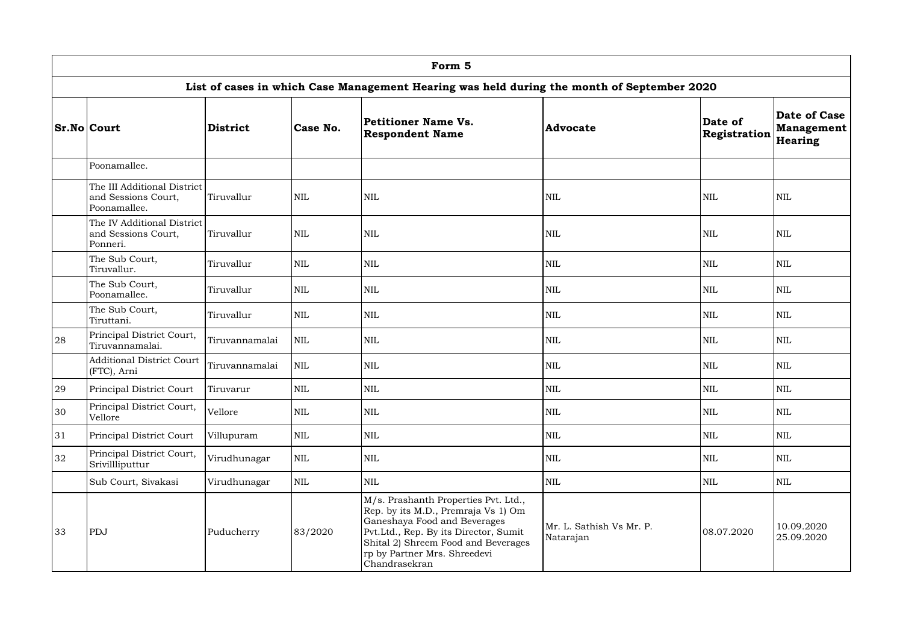|    | Form 5                                                                                     |                 |            |                                                                                                                                                                                                                                              |                                       |                         |                                              |  |  |  |  |  |
|----|--------------------------------------------------------------------------------------------|-----------------|------------|----------------------------------------------------------------------------------------------------------------------------------------------------------------------------------------------------------------------------------------------|---------------------------------------|-------------------------|----------------------------------------------|--|--|--|--|--|
|    | List of cases in which Case Management Hearing was held during the month of September 2020 |                 |            |                                                                                                                                                                                                                                              |                                       |                         |                                              |  |  |  |  |  |
|    | <b>Sr.No Court</b>                                                                         | <b>District</b> | Case No.   | Petitioner Name Vs.<br><b>Respondent Name</b>                                                                                                                                                                                                | <b>Advocate</b>                       | Date of<br>Registration | <b>Date of Case</b><br>Management<br>Hearing |  |  |  |  |  |
|    | Poonamallee.                                                                               |                 |            |                                                                                                                                                                                                                                              |                                       |                         |                                              |  |  |  |  |  |
|    | The III Additional District<br>and Sessions Court,<br>Tiruvallur<br>Poonamallee.           |                 | <b>NIL</b> | <b>NIL</b>                                                                                                                                                                                                                                   | <b>NIL</b>                            | <b>NIL</b>              | <b>NIL</b>                                   |  |  |  |  |  |
|    | The IV Additional District<br>and Sessions Court,<br>Ponneri.                              | Tiruvallur      | <b>NIL</b> | <b>NIL</b>                                                                                                                                                                                                                                   | <b>NIL</b>                            | <b>NIL</b>              | <b>NIL</b>                                   |  |  |  |  |  |
|    | The Sub Court,<br>Tiruvallur.                                                              | Tiruvallur      | <b>NIL</b> | <b>NIL</b>                                                                                                                                                                                                                                   | <b>NIL</b>                            | <b>NIL</b>              | <b>NIL</b>                                   |  |  |  |  |  |
|    | The Sub Court,<br>Tiruvallur<br>Poonamallee.                                               |                 | <b>NIL</b> | <b>NIL</b>                                                                                                                                                                                                                                   | <b>NIL</b>                            | <b>NIL</b>              | <b>NIL</b>                                   |  |  |  |  |  |
|    | The Sub Court,<br><b>NIL</b><br>Tiruvallur<br>Tiruttani.                                   |                 | <b>NIL</b> | <b>NIL</b>                                                                                                                                                                                                                                   | <b>NIL</b>                            | <b>NIL</b>              |                                              |  |  |  |  |  |
| 28 | Principal District Court,<br>Tiruvannamalai.                                               | Tiruvannamalai  | <b>NIL</b> | <b>NIL</b><br><b>NIL</b>                                                                                                                                                                                                                     |                                       | $\mbox{NIL}$            | <b>NIL</b>                                   |  |  |  |  |  |
|    | <b>Additional District Court</b><br>(FTC), Arni                                            | Tiruvannamalai  | <b>NIL</b> | <b>NIL</b><br><b>NIL</b>                                                                                                                                                                                                                     |                                       | <b>NIL</b>              | <b>NIL</b>                                   |  |  |  |  |  |
| 29 | Principal District Court                                                                   | Tiruvarur       | <b>NIL</b> | $\mbox{NIL}$                                                                                                                                                                                                                                 | $\mbox{NIL}$                          | <b>NIL</b>              | <b>NIL</b>                                   |  |  |  |  |  |
| 30 | Principal District Court,<br>Vellore                                                       | Vellore         | <b>NIL</b> | <b>NIL</b>                                                                                                                                                                                                                                   | <b>NIL</b>                            | <b>NIL</b>              | <b>NIL</b>                                   |  |  |  |  |  |
| 31 | Principal District Court                                                                   | Villupuram      | <b>NIL</b> | <b>NIL</b>                                                                                                                                                                                                                                   | <b>NIL</b>                            | <b>NIL</b>              | <b>NIL</b>                                   |  |  |  |  |  |
| 32 | Principal District Court,<br>Srivillliputtur                                               | Virudhunagar    | <b>NIL</b> | <b>NIL</b>                                                                                                                                                                                                                                   | <b>NIL</b>                            | <b>NIL</b>              | $\mbox{NIL}$                                 |  |  |  |  |  |
|    | Sub Court, Sivakasi<br>Virudhunagar                                                        |                 | <b>NIL</b> | <b>NIL</b>                                                                                                                                                                                                                                   | <b>NIL</b>                            | <b>NIL</b>              | <b>NIL</b>                                   |  |  |  |  |  |
| 33 | PDJ<br>Puducherry                                                                          |                 | 83/2020    | M/s. Prashanth Properties Pvt. Ltd.,<br>Rep. by its M.D., Premraja Vs 1) Om<br>Ganeshaya Food and Beverages<br>Pvt.Ltd., Rep. By its Director, Sumit<br>Shital 2) Shreem Food and Beverages<br>rp by Partner Mrs. Shreedevi<br>Chandrasekran | Mr. L. Sathish Vs Mr. P.<br>Natarajan | 08.07.2020              | 10.09.2020<br>25.09.2020                     |  |  |  |  |  |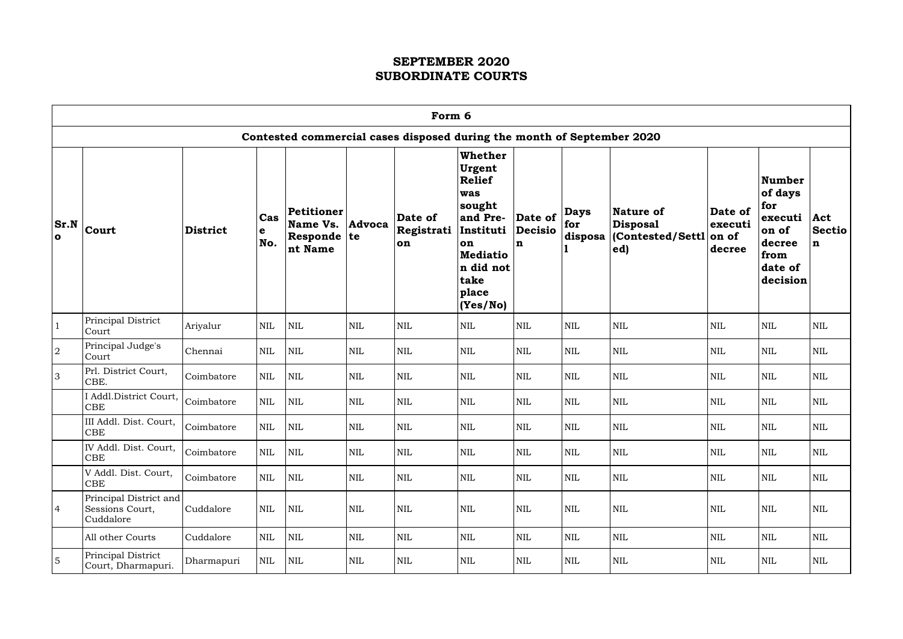|                      | Form 6                                                                 |                 |                 |                                                    |              |                                       |                                                                                                                                            |                                   |                               |                                                                 |                                       |                                                                                              |                                     |
|----------------------|------------------------------------------------------------------------|-----------------|-----------------|----------------------------------------------------|--------------|---------------------------------------|--------------------------------------------------------------------------------------------------------------------------------------------|-----------------------------------|-------------------------------|-----------------------------------------------------------------|---------------------------------------|----------------------------------------------------------------------------------------------|-------------------------------------|
|                      | Contested commercial cases disposed during the month of September 2020 |                 |                 |                                                    |              |                                       |                                                                                                                                            |                                   |                               |                                                                 |                                       |                                                                                              |                                     |
| Sr.N<br>$\mathbf{o}$ | <b>Court</b>                                                           | <b>District</b> | Cas<br>e<br>No. | Petitioner<br>Name Vs.<br>Responde   te<br>nt Name | Advoca       | Date of<br>Registrati Instituti<br>on | Whether<br><b>Urgent</b><br>Relief<br>was<br>sought<br>and Pre-<br><b>on</b><br><b>Mediatio</b><br>n did not<br>take<br>place<br> (Yes/No) | Date of<br>Decisio<br>$\mathbf n$ | <b>Days</b><br>for<br>disposa | <b>Nature of</b><br><b>Disposal</b><br>(Contested/Settl)<br>ed) | Date of<br>executi<br>on of<br>decree | <b>Number</b><br>of days<br>for<br>executi<br>on of<br>decree<br>from<br>date of<br>decision | Act<br><b>Sectio</b><br>$\mathbf n$ |
| $\mathbf{1}$         | Principal District<br>Court                                            | Ariyalur        | <b>NIL</b>      | <b>NIL</b>                                         | <b>NIL</b>   | <b>NIL</b>                            | <b>NIL</b>                                                                                                                                 | NIL                               | $\mbox{NIL}$                  | $\mbox{NIL}$                                                    | <b>NIL</b>                            | $\mbox{NIL}$                                                                                 | $\mbox{NIL}$                        |
| $\overline{2}$       | Principal Judge's<br>Court                                             | Chennai         | <b>NIL</b>      | <b>NIL</b>                                         | <b>NIL</b>   | <b>NIL</b>                            | <b>NIL</b>                                                                                                                                 | <b>NIL</b>                        | $\mbox{NIL}$                  | $\mbox{NIL}$                                                    | $\mbox{NIL}$                          | $\mbox{NIL}$                                                                                 | $\mbox{NIL}$                        |
| 3                    | Prl. District Court,<br>CBE.                                           | Coimbatore      | $\mbox{NIL}$    | <b>NIL</b>                                         | <b>NIL</b>   | <b>NIL</b>                            | <b>NIL</b>                                                                                                                                 | <b>NIL</b>                        | <b>NIL</b>                    | $\mbox{NIL}$                                                    | <b>NIL</b>                            | <b>NIL</b>                                                                                   | $\mbox{NIL}$                        |
|                      | <b>Addl.District Court,</b><br>CBE                                     | Coimbatore      | <b>NIL</b>      | <b>NIL</b>                                         | <b>NIL</b>   | $\mbox{NIL}$                          | <b>NIL</b>                                                                                                                                 | <b>NIL</b>                        | <b>NIL</b>                    | <b>NIL</b>                                                      | <b>NIL</b>                            | $\mbox{NIL}$                                                                                 | <b>NIL</b>                          |
|                      | III Addl. Dist. Court,<br>CBE                                          | Coimbatore      | <b>NIL</b>      | <b>NIL</b>                                         | <b>NIL</b>   | <b>NIL</b>                            | <b>NIL</b>                                                                                                                                 | <b>NIL</b>                        | <b>NIL</b>                    | <b>NIL</b>                                                      | <b>NIL</b>                            | <b>NIL</b>                                                                                   | <b>NIL</b>                          |
|                      | IV Addl. Dist. Court,<br><b>CBE</b>                                    | Coimbatore      | $\mbox{NIL}$    | <b>NIL</b>                                         | $\mbox{NIL}$ | $\mbox{NIL}$                          | <b>NIL</b>                                                                                                                                 | <b>NIL</b>                        | NIL                           | $\mbox{NIL}$                                                    | <b>NIL</b>                            | $\mbox{NIL}$                                                                                 | $\mbox{NIL}$                        |
|                      | V Addl. Dist. Court,<br>CBE                                            | Coimbatore      | $\mbox{NIL}$    | NIL                                                | $\mbox{NIL}$ | $\mbox{NIL}$                          | <b>NIL</b>                                                                                                                                 | $\mbox{NIL}$                      | <b>NIL</b>                    | $\mbox{NIL}$                                                    | <b>NIL</b>                            | $\mbox{NIL}$                                                                                 | <b>NIL</b>                          |
| $\overline{4}$       | Principal District and<br>Sessions Court,<br>Cuddalore                 | Cuddalore       | <b>NIL</b>      | NIL                                                | $\mbox{NIL}$ | $\mbox{NIL}$                          | <b>NIL</b>                                                                                                                                 | <b>NIL</b>                        | <b>NIL</b>                    | <b>NIL</b>                                                      | <b>NIL</b>                            | $\mbox{NIL}$                                                                                 | NIL                                 |
|                      | All other Courts                                                       | Cuddalore       | $\mbox{NIL}$    | <b>NIL</b>                                         | $\mbox{NIL}$ | $\mbox{NIL}$                          | <b>NIL</b>                                                                                                                                 | $\mbox{NIL}$                      | <b>NIL</b>                    | $\mbox{NIL}$                                                    | <b>NIL</b>                            | $\mbox{NIL}$                                                                                 | <b>NIL</b>                          |
| $\overline{5}$       | Principal District<br>Court, Dharmapuri.                               | Dharmapuri      | $\mbox{NIL}$    | NIL                                                | $\mbox{NIL}$ | $\mbox{NIL}$                          | NIL                                                                                                                                        | NIL                               | $\mbox{NIL}$                  | $\mbox{NIL}$                                                    | $\mbox{NIL}$                          | NIL                                                                                          | NIL                                 |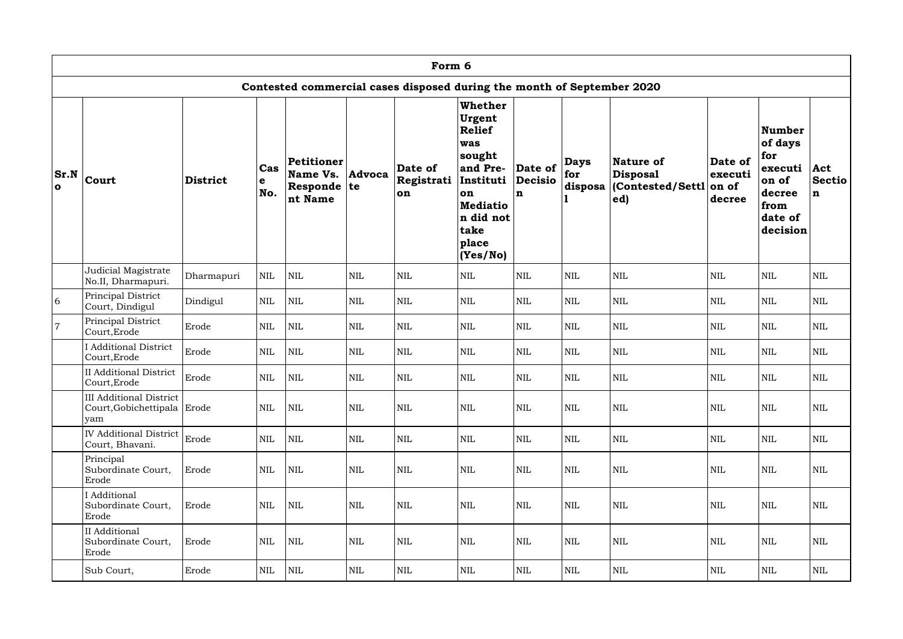|                       | Form 6                                                        |                 |                 |                                                  |               |                                                                        |                                                                                                                                                 |                                          |                               |                                                   |                                       |                                                                                       |                                     |
|-----------------------|---------------------------------------------------------------|-----------------|-----------------|--------------------------------------------------|---------------|------------------------------------------------------------------------|-------------------------------------------------------------------------------------------------------------------------------------------------|------------------------------------------|-------------------------------|---------------------------------------------------|---------------------------------------|---------------------------------------------------------------------------------------|-------------------------------------|
|                       |                                                               |                 |                 |                                                  |               | Contested commercial cases disposed during the month of September 2020 |                                                                                                                                                 |                                          |                               |                                                   |                                       |                                                                                       |                                     |
| Sr.N <br>$\mathbf{o}$ | Court                                                         | <b>District</b> | Cas<br>e<br>No. | Petitioner<br>Name Vs.<br>Responde te<br>nt Name | <b>Advoca</b> | Date of<br>Registrati<br>on                                            | Whether<br>Urgent<br><b>Relief</b><br>was<br>sought<br>and Pre-<br>Instituti<br>on<br><b>Mediatio</b><br>n did not<br>take<br>place<br>(Yes/No) | Date of<br><b>Decisio</b><br>$\mathbf n$ | <b>Days</b><br>for<br>disposa | Nature of<br>Disposal <br>(Contested/Settl<br>ed) | Date of<br>executi<br>on of<br>decree | Number<br>of days<br>for<br>executi<br>on of<br>decree<br>from<br>date of<br>decision | Act<br><b>Sectio</b><br>$\mathbf n$ |
|                       | Judicial Magistrate<br>No.II, Dharmapuri.                     | Dharmapuri      | <b>NIL</b>      | <b>NIL</b>                                       | $\mbox{NIL}$  | $\mbox{NIL}$                                                           | <b>NIL</b>                                                                                                                                      | <b>NIL</b>                               | $\mbox{NIL}$                  | <b>NIL</b>                                        | <b>NIL</b>                            | $\mbox{NIL}$                                                                          | <b>NIL</b>                          |
| 6                     | Principal District<br>Court, Dindigul                         | Dindigul        | <b>NIL</b>      | $\text{NIL}$                                     | $\mbox{NIL}$  | $\mbox{NIL}$                                                           | <b>NIL</b>                                                                                                                                      | <b>NIL</b>                               | <b>NIL</b>                    | <b>NIL</b>                                        | <b>NIL</b>                            | <b>NIL</b>                                                                            | <b>NIL</b>                          |
| $\overline{7}$        | Principal District<br>Court, Erode                            | Erode           | <b>NIL</b>      | $\text{NIL}$                                     | $\mbox{NIL}$  | $\mbox{NIL}$                                                           | <b>NIL</b>                                                                                                                                      | <b>NIL</b>                               | <b>NIL</b>                    | <b>NIL</b>                                        | <b>NIL</b>                            | <b>NIL</b>                                                                            | <b>NIL</b>                          |
|                       | <b>I</b> Additional District<br>Court, Erode                  | Erode           | <b>NIL</b>      | <b>NIL</b>                                       | $\mbox{NIL}$  | $\mbox{NIL}$                                                           | <b>NIL</b>                                                                                                                                      | <b>NIL</b>                               | <b>NIL</b>                    | <b>NIL</b>                                        | <b>NIL</b>                            | $\mbox{NIL}$                                                                          | <b>NIL</b>                          |
|                       | <b>II Additional District</b><br>Court, Erode                 | Erode           | <b>NIL</b>      | $\text{NIL}$                                     | $\mbox{NIL}$  | $\mbox{NIL}$                                                           | <b>NIL</b>                                                                                                                                      | <b>NIL</b>                               | <b>NIL</b>                    | $\mbox{NIL}$                                      | <b>NIL</b>                            | $\mbox{NIL}$                                                                          | <b>NIL</b>                          |
|                       | III Additional District<br>Court, Gobichettipala Erode<br>yam |                 | <b>NIL</b>      | $\mbox{NIL}$                                     | $\mbox{NIL}$  | $\mbox{NIL}$                                                           | $\mbox{NIL}$                                                                                                                                    | $\mbox{NIL}$                             | NIL                           | $\mbox{NIL}$                                      | <b>NIL</b>                            | <b>NIL</b>                                                                            | <b>NIL</b>                          |
|                       | <b>IV Additional District</b><br>Court, Bhavani.              | Erode           | <b>NIL</b>      | <b>NIL</b>                                       | $\mbox{NIL}$  | $\mbox{NIL}$                                                           | <b>NIL</b>                                                                                                                                      | <b>NIL</b>                               | <b>NIL</b>                    | <b>NIL</b>                                        | $\mbox{NIL}$                          | <b>NIL</b>                                                                            | <b>NIL</b>                          |
|                       | Principal<br>Subordinate Court,<br>Erode                      | Erode           | <b>NIL</b>      | <b>NIL</b>                                       | $\mbox{NIL}$  | $\mbox{NIL}$                                                           | <b>NIL</b>                                                                                                                                      | <b>NIL</b>                               | $\mbox{NIL}$                  | <b>NIL</b>                                        | <b>NIL</b>                            | $\mbox{NIL}$                                                                          | <b>NIL</b>                          |
|                       | <b>Additional</b><br>Subordinate Court,<br>Erode              | Erode           | <b>NIL</b>      | <b>NIL</b>                                       | $\mbox{NIL}$  | $\mbox{NIL}$                                                           | NIL                                                                                                                                             | <b>NIL</b>                               | $\mbox{NIL}$                  | <b>NIL</b>                                        | NIL                                   | $\mbox{NIL}$                                                                          | <b>NIL</b>                          |
|                       | II Additional<br>Subordinate Court,<br>Erode                  | Erode           | <b>NIL</b>      | $\mbox{NIL}$                                     | $\mbox{NIL}$  | $\mbox{NIL}$                                                           | <b>NIL</b>                                                                                                                                      | <b>NIL</b>                               | $\mbox{NIL}$                  | <b>NIL</b>                                        | <b>NIL</b>                            | $\mbox{NIL}$                                                                          | <b>NIL</b>                          |
|                       | Sub Court,                                                    | Erode           | $\mbox{NIL}$    | <b>NIL</b>                                       | <b>NIL</b>    | $\mbox{NIL}$                                                           | NIL                                                                                                                                             | <b>NIL</b>                               | <b>NIL</b>                    | $\mbox{NIL}$                                      | $\mbox{NIL}$                          | $\mbox{NIL}$                                                                          | <b>NIL</b>                          |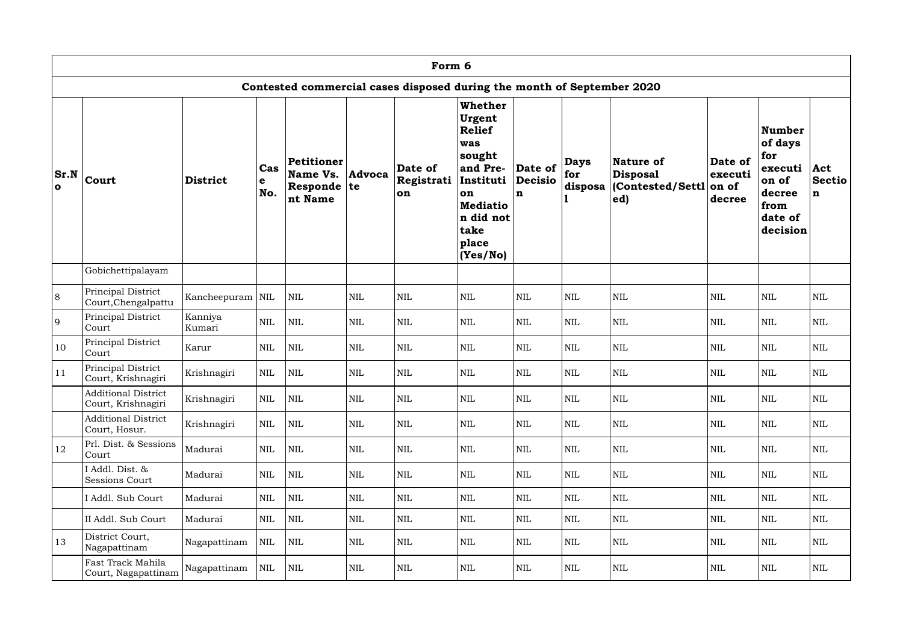|                       | Form 6                                           |                   |                 |                                                             |               |                                                                        |                                                                                                                                                        |                                          |                               |                                                        |                                       |                                                                                           |                       |
|-----------------------|--------------------------------------------------|-------------------|-----------------|-------------------------------------------------------------|---------------|------------------------------------------------------------------------|--------------------------------------------------------------------------------------------------------------------------------------------------------|------------------------------------------|-------------------------------|--------------------------------------------------------|---------------------------------------|-------------------------------------------------------------------------------------------|-----------------------|
|                       |                                                  |                   |                 |                                                             |               | Contested commercial cases disposed during the month of September 2020 |                                                                                                                                                        |                                          |                               |                                                        |                                       |                                                                                           |                       |
| Sr.N <br>$\mathbf{o}$ | Court                                            | <b>District</b>   | Cas<br>e<br>No. | <b>Petitioner</b><br>Name Vs.<br>Responde $ te $<br>nt Name | <b>Advoca</b> | Date of<br>Registrati<br>on                                            | <b>Whether</b><br>Urgent<br><b>Relief</b><br>was<br>sought<br>and Pre-<br>Instituti<br>on<br><b>Mediatio</b><br>n did not<br>take<br>place<br>(Yes/No) | Date of<br><b>Decisio</b><br>$\mathbf n$ | <b>Days</b><br>for<br>disposa | Nature of<br><b>Disposal</b><br>Contested/Settl<br> ed | Date of<br>executi<br>on of<br>decree | Number<br>of days<br>for<br>executi Act<br>on of<br>decree<br>from<br>date of<br>decision | Sectio<br>$\mathbf n$ |
|                       | Gobichettipalayam                                |                   |                 |                                                             |               |                                                                        |                                                                                                                                                        |                                          |                               |                                                        |                                       |                                                                                           |                       |
| 8                     | Principal District<br>Court, Chengalpattu        | Kancheepuram NIL  |                 | <b>NIL</b>                                                  | <b>NIL</b>    | <b>NIL</b>                                                             | <b>NIL</b>                                                                                                                                             | <b>NIL</b>                               | <b>NIL</b>                    | <b>NIL</b>                                             | <b>NIL</b>                            | <b>NIL</b>                                                                                | <b>NIL</b>            |
| 9                     | Principal District<br>Court                      | Kanniya<br>Kumari | <b>NIL</b>      | $\text{NIL}$                                                | $\mbox{NIL}$  | $\mbox{NIL}$                                                           | <b>NIL</b>                                                                                                                                             | $\mbox{NIL}$                             | NIL                           | <b>NIL</b>                                             | $\text{NIL}$                          | <b>NIL</b>                                                                                | $\mbox{NIL}$          |
| 10                    | Principal District<br>Court                      | Karur             | <b>NIL</b>      | $\text{NIL}$                                                | $\mbox{NIL}$  | $\text{NIL}$                                                           | <b>NIL</b>                                                                                                                                             | $\mbox{NIL}$                             | NIL                           | <b>NIL</b>                                             | <b>NIL</b>                            | <b>NIL</b>                                                                                | $\mbox{NIL}$          |
| 11                    | Principal District<br>Court, Krishnagiri         | Krishnagiri       | <b>NIL</b>      | $\text{NIL}$                                                | $\mbox{NIL}$  | $\mbox{NIL}$                                                           | <b>NIL</b>                                                                                                                                             | <b>NIL</b>                               | $\mbox{NIL}$                  | <b>NIL</b>                                             | <b>NIL</b>                            | <b>NIL</b>                                                                                | <b>NIL</b>            |
|                       | <b>Additional District</b><br>Court, Krishnagiri | Krishnagiri       | <b>NIL</b>      | $\mbox{NIL}$                                                | $\mbox{NIL}$  | $\mbox{NIL}$                                                           | $\mbox{NIL}$                                                                                                                                           | NIL                                      | $\mbox{NIL}$                  | <b>NIL</b>                                             | $\mbox{NIL}$                          | $\mbox{NIL}$                                                                              | $\mbox{NIL}$          |
|                       | <b>Additional District</b><br>Court, Hosur.      | Krishnagiri       | <b>NIL</b>      | $\mbox{NIL}$                                                | $\mbox{NIL}$  | $\mbox{NIL}$                                                           | NIL                                                                                                                                                    | <b>NIL</b>                               | <b>NIL</b>                    | <b>NIL</b>                                             | <b>NIL</b>                            | <b>NIL</b>                                                                                | <b>NIL</b>            |
| 12                    | Prl. Dist. & Sessions<br>Court                   | Madurai           | <b>NIL</b>      | $\mbox{NIL}$                                                | $\mbox{NIL}$  | $\mbox{NIL}$                                                           | <b>NIL</b>                                                                                                                                             | <b>NIL</b>                               | <b>NIL</b>                    | <b>NIL</b>                                             | <b>NIL</b>                            | <b>NIL</b>                                                                                | <b>NIL</b>            |
|                       | I Addl. Dist. &<br>Sessions Court                | Madurai           | <b>NIL</b>      | $\mbox{NIL}$                                                | $\mbox{NIL}$  | $\mbox{NIL}$                                                           | <b>NIL</b>                                                                                                                                             | <b>NIL</b>                               | <b>NIL</b>                    | <b>NIL</b>                                             | <b>NIL</b>                            | <b>NIL</b>                                                                                | $\mbox{NIL}$          |
|                       | I Addl. Sub Court                                | Madurai           | $\mbox{NIL}$    | NIL                                                         | $\mbox{NIL}$  | $\mbox{NIL}$                                                           | <b>NIL</b>                                                                                                                                             | <b>NIL</b>                               | <b>NIL</b>                    | <b>NIL</b>                                             | <b>NIL</b>                            | <b>NIL</b>                                                                                | $\mbox{NIL}$          |
|                       | II Addl. Sub Court                               | Madurai           | <b>NIL</b>      | $\mbox{NIL}$                                                | <b>NIL</b>    | $\mbox{NIL}$                                                           | <b>NIL</b>                                                                                                                                             | <b>NIL</b>                               | <b>NIL</b>                    | <b>NIL</b>                                             | NIL                                   | <b>NIL</b>                                                                                | NIL                   |
| 13                    | District Court,<br>Nagapattinam                  | Nagapattinam      | <b>NIL</b>      | <b>NIL</b>                                                  | <b>NIL</b>    | $\mbox{NIL}$                                                           | <b>NIL</b>                                                                                                                                             | <b>NIL</b>                               | $\mbox{NIL}$                  | <b>NIL</b>                                             | <b>NIL</b>                            | <b>NIL</b>                                                                                | <b>NIL</b>            |
|                       | Fast Track Mahila<br>Court, Nagapattinam         | Nagapattinam      | <b>NIL</b>      | $\mbox{NIL}$                                                | <b>NIL</b>    | $\mbox{NIL}$                                                           | NIL                                                                                                                                                    | <b>NIL</b>                               | $\mbox{NIL}$                  | <b>NIL</b>                                             | <b>NIL</b>                            | <b>NIL</b>                                                                                | <b>NIL</b>            |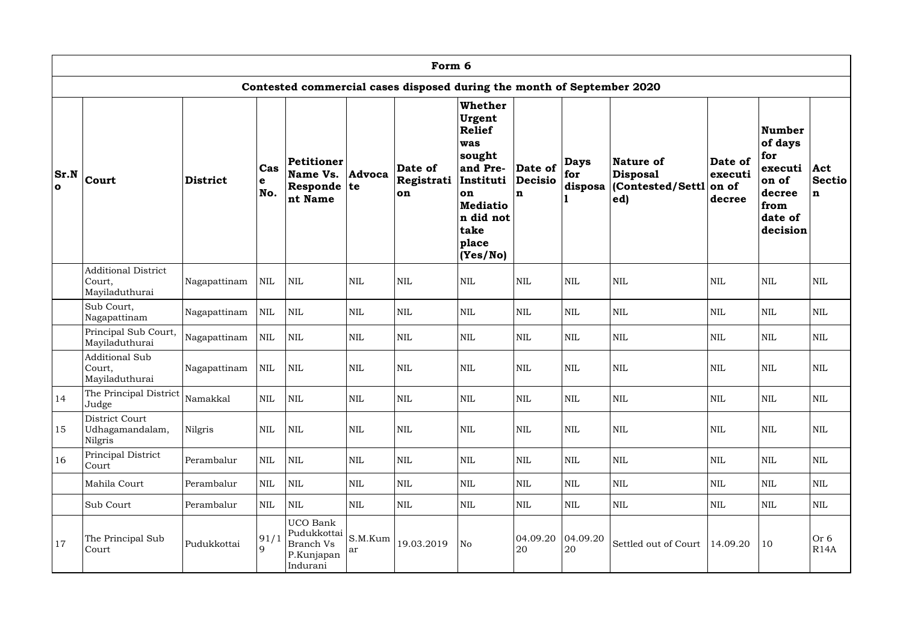|             | Form 6                                                 |                 |                           |                                                                       |               |                                                                        |                                                                                                                                                 |                                          |                               |                                                  |                                       |                                                                                       |                              |
|-------------|--------------------------------------------------------|-----------------|---------------------------|-----------------------------------------------------------------------|---------------|------------------------------------------------------------------------|-------------------------------------------------------------------------------------------------------------------------------------------------|------------------------------------------|-------------------------------|--------------------------------------------------|---------------------------------------|---------------------------------------------------------------------------------------|------------------------------|
|             |                                                        |                 |                           |                                                                       |               | Contested commercial cases disposed during the month of September 2020 |                                                                                                                                                 |                                          |                               |                                                  |                                       |                                                                                       |                              |
| Sr.N<br>l O | Court                                                  | <b>District</b> | Cas<br>$\mathbf e$<br>No. | Petitioner<br>Name Vs.<br>Responde $ te $<br>nt Name                  | Advoca        | Date of<br>Registrati<br>on                                            | Whether<br>Urgent<br><b>Relief</b><br>was<br>sought<br>and Pre-<br>Instituti<br>on<br><b>Mediatio</b><br>n did not<br>take<br>place<br>(Yes/No) | Date of<br><b>Decisio</b><br>$\mathbf n$ | <b>Days</b><br>for<br>disposa | Nature of<br>Disposal<br>(Contested/Settl<br>ed) | Date of<br>executi<br>on of<br>decree | Number<br>of days<br>for<br>executi<br>on of<br>decree<br>from<br>date of<br>decision | Act<br>Sectio<br>$\mathbf n$ |
|             | <b>Additional District</b><br>Court,<br>Mayiladuthurai | Nagapattinam    | <b>NIL</b>                | <b>NIL</b>                                                            | $\mbox{NIL}$  | $\mbox{NIL}$                                                           | $\mbox{NIL}$                                                                                                                                    | $\mbox{NIL}$                             | $\mbox{NIL}$                  | <b>NIL</b>                                       | <b>NIL</b>                            | $\mbox{NIL}$                                                                          | <b>NIL</b>                   |
|             | Sub Court,<br>Nagapattinam                             | Nagapattinam    | <b>NIL</b>                | $\mbox{NIL}$                                                          | $\mbox{NIL}$  | $\mbox{NIL}$                                                           | <b>NIL</b>                                                                                                                                      | $\mbox{NIL}$                             | $\mbox{NIL}$                  | <b>NIL</b>                                       | <b>NIL</b>                            | $\mbox{NIL}$                                                                          | <b>NIL</b>                   |
|             | Principal Sub Court,<br>Mayiladuthurai                 | Nagapattinam    | <b>NIL</b>                | $\text{NIL}$                                                          | <b>NIL</b>    | $\mbox{NIL}$                                                           | <b>NIL</b>                                                                                                                                      | <b>NIL</b>                               | <b>NIL</b>                    | <b>NIL</b>                                       | <b>NIL</b>                            | <b>NIL</b>                                                                            | <b>NIL</b>                   |
|             | <b>Additional Sub</b><br>Court,<br>Mayiladuthurai      | Nagapattinam    | <b>NIL</b>                | <b>NIL</b>                                                            | <b>NIL</b>    | <b>NIL</b>                                                             | <b>NIL</b>                                                                                                                                      | <b>NIL</b>                               | <b>NIL</b>                    | <b>NIL</b>                                       | <b>NIL</b>                            | <b>NIL</b>                                                                            | <b>NIL</b>                   |
| 14          | The Principal District<br>Judge                        | Namakkal        | $\mbox{NIL}$              | <b>NIL</b>                                                            | $\mbox{NIL}$  | $\mbox{NIL}$                                                           | $\mbox{NIL}$                                                                                                                                    | <b>NIL</b>                               | $\mbox{NIL}$                  | <b>NIL</b>                                       | <b>NIL</b>                            | $\mbox{NIL}$                                                                          | <b>NIL</b>                   |
| 15          | District Court<br>Udhagamandalam,<br>Nilgris           | Nilgris         | <b>NIL</b>                | <b>NIL</b>                                                            | $\mbox{NIL}$  | $\mbox{NIL}$                                                           | <b>NIL</b>                                                                                                                                      | <b>NIL</b>                               | $\mbox{NIL}$                  | $\mbox{NIL}$                                     | $\mbox{NIL}$                          | <b>NIL</b>                                                                            | <b>NIL</b>                   |
| 16          | Principal District<br>Court                            | Perambalur      | <b>NIL</b>                | <b>NIL</b>                                                            | $\mbox{NIL}$  | $\mbox{NIL}$                                                           | NIL                                                                                                                                             | <b>NIL</b>                               | $\mbox{NIL}$                  | <b>NIL</b>                                       | <b>NIL</b>                            | <b>NIL</b>                                                                            | NIL                          |
|             | Mahila Court                                           | Perambalur      | $\mbox{NIL}$              | <b>NIL</b>                                                            | $\mbox{NIL}$  | $\mbox{NIL}$                                                           | NIL                                                                                                                                             | <b>NIL</b>                               | <b>NIL</b>                    | <b>NIL</b>                                       | $\mbox{NIL}$                          | <b>NIL</b>                                                                            | <b>NIL</b>                   |
|             | Sub Court                                              | Perambalur      | <b>NIL</b>                | <b>NIL</b>                                                            | $\mbox{NIL}$  | $\mbox{NIL}$                                                           | NIL                                                                                                                                             | <b>NIL</b>                               | <b>NIL</b>                    | <b>NIL</b>                                       | <b>NIL</b>                            | <b>NIL</b>                                                                            | NIL                          |
| 17          | The Principal Sub<br>Court                             | Pudukkottai     | 91/1<br>9                 | UCO Bank<br>Pudukkottai<br><b>Branch Vs</b><br>P.Kunjapan<br>Indurani | S.M.Kum<br>ar | 19.03.2019                                                             | No                                                                                                                                              | 04.09.20<br>20                           | 04.09.20<br>20                | Settled out of Court                             | 14.09.20                              | 10                                                                                    | Or 6<br>R14A                 |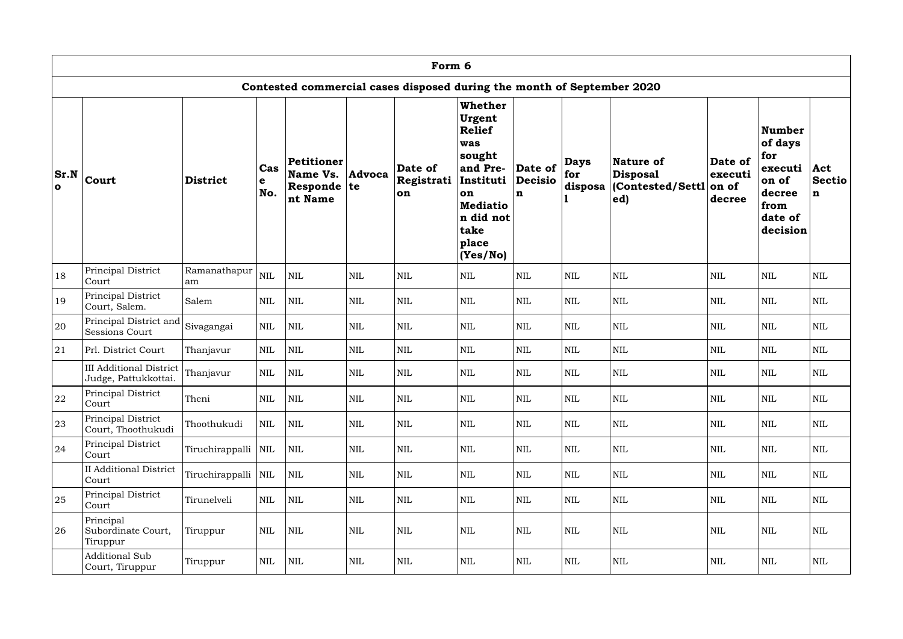|                       | Form 6                                                 |                    |                 |                                                             |              |                                                                        |                                                                                                                                                 |                                          |                               |                                                         |                                       |                                                                                       |                              |
|-----------------------|--------------------------------------------------------|--------------------|-----------------|-------------------------------------------------------------|--------------|------------------------------------------------------------------------|-------------------------------------------------------------------------------------------------------------------------------------------------|------------------------------------------|-------------------------------|---------------------------------------------------------|---------------------------------------|---------------------------------------------------------------------------------------|------------------------------|
|                       |                                                        |                    |                 |                                                             |              | Contested commercial cases disposed during the month of September 2020 |                                                                                                                                                 |                                          |                               |                                                         |                                       |                                                                                       |                              |
| Sr.N <br>$\mathbf{o}$ | Court                                                  | <b>District</b>    | Cas<br>e<br>No. | <b>Petitioner</b><br>Name Vs.<br>Responde $ te $<br>nt Name | Advoca       | Date of<br>Registrati<br>on                                            | Whether<br>Urgent<br><b>Relief</b><br>was<br>sought<br>and Pre-<br>Instituti<br>on<br><b>Mediatio</b><br>n did not<br>take<br>place<br>(Yes/No) | Date of<br><b>Decisio</b><br>$\mathbf n$ | <b>Days</b><br>for<br>disposa | Nature of<br><b>Disposal</b><br>(Contested/Settl<br>ed) | Date of<br>executi<br>on of<br>decree | Number<br>of days<br>for<br>executi<br>on of<br>decree<br>from<br>date of<br>decision | Act<br>Sectio<br>$\mathbf n$ |
| 18                    | Principal District<br>Court                            | Ramanathapur<br>am | <b>NIL</b>      | $\mbox{NIL}$                                                | $\mbox{NIL}$ | $\mbox{NIL}$                                                           | <b>NIL</b>                                                                                                                                      | <b>NIL</b>                               | $\mbox{NIL}$                  | $\mbox{NIL}$                                            | <b>NIL</b>                            | $\mbox{NIL}$                                                                          | <b>NIL</b>                   |
| 19                    | Principal District<br>Court, Salem.                    | Salem              | <b>NIL</b>      | $\mbox{NIL}$                                                | <b>NIL</b>   | $\mbox{NIL}$                                                           | <b>NIL</b>                                                                                                                                      | <b>NIL</b>                               | <b>NIL</b>                    | <b>NIL</b>                                              | <b>NIL</b>                            | <b>NIL</b>                                                                            | <b>NIL</b>                   |
| 20                    | Principal District and<br>Sessions Court               | Sivagangai         | <b>NIL</b>      | <b>NIL</b>                                                  | $\mbox{NIL}$ | <b>NIL</b>                                                             | <b>NIL</b>                                                                                                                                      | <b>NIL</b>                               | NIL                           | <b>NIL</b>                                              | <b>NIL</b>                            | <b>NIL</b>                                                                            | <b>NIL</b>                   |
| 21                    | Prl. District Court                                    | Thanjavur          | <b>NIL</b>      | $\mbox{NIL}$                                                | $\mbox{NIL}$ | $\mbox{NIL}$                                                           | <b>NIL</b>                                                                                                                                      | <b>NIL</b>                               | $\mbox{NIL}$                  | $\mbox{NIL}$                                            | $\mbox{NIL}$                          | <b>NIL</b>                                                                            | <b>NIL</b>                   |
|                       | <b>III Additional District</b><br>Judge, Pattukkottai. | Thanjavur          | <b>NIL</b>      | $\mbox{NIL}$                                                | $\mbox{NIL}$ | $\mbox{NIL}$                                                           | <b>NIL</b>                                                                                                                                      | <b>NIL</b>                               | $\mbox{NIL}$                  | $\mbox{NIL}$                                            | <b>NIL</b>                            | $\mbox{NIL}$                                                                          | <b>NIL</b>                   |
| 22                    | Principal District<br>Court                            | Theni              | <b>NIL</b>      | $\mbox{NIL}$                                                | $\mbox{NIL}$ | $\mbox{NIL}$                                                           | <b>NIL</b>                                                                                                                                      | <b>NIL</b>                               | <b>NIL</b>                    | NIL                                                     | $\mbox{NIL}$                          | $\mbox{NIL}$                                                                          | <b>NIL</b>                   |
| 23                    | Principal District<br>Court, Thoothukudi               | Thoothukudi        | <b>NIL</b>      | <b>NIL</b>                                                  | $\mbox{NIL}$ | <b>NIL</b>                                                             | NIL                                                                                                                                             | <b>NIL</b>                               | <b>NIL</b>                    | $\mbox{NIL}$                                            | <b>NIL</b>                            | <b>NIL</b>                                                                            | NIL                          |
| 24                    | Principal District<br>Court                            | Tiruchirappalli    | <b>NIL</b>      | <b>NIL</b>                                                  | $\mbox{NIL}$ | $\mbox{NIL}$                                                           | NIL                                                                                                                                             | NIL                                      | <b>NIL</b>                    | $\mbox{NIL}$                                            | $\mbox{NIL}$                          | <b>NIL</b>                                                                            | <b>NIL</b>                   |
|                       | <b>II</b> Additional District<br>Court                 | Tiruchirappalli    | $\mbox{NIL}$    | <b>NIL</b>                                                  | <b>NIL</b>   | $\mbox{NIL}$                                                           | NIL                                                                                                                                             | NIL                                      | $\mbox{NIL}$                  | $\mbox{NIL}$                                            | $\mbox{NIL}$                          | <b>NIL</b>                                                                            | <b>NIL</b>                   |
| 25                    | Principal District<br>Court                            | Tirunelveli        | <b>NIL</b>      | <b>NIL</b>                                                  | $\mbox{NIL}$ | $\mbox{NIL}$                                                           | <b>NIL</b>                                                                                                                                      | NIL                                      | $\mbox{NIL}$                  | $\mbox{NIL}$                                            | $\mbox{NIL}$                          | $\mbox{NIL}$                                                                          | <b>NIL</b>                   |
| 26                    | Principal<br>Subordinate Court,<br>Tiruppur            | Tiruppur           | <b>NIL</b>      | <b>NIL</b>                                                  | $\mbox{NIL}$ | $\mbox{NIL}$                                                           | <b>NIL</b>                                                                                                                                      | <b>NIL</b>                               | $\mbox{NIL}$                  | <b>NIL</b>                                              | $\mbox{NIL}$                          | $\mbox{NIL}$                                                                          | <b>NIL</b>                   |
|                       | <b>Additional Sub</b><br>Court, Tiruppur               | Tiruppur           | $\mbox{NIL}$    | $\mbox{NIL}$                                                | $\mbox{NIL}$ | $\mbox{NIL}$                                                           | <b>NIL</b>                                                                                                                                      | NIL                                      | $\mbox{NIL}$                  | $\mbox{NIL}$                                            | $\mbox{NIL}$                          | $\mbox{NIL}$                                                                          | <b>NIL</b>                   |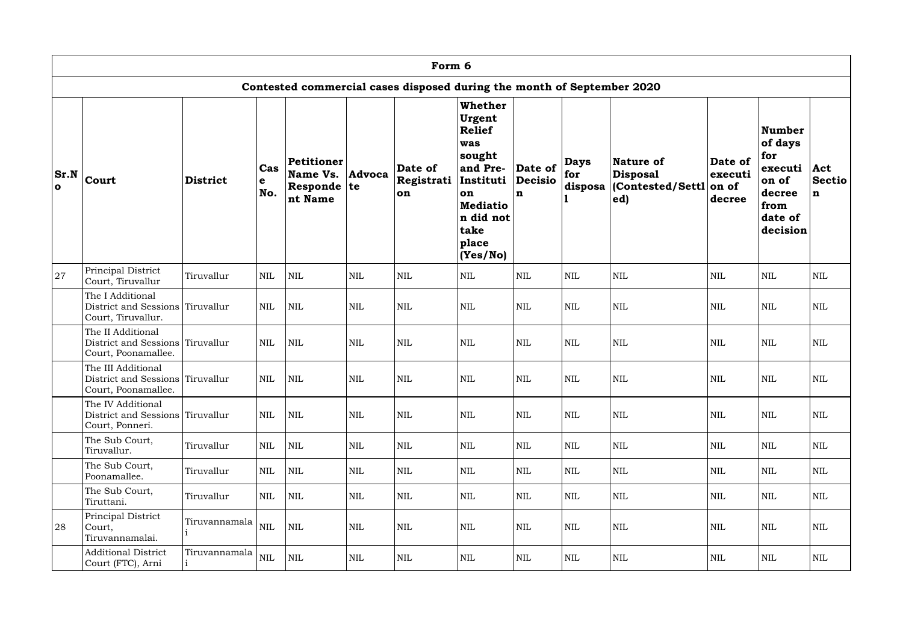|                             | Form 6                                                                        |                 |                 |                                                             |              |                                                                        |                                                                                                                                                        |                                          |                               |                                                         |                                       |                                                                                       |                                         |
|-----------------------------|-------------------------------------------------------------------------------|-----------------|-----------------|-------------------------------------------------------------|--------------|------------------------------------------------------------------------|--------------------------------------------------------------------------------------------------------------------------------------------------------|------------------------------------------|-------------------------------|---------------------------------------------------------|---------------------------------------|---------------------------------------------------------------------------------------|-----------------------------------------|
|                             |                                                                               |                 |                 |                                                             |              | Contested commercial cases disposed during the month of September 2020 |                                                                                                                                                        |                                          |                               |                                                         |                                       |                                                                                       |                                         |
| <b>Sr.N</b><br>$\mathbf{o}$ | Court                                                                         | <b>District</b> | Cas<br>e<br>No. | <b>Petitioner</b><br>Name Vs.<br>Responde $ te $<br>nt Name | Advoca       | Date of<br>Registrati<br>on                                            | <b>Whether</b><br>Urgent<br>Relief<br>was<br>sought<br>and Pre-<br>Instituti<br><b>on</b><br><b>Mediatio</b><br>n did not<br>take<br>place<br>(Yes/No) | Date of<br><b>Decisio</b><br>$\mathbf n$ | <b>Days</b><br>for<br>disposa | Nature of<br><b>Disposal</b><br>(Contested/Settl<br>ed) | Date of<br>executi<br>on of<br>decree | Number<br>of days<br>for<br>executi<br>on of<br>decree<br>from<br>date of<br>decision | $ $ <b>Act</b><br>Sectio<br>$\mathbf n$ |
| 27                          | Principal District<br>Court, Tiruvallur                                       | Tiruvallur      | <b>NIL</b>      | <b>NIL</b>                                                  | $\mbox{NIL}$ | $\mbox{NIL}$                                                           | <b>NIL</b>                                                                                                                                             | <b>NIL</b>                               | $\mbox{NIL}$                  | <b>NIL</b>                                              | <b>NIL</b>                            | <b>NIL</b>                                                                            | <b>NIL</b>                              |
|                             | The I Additional<br>District and Sessions Tiruvallur<br>Court, Tiruvallur.    |                 | <b>NIL</b>      | $\mbox{NIL}$                                                | <b>NIL</b>   | $\mbox{NIL}$                                                           | <b>NIL</b>                                                                                                                                             | <b>NIL</b>                               | $\mbox{NIL}$                  | $\mbox{NIL}$                                            | <b>NIL</b>                            | <b>NIL</b>                                                                            | <b>NIL</b>                              |
|                             | The II Additional<br>District and Sessions Tiruvallur<br>Court, Poonamallee.  |                 | <b>NIL</b>      | $\mbox{NIL}$                                                | <b>NIL</b>   | $\mbox{NIL}$                                                           | <b>NIL</b>                                                                                                                                             | <b>NIL</b>                               | $\mbox{NIL}$                  | $\mbox{NIL}$                                            | <b>NIL</b>                            | <b>NIL</b>                                                                            | <b>NIL</b>                              |
|                             | The III Additional<br>District and Sessions Tiruvallur<br>Court, Poonamallee. |                 | <b>NIL</b>      | <b>NIL</b>                                                  | <b>NIL</b>   | <b>NIL</b>                                                             | <b>NIL</b>                                                                                                                                             | <b>NIL</b>                               | <b>NIL</b>                    | <b>NIL</b>                                              | <b>NIL</b>                            | <b>NIL</b>                                                                            | <b>NIL</b>                              |
|                             | The IV Additional<br>District and Sessions Tiruvallur<br>Court, Ponneri.      |                 | <b>NIL</b>      | $\mbox{NIL}$                                                | <b>NIL</b>   | $\mbox{NIL}$                                                           | <b>NIL</b>                                                                                                                                             | <b>NIL</b>                               | <b>NIL</b>                    | <b>NIL</b>                                              | <b>NIL</b>                            | <b>NIL</b>                                                                            | <b>NIL</b>                              |
|                             | The Sub Court,<br>Tiruvallur.                                                 | Tiruvallur      | <b>NIL</b>      | <b>NIL</b>                                                  | $\mbox{NIL}$ | $\mbox{NIL}$                                                           | <b>NIL</b>                                                                                                                                             | NIL                                      | $\mbox{NIL}$                  | $\mbox{NIL}$                                            | $\mbox{NIL}$                          | <b>NIL</b>                                                                            | <b>NIL</b>                              |
|                             | The Sub Court,<br>Poonamallee.                                                | Tiruvallur      | $\mbox{NIL}$    | <b>NIL</b>                                                  | $\mbox{NIL}$ | $\mbox{NIL}$                                                           | <b>NIL</b>                                                                                                                                             | <b>NIL</b>                               | $\mbox{NIL}$                  | $\mbox{NIL}$                                            | <b>NIL</b>                            | <b>NIL</b>                                                                            | <b>NIL</b>                              |
|                             | The Sub Court,<br>Tiruttani.                                                  | Tiruvallur      | <b>NIL</b>      | <b>NIL</b>                                                  | NIL          | $\mbox{NIL}$                                                           | <b>NIL</b>                                                                                                                                             | <b>NIL</b>                               | <b>NIL</b>                    | $\mbox{NIL}$                                            | <b>NIL</b>                            | <b>NIL</b>                                                                            | <b>NIL</b>                              |
| 28                          | Principal District<br>Court,<br>Tiruvannamalai.                               | Tiruvannamala   | <b>NIL</b>      | <b>NIL</b>                                                  | $\mbox{NIL}$ | $\mbox{NIL}$                                                           | <b>NIL</b>                                                                                                                                             | <b>NIL</b>                               | <b>NIL</b>                    | $\mbox{NIL}$                                            | $\mbox{NIL}$                          | $\mbox{NIL}$                                                                          | <b>NIL</b>                              |
|                             | <b>Additional District</b><br>Court (FTC), Arni                               | Tiruvannamala   | <b>NIL</b>      | $\mbox{NIL}$                                                | NIL          | $\mbox{NIL}$                                                           | <b>NIL</b>                                                                                                                                             | NIL                                      | $\mbox{NIL}$                  | $\mbox{NIL}$                                            | $\mbox{NIL}$                          | NIL                                                                                   | $\mbox{NIL}$                            |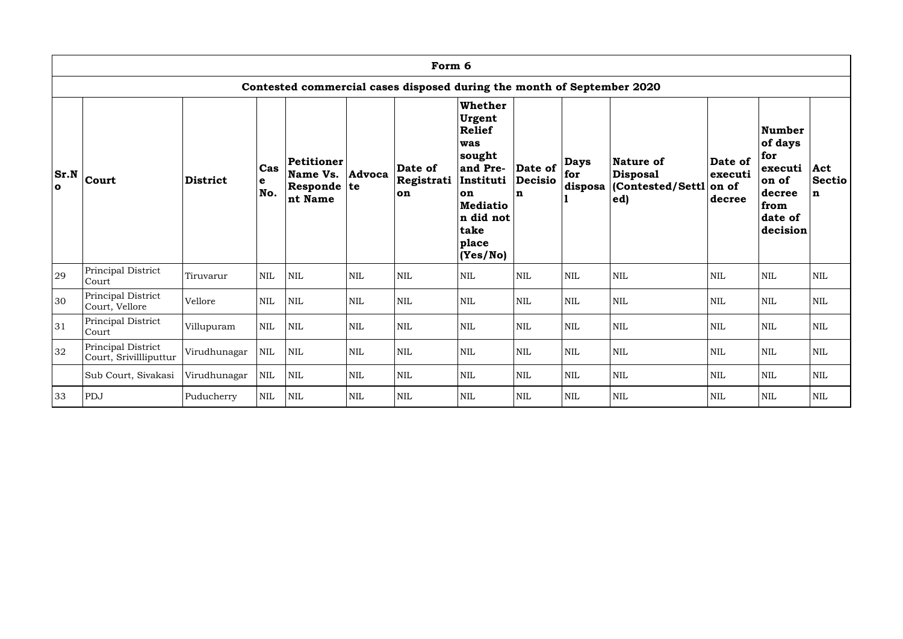|                             |                                              |                 |                           |                                                      |            | Form 6                                                                 |                                                                                                                                                 |                                |                               |                                                                 |                                       |                                                                                              |                                     |
|-----------------------------|----------------------------------------------|-----------------|---------------------------|------------------------------------------------------|------------|------------------------------------------------------------------------|-------------------------------------------------------------------------------------------------------------------------------------------------|--------------------------------|-------------------------------|-----------------------------------------------------------------|---------------------------------------|----------------------------------------------------------------------------------------------|-------------------------------------|
|                             |                                              |                 |                           |                                                      |            | Contested commercial cases disposed during the month of September 2020 |                                                                                                                                                 |                                |                               |                                                                 |                                       |                                                                                              |                                     |
| <b>Sr.N</b><br>$\mathbf{o}$ | Court                                        | <b>District</b> | Cas<br>$\mathbf e$<br>No. | Petitioner<br>Name Vs.<br>Responde $ te $<br>nt Name | Advoca     | Date of<br>Registrati<br>on                                            | Whether<br>Urgent<br><b>Relief</b><br>was<br>sought<br>and Pre-<br>Instituti<br>on<br><b>Mediatio</b><br>n did not<br>take<br>place<br>(Yes/No) | Date of<br><b>Decisio</b><br>n | <b>Days</b><br>for<br>disposa | <b>Nature of</b><br><b>Disposal</b><br>(Contested/Settl)<br>ed) | Date of<br>executi<br>on of<br>decree | <b>Number</b><br>of days<br>for<br>executi<br>on of<br>decree<br>from<br>date of<br>decision | Act<br><b>Sectio</b><br>$\mathbf n$ |
| 29                          | Principal District<br>Court                  | Tiruvarur       | <b>NIL</b>                | <b>NIL</b>                                           | <b>NIL</b> | <b>NIL</b>                                                             | $\mbox{NIL}$                                                                                                                                    | $\mbox{NIL}$                   | <b>NIL</b>                    | $\text{NIL}$                                                    | <b>NIL</b>                            | $\mbox{NIL}$                                                                                 | <b>NIL</b>                          |
| 30                          | Principal District<br>Court, Vellore         | Vellore         | <b>NIL</b>                | <b>NIL</b>                                           | <b>NIL</b> | <b>NIL</b>                                                             | $\mbox{NIL}$                                                                                                                                    | $\mbox{NIL}$                   | <b>NIL</b>                    | $\text{NIL}$                                                    | $\mbox{NIL}$                          | $\mbox{NIL}$                                                                                 | <b>NIL</b>                          |
| 31                          | Principal District<br>Court                  | Villupuram      | <b>NIL</b>                | <b>NIL</b>                                           | <b>NIL</b> | <b>NIL</b>                                                             | <b>NIL</b>                                                                                                                                      | <b>NIL</b>                     | <b>NIL</b>                    | <b>NIL</b>                                                      | <b>NIL</b>                            | <b>NIL</b>                                                                                   | <b>NIL</b>                          |
| 32                          | Principal District<br>Court, Srivillliputtur | Virudhunagar    | <b>NIL</b>                | <b>NIL</b>                                           | <b>NIL</b> | <b>NIL</b>                                                             | <b>NIL</b>                                                                                                                                      | <b>NIL</b>                     | <b>NIL</b>                    | <b>NIL</b>                                                      | <b>NIL</b>                            | <b>NIL</b>                                                                                   | <b>NIL</b>                          |
|                             | Sub Court, Sivakasi                          | Virudhunagar    | <b>NIL</b>                | <b>NIL</b>                                           | <b>NIL</b> | <b>NIL</b>                                                             | NIL                                                                                                                                             | <b>NIL</b>                     | <b>NIL</b>                    | <b>NIL</b>                                                      | $\mbox{NIL}$                          | <b>NIL</b>                                                                                   | <b>NIL</b>                          |
| 33                          | PDJ                                          | Puducherry      | <b>NIL</b>                | $\mbox{NIL}$                                         | <b>NIL</b> | <b>NIL</b>                                                             | <b>NIL</b>                                                                                                                                      | $\mbox{NIL}$                   | <b>NIL</b>                    | $\mbox{NIL}$                                                    | $\mbox{NIL}$                          | $\mbox{NIL}$                                                                                 | <b>NIL</b>                          |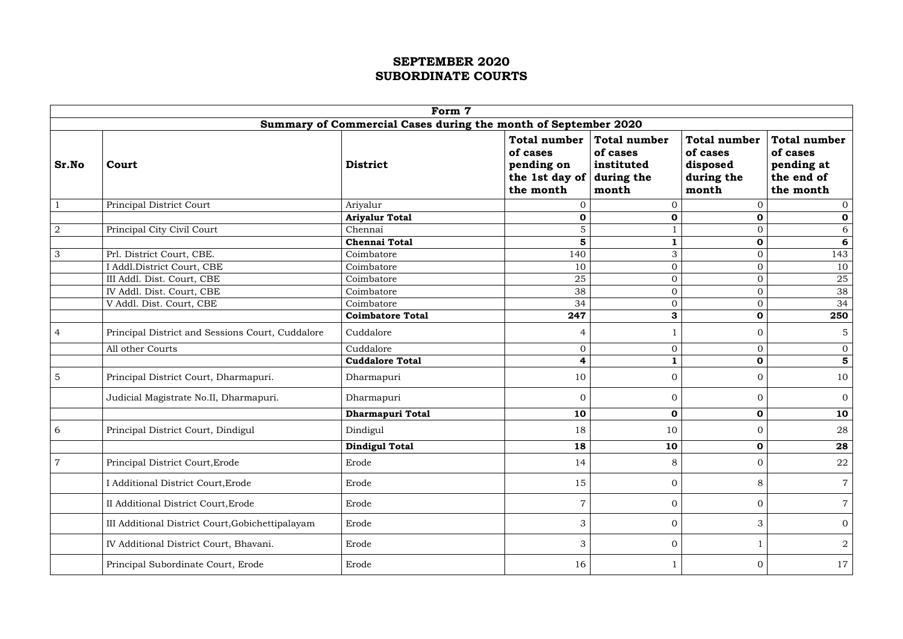|                |                                                  | Form 7                                                         |                                                                              |                                                                      |                                                                    |                                                                          |
|----------------|--------------------------------------------------|----------------------------------------------------------------|------------------------------------------------------------------------------|----------------------------------------------------------------------|--------------------------------------------------------------------|--------------------------------------------------------------------------|
|                |                                                  | Summary of Commercial Cases during the month of September 2020 |                                                                              |                                                                      |                                                                    |                                                                          |
| Sr.No          | Court                                            | <b>District</b>                                                | <b>Total number</b><br>of cases<br>pending on<br>the 1st day of<br>the month | <b>Total number</b><br>of cases<br>instituted<br>during the<br>month | <b>Total number</b><br>of cases<br>disposed<br>during the<br>month | <b>Total number</b><br>of cases<br>pending at<br>the end of<br>the month |
|                | Principal District Court                         | Ariyalur                                                       | $\Omega$                                                                     | 0                                                                    | 0                                                                  | $\overline{0}$                                                           |
|                |                                                  | <b>Ariyalur Total</b>                                          | $\mathbf 0$                                                                  | $\mathbf 0$                                                          | $\mathbf 0$                                                        | $\mathbf 0$                                                              |
| $\overline{2}$ | Principal City Civil Court                       | Chennai                                                        | 5                                                                            |                                                                      | $\overline{0}$                                                     | 6                                                                        |
|                |                                                  | <b>Chennai Total</b>                                           | $5\phantom{1}$                                                               |                                                                      | $\mathbf 0$                                                        | 6                                                                        |
| 3              | Prl. District Court, CBE.                        | Coimbatore                                                     | 140                                                                          | 3                                                                    | $\overline{0}$                                                     | 143                                                                      |
|                | I Addl.District Court, CBE                       | Coimbatore                                                     | 10                                                                           | $\overline{0}$                                                       | $\overline{0}$                                                     | 10                                                                       |
|                | III Addl. Dist. Court, CBE                       | Coimbatore                                                     | 25                                                                           | $\overline{0}$                                                       | $\overline{O}$                                                     | 25                                                                       |
|                | IV Addl. Dist. Court, CBE                        | Coimbatore                                                     | 38                                                                           | $\overline{0}$                                                       | $\overline{O}$                                                     | 38                                                                       |
|                | V Addl. Dist. Court, CBE                         | Coimbatore                                                     | 34                                                                           | $\overline{0}$                                                       | $\overline{0}$                                                     | 34                                                                       |
|                |                                                  | <b>Coimbatore Total</b>                                        | 247                                                                          | 3                                                                    | $\mathbf 0$                                                        | 250                                                                      |
| $\overline{4}$ | Principal District and Sessions Court, Cuddalore | Cuddalore                                                      | $\overline{4}$                                                               |                                                                      | $\overline{0}$                                                     | $\overline{5}$                                                           |
|                | All other Courts                                 | Cuddalore                                                      | $\overline{0}$                                                               | $\overline{0}$                                                       | $\overline{0}$                                                     | $\overline{0}$                                                           |
|                |                                                  | <b>Cuddalore Total</b>                                         | $\overline{\mathbf{4}}$                                                      | 1                                                                    | $\mathbf 0$                                                        | $\overline{\mathbf{5}}$                                                  |
| $\overline{5}$ | Principal District Court, Dharmapuri.            | Dharmapuri                                                     | 10                                                                           | $\overline{0}$                                                       | $\overline{0}$                                                     | 10                                                                       |
|                | Judicial Magistrate No.II, Dharmapuri.           | Dharmapuri                                                     | $\overline{0}$                                                               | $\overline{0}$                                                       | $\overline{0}$                                                     | $\overline{0}$                                                           |
|                |                                                  | <b>Dharmapuri Total</b>                                        | 10                                                                           | $\mathbf 0$                                                          | $\mathbf 0$                                                        | 10                                                                       |
| 6              | Principal District Court, Dindigul               | Dindigul                                                       | 18                                                                           | 10                                                                   | $\overline{0}$                                                     | 28                                                                       |
|                |                                                  | <b>Dindigul Total</b>                                          | 18                                                                           | 10                                                                   | 0                                                                  | 28                                                                       |
| $\overline{7}$ | Principal District Court, Erode                  | Erode                                                          | 14                                                                           | 8                                                                    | $\overline{0}$                                                     | 22                                                                       |
|                | I Additional District Court, Erode               | Erode                                                          | 15                                                                           | $\overline{0}$                                                       | 8                                                                  | $\overline{7}$                                                           |
|                | II Additional District Court, Erode              | Erode                                                          | $\overline{7}$                                                               | $\overline{0}$                                                       | $\overline{0}$                                                     | $\overline{7}$                                                           |
|                | III Additional District Court, Gobichettipalayam | Erode                                                          | 3                                                                            | $\overline{0}$                                                       | 3                                                                  | $\overline{0}$                                                           |
|                | IV Additional District Court, Bhavani.           | Erode                                                          | 3                                                                            | $\mathbf{0}$                                                         |                                                                    | $\overline{2}$                                                           |
|                | Principal Subordinate Court, Erode               | Erode                                                          | 16                                                                           |                                                                      | $\overline{0}$                                                     | 17                                                                       |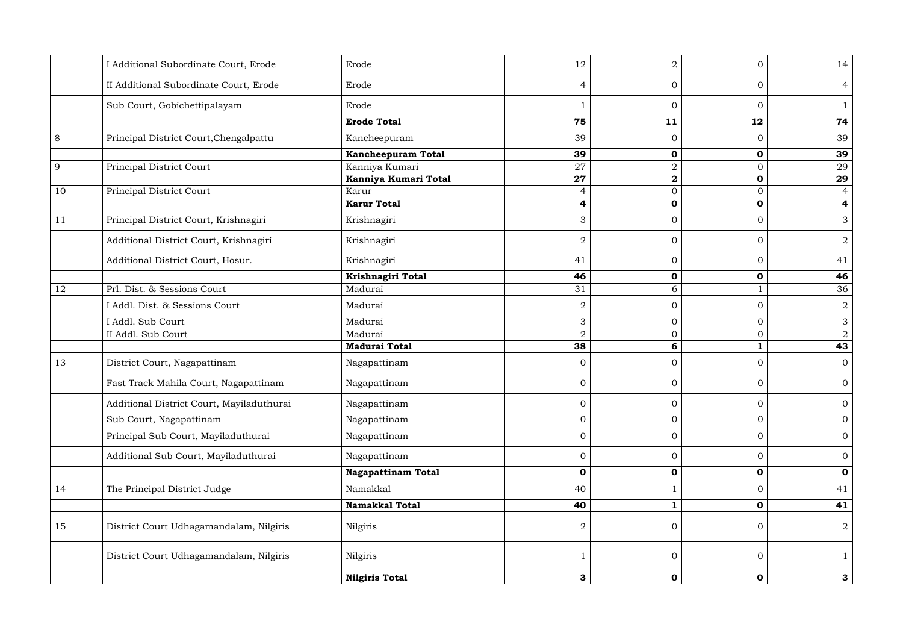|    | I Additional Subordinate Court, Erode     | Erode                     | 12                      | $\overline{2}$   | $\overline{0}$ | 14                      |
|----|-------------------------------------------|---------------------------|-------------------------|------------------|----------------|-------------------------|
|    | II Additional Subordinate Court, Erode    | Erode                     | $\overline{4}$          | $\overline{0}$   | $\overline{0}$ | $\overline{4}$          |
|    | Sub Court, Gobichettipalayam              | Erode                     |                         | $\overline{0}$   | $\overline{0}$ |                         |
|    |                                           | <b>Erode Total</b>        | 75                      | 11               | 12             | 74                      |
| 8  | Principal District Court, Chengalpattu    | Kancheepuram              | 39                      | $\overline{0}$   | $\overline{0}$ | 39                      |
|    |                                           | <b>Kancheepuram Total</b> | 39                      | $\mathbf 0$      | $\mathbf 0$    | 39                      |
| 9  | Principal District Court                  | Kanniya Kumari            | 27                      | $\overline{2}$   | $\overline{0}$ | 29                      |
|    |                                           | Kanniya Kumari Total      | 27                      | $\boldsymbol{2}$ | $\mathbf 0$    | 29                      |
| 10 | Principal District Court                  | Karur                     | $\overline{4}$          | $\overline{0}$   | $\mathbf{0}$   | $\overline{4}$          |
|    |                                           | <b>Karur Total</b>        | $\overline{\mathbf{r}}$ | $\mathbf 0$      | $\mathbf 0$    | $\overline{\mathbf{4}}$ |
| 11 | Principal District Court, Krishnagiri     | Krishnagiri               | 3                       | $\overline{0}$   | $\overline{0}$ | 3                       |
|    | Additional District Court, Krishnagiri    | Krishnagiri               | $\overline{2}$          | $\overline{0}$   | $\overline{0}$ | $\overline{2}$          |
|    | Additional District Court, Hosur.         | Krishnagiri               | 41                      | $\overline{0}$   | $\overline{0}$ | 41                      |
|    |                                           | Krishnagiri Total         | 46                      | $\mathbf 0$      | $\mathbf 0$    | 46                      |
| 12 | Prl. Dist. & Sessions Court               | Madurai                   | 31                      | 6                |                | 36                      |
|    | I Addl. Dist. & Sessions Court            | Madurai                   | 2                       | $\mathbf{0}$     | $\overline{0}$ | $\overline{2}$          |
|    | I Addl. Sub Court                         | Madurai                   | $\mathfrak{Z}$          | $\overline{0}$   | $\overline{0}$ | $\mathfrak{S}$          |
|    | II Addl. Sub Court                        | Madurai                   | $\overline{2}$          | $\overline{0}$   | $\overline{0}$ | $\overline{2}$          |
|    |                                           | <b>Madurai Total</b>      | 38                      | 6                |                | 43                      |
| 13 | District Court, Nagapattinam              | Nagapattinam              | $\overline{0}$          | $\overline{0}$   | $\overline{0}$ | $\overline{0}$          |
|    | Fast Track Mahila Court, Nagapattinam     | Nagapattinam              | $\overline{0}$          | $\overline{0}$   | $\overline{0}$ | $\overline{0}$          |
|    | Additional District Court, Mayiladuthurai | Nagapattinam              | $\overline{0}$          | $\overline{0}$   | $\overline{0}$ | $\mathbf{0}$            |
|    | Sub Court, Nagapattinam                   | Nagapattinam              | $\overline{0}$          | $\overline{0}$   | $\overline{0}$ | $\overline{0}$          |
|    | Principal Sub Court, Mayiladuthurai       | Nagapattinam              | $\overline{0}$          | $\overline{0}$   | $\overline{0}$ | $\overline{0}$          |
|    | Additional Sub Court, Mayiladuthurai      | Nagapattinam              | $\overline{0}$          | $\overline{0}$   | $\overline{0}$ | $\overline{0}$          |
|    |                                           | <b>Nagapattinam Total</b> | $\mathbf 0$             | $\mathbf 0$      | $\mathbf 0$    | $\mathbf 0$             |
| 14 | The Principal District Judge              | Namakkal                  | 40                      |                  | $\overline{0}$ | 41                      |
|    |                                           | <b>Namakkal Total</b>     | 40                      |                  | $\mathbf 0$    | 41                      |
| 15 | District Court Udhagamandalam, Nilgiris   | Nilgiris                  | $\overline{2}$          | $\overline{0}$   | $\overline{0}$ | $\overline{2}$          |
|    | District Court Udhagamandalam, Nilgiris   | Nilgiris                  |                         | $\overline{0}$   | $\overline{0}$ |                         |
|    |                                           | <b>Nilgiris Total</b>     | $3\phantom{a}$          | $\mathbf 0$      | $\mathbf 0$    | $\mathbf{3}$            |
|    |                                           |                           |                         |                  |                |                         |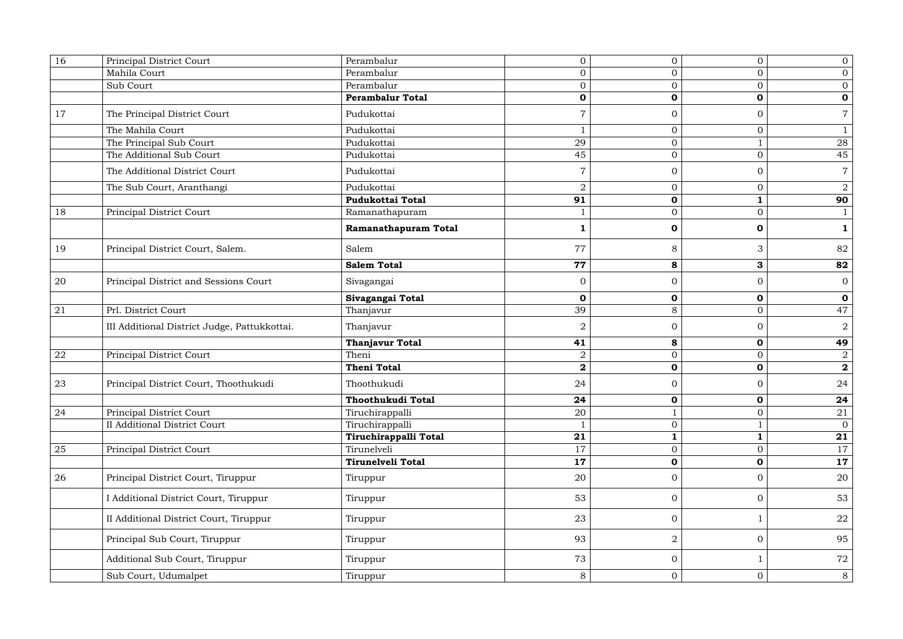| 16 | Principal District Court                     | Perambalur               | $\overline{0}$   | $\overline{0}$ | $\overline{0}$ | $\overline{0}$ |
|----|----------------------------------------------|--------------------------|------------------|----------------|----------------|----------------|
|    | Mahila Court                                 | Perambalur               | $\overline{0}$   | $\overline{0}$ | $\overline{0}$ | $\overline{0}$ |
|    | Sub Court                                    | Perambalur               | $\overline{0}$   | $\mathbf{0}$   | $\overline{0}$ | $\overline{0}$ |
|    |                                              | <b>Perambalur Total</b>  | $\mathbf 0$      | $\mathbf 0$    | $\mathbf 0$    | $\mathbf 0$    |
| 17 | The Principal District Court                 | Pudukottai               |                  | $\overline{0}$ | $\overline{0}$ | $\overline{7}$ |
|    | The Mahila Court                             | Pudukottai               |                  | $\overline{0}$ | $\overline{0}$ | $\mathbf{1}$   |
|    | The Principal Sub Court                      | Pudukottai               | 29               | $\overline{0}$ |                | 28             |
|    | The Additional Sub Court                     | Pudukottai               | 45               | $\overline{0}$ | $\overline{0}$ | 45             |
|    | The Additional District Court                | Pudukottai               |                  | $\overline{0}$ | $\overline{0}$ | $\overline{7}$ |
|    | The Sub Court, Aranthangi                    | Pudukottai               | $\overline{2}$   | $\overline{0}$ | $\overline{0}$ | $\overline{2}$ |
|    |                                              | <b>Pudukottai Total</b>  | 91               | $\mathbf 0$    | $\mathbf{1}$   | 90             |
| 18 | Principal District Court                     | Ramanathapuram           |                  | $\mathbf{0}$   | $\overline{0}$ | $\mathbf{1}$   |
|    |                                              | Ramanathapuram Total     |                  | $\mathbf 0$    | $\mathbf 0$    | $\mathbf{1}$   |
| 19 | Principal District Court, Salem.             | Salem                    | 77               | 8              | 3              | 82             |
|    |                                              | <b>Salem Total</b>       | 77               | 8              | $\mathbf{3}$   | 82             |
| 20 | Principal District and Sessions Court        | Sivagangai               | $\overline{0}$   | $\overline{0}$ | $\overline{0}$ | $\overline{0}$ |
|    |                                              | Sivagangai Total         | $\mathbf 0$      | $\mathbf 0$    | $\mathbf 0$    | $\mathbf 0$    |
| 21 | Prl. District Court                          | Thanjavur                | 39               | 8              | $\overline{0}$ | 47             |
|    | III Additional District Judge, Pattukkottai. | Thanjavur                | $\overline{2}$   | $\overline{0}$ | $\overline{0}$ | $\overline{2}$ |
|    |                                              | <b>Thanjavur Total</b>   | 41               | 8              | $\mathbf 0$    | 49             |
| 22 | Principal District Court                     | Theni                    | $\overline{2}$   | $\overline{0}$ | $\overline{0}$ | $\overline{2}$ |
|    |                                              | <b>Theni Total</b>       | $\boldsymbol{2}$ | $\mathbf 0$    | $\mathbf 0$    | $\mathbf{2}$   |
| 23 | Principal District Court, Thoothukudi        | Thoothukudi              | 24               | $\overline{0}$ | $\overline{0}$ | 24             |
|    |                                              | Thoothukudi Total        | 24               | $\mathbf 0$    | $\mathbf 0$    | 24             |
| 24 | Principal District Court                     | Tiruchirappalli          | 20               |                | $\overline{0}$ | 21             |
|    | <b>II Additional District Court</b>          | Tiruchirappalli          |                  | $\overline{0}$ |                | $\overline{0}$ |
|    |                                              | Tiruchirappalli Total    | 21               | $\mathbf{1}$   | $\mathbf{1}$   | 21             |
| 25 | Principal District Court                     | Tirunelveli              | 17               | $\mathbf{0}$   | $\overline{0}$ | 17             |
|    |                                              | <b>Tirunelveli Total</b> | 17               | $\mathbf 0$    | $\mathbf 0$    | 17             |
| 26 | Principal District Court, Tiruppur           | Tiruppur                 | 20               | $\overline{0}$ | $\overline{0}$ | 20             |
|    | I Additional District Court, Tiruppur        | Tiruppur                 | 53               | $\overline{0}$ | $\overline{0}$ | 53             |
|    | II Additional District Court, Tiruppur       | Tiruppur                 | 23               | $\overline{0}$ |                | 22             |
|    | Principal Sub Court, Tiruppur                | Tiruppur                 | 93               | $\overline{2}$ | $\overline{0}$ | 95             |
|    | Additional Sub Court, Tiruppur               | Tiruppur                 | 73               | $\overline{0}$ |                | 72             |
|    | Sub Court, Udumalpet                         | Tiruppur                 | 8                | $\overline{0}$ | $\overline{0}$ | 8              |
|    |                                              |                          |                  |                |                |                |